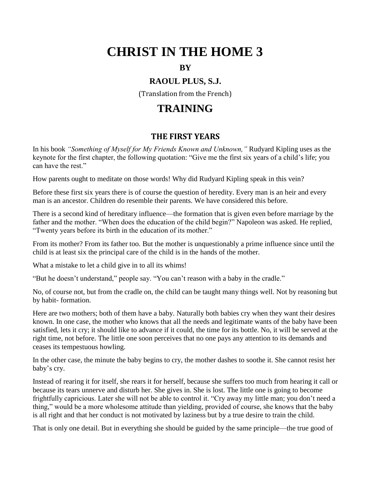# **CHRIST IN THE HOME 3**

#### **BY**

## **RAOUL PLUS, S.J.**

(Translation from the French)

# **TRAINING**

#### **THE FIRST YEARS**

In his book *"Something of Myself for My Friends Known and Unknown,"* Rudyard Kipling uses as the keynote for the first chapter, the following quotation: "Give me the first six years of a child's life; you can have the rest."

How parents ought to meditate on those words! Why did Rudyard Kipling speak in this vein?

Before these first six years there is of course the question of heredity. Every man is an heir and every man is an ancestor. Children do resemble their parents. We have considered this before.

There is a second kind of hereditary influence—the formation that is given even before marriage by the father and the mother. "When does the education of the child begin?" Napoleon was asked. He replied, "Twenty years before its birth in the education of its mother."

From its mother? From its father too. But the mother is unquestionably a prime influence since until the child is at least six the principal care of the child is in the hands of the mother.

What a mistake to let a child give in to all its whims!

"But he doesn't understand," people say. "You can't reason with a baby in the cradle."

No, of course not, but from the cradle on, the child can be taught many things well. Not by reasoning but by habit- formation.

Here are two mothers; both of them have a baby. Naturally both babies cry when they want their desires known. In one case, the mother who knows that all the needs and legitimate wants of the baby have been satisfied, lets it cry; it should like to advance if it could, the time for its bottle. No, it will be served at the right time, not before. The little one soon perceives that no one pays any attention to its demands and ceases its tempestuous howling.

In the other case, the minute the baby begins to cry, the mother dashes to soothe it. She cannot resist her baby's cry.

Instead of rearing it for itself, she rears it for herself, because she suffers too much from hearing it call or because its tears unnerve and disturb her. She gives in. She is lost. The little one is going to become frightfully capricious. Later she will not be able to control it. "Cry away my little man; you don't need a thing," would be a more wholesome attitude than yielding, provided of course, she knows that the baby is all right and that her conduct is not motivated by laziness but by a true desire to train the child.

That is only one detail. But in everything she should be guided by the same principle—the true good of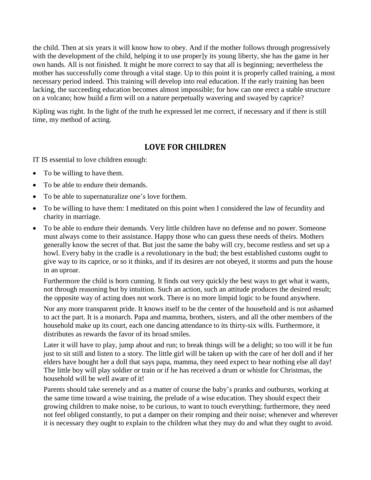the child. Then at six years it will know how to obey. And if the mother follows through progressively with the development of the child, helping it to use proper]y its young liberty, she has the game in her own hands. All is not finished. It might be more correct to say that all is beginning; nevertheless the mother has successfully come through a vital stage. Up to this point it is properly called training, a most necessary period indeed. This training will develop into real education. If the early training has been lacking, the succeeding education becomes almost impossible; for how can one erect a stable structure on a volcano; how build a firm will on a nature perpetually wavering and swayed by caprice?

Kipling was right. In the light of the truth he expressed let me correct, if necessary and if there is still time, my method of acting.

#### **LOVE FOR CHILDREN**

IT IS essential to love children enough:

- To be willing to have them.
- To be able to endure their demands.
- To be able to supernaturalize one's love forthem.
- To be willing to have them: I meditated on this point when I considered the law of fecundity and charity in marriage.
- To be able to endure their demands. Very little children have no defense and no power. Someone must always come to their assistance. Happy those who can guess these needs of theirs. Mothers generally know the secret of that. But just the same the baby will cry, become restless and set up a howl. Every baby in the cradle is a revolutionary in the bud; the best established customs ought to give way to its caprice, or so it thinks, and if its desires are not obeyed, it storms and puts the house in an uproar.

Furthermore the child is born cunning. It finds out very quickly the best ways to get what it wants, not through reasoning but by intuition. Such an action, such an attitude produces the desired result; the opposite way of acting does not work. There is no more limpid logic to be found anywhere.

Nor any more transparent pride. It knows itself to be the center of the household and is not ashamed to act the part. It is a monarch. Papa and mamma, brothers, sisters, and all the other members of the household make up its court, each one dancing attendance to its thirty-six wills. Furthermore, it distributes as rewards the favor of its broad smiles.

Later it will have to play, jump about and run; to break things will be a delight; so too will it be fun just to sit still and listen to a story. The little girl will be taken up with the care of her doll and if her elders have bought her a doll that says papa, mamma, they need expect to hear nothing else all day! The little boy will play soldier or train or if he has received a drum or whistle for Christmas, the household will be well aware of it!

Parents should take serenely and as a matter of course the baby's pranks and outbursts, working at the same time toward a wise training, the prelude of a wise education. They should expect their growing children to make noise, to be curious, to want to touch everything; furthermore, they need not feel obliged constantly, to put a damper on their romping and their noise; whenever and wherever it is necessary they ought to explain to the children what they may do and what they ought to avoid.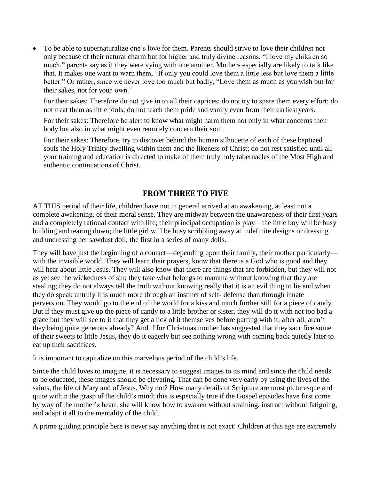To be able to supernaturalize one's love for them. Parents should strive to love their children not only because of their natural charm but for higher and truly divine reasons. "I love my children so much," parents say as if they were vying with one another. Mothers especially are likely to talk like that. It makes one want to warn them, "If only you could love them a little less but love them a little better." Or rather, since we never love too much but badly, "Love them as much as you wish but for their sakes, not for your own."

For their sakes: Therefore do not give in to all their caprices; do not try to spare them every effort; do not treat them as little idols; do not teach them pride and vanity even from their earliest years.

For their sakes: Therefore be alert to know what might harm them not only in what concerns their body but also in what might even remotely concern their soul.

For their sakes: Therefore, try to discover behind the human silhouette of each of these baptized souls the Holy Trinity dwelling within them and the likeness of Christ; do not rest satisfied until all your training and education is directed to make of them truly holy tabernacles of the Most High and authentic continuations of Christ.

#### **FROM THREE TO FIVE**

AT THIS period of their life, children have not in general arrived at an awakening, at least not a complete awakening, of their moral sense. They are midway between the unawareness of their first years and a completely rational contact with life; their principal occupation is play—the little boy will be busy building and tearing down; the little girl will be busy scribbling away at indefinite designs or dressing and undressing her sawdust doll, the first in a series of many dolls.

They will have just the beginning of a contact—depending upon their family, their mother particularly with the invisible world. They will learn their prayers, know that there is a God who is good and they will hear about little Jesus. They will also know that there are things that are forbidden, but they will not as yet see the wickedness of sin; they take what belongs to mamma without knowing that they are stealing; they do not always tell the truth without knowing really that it is an evil thing to lie and when they do speak untruly it is much more through an instinct of self- defense than through innate perversion. They would go to the end of the world for a kiss and much further still for a piece of candy. But if they must give up the piece of candy to a little brother or sister, they will do it with not too bad a grace but they will see to it that they get a lick of it themselves before parting with it; after all, aren't they being quite generous already? And if for Christmas mother has suggested that they sacrifice some of their sweets to little Jesus, they do it eagerly but see nothing wrong with coming back quietly later to eat up their sacrifices.

It is important to capitalize on this marvelous period of the child's life.

Since the child loves to imagine, it is necessary to suggest images to its mind and since the child needs to be educated, these images should be elevating. That can be done very early by using the lives of the saints, the life of Mary and of Jesus. Why not? How many details of Scripture are most picturesque and quite within the grasp of the child's mind; this is especially true if the Gospel episodes have first come by way of the mother's heart; she will know how to awaken without straining, instruct without fatiguing, and adapt it all to the mentality of the child.

A prime guiding principle here is never say anything that is not exact! Children at this age are extremely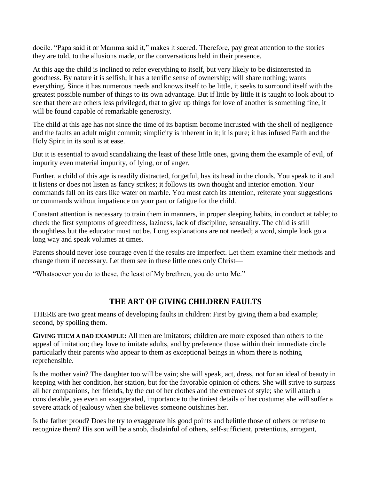docile. "Papa said it or Mamma said it," makes it sacred. Therefore, pay great attention to the stories they are told, to the allusions made, or the conversations held in their presence.

At this age the child is inclined to refer everything to itself, but very likely to be disinterested in goodness. By nature it is selfish; it has a terrific sense of ownership; will share nothing; wants everything. Since it has numerous needs and knows itself to be little, it seeks to surround itself with the greatest possible number of things to its own advantage. But if little by little it is taught to look about to see that there are others less privileged, that to give up things for love of another is something fine, it will be found capable of remarkable generosity.

The child at this age has not since the time of its baptism become incrusted with the shell of negligence and the faults an adult might commit; simplicity is inherent in it; it is pure; it has infused Faith and the Holy Spirit in its soul is at ease.

But it is essential to avoid scandalizing the least of these little ones, giving them the example of evil, of impurity even material impurity, of lying, or of anger.

Further, a child of this age is readily distracted, forgetful, has its head in the clouds. You speak to it and it listens or does not listen as fancy strikes; it follows its own thought and interior emotion. Your commands fall on its ears like water on marble. You must catch its attention, reiterate your suggestions or commands without impatience on your part or fatigue for the child.

Constant attention is necessary to train them in manners, in proper sleeping habits, in conduct at table; to check the first symptoms of greediness, laziness, lack of discipline, sensuality. The child is still thoughtless but the educator must not be. Long explanations are not needed; a word, simple look go a long way and speak volumes at times.

Parents should never lose courage even if the results are imperfect. Let them examine their methods and change them if necessary. Let them see in these little ones only Christ—

"Whatsoever you do to these, the least of My brethren, you do unto Me."

#### **THE ART OF GIVING CHILDREN FAULTS**

THERE are two great means of developing faults in children: First by giving them a bad example; second, by spoiling them.

**GIVING THEM A BAD EXAMPLE:** All men are imitators; children are more exposed than others to the appeal of imitation; they love to imitate adults, and by preference those within their immediate circle particularly their parents who appear to them as exceptional beings in whom there is nothing reprehensible.

Is the mother vain? The daughter too will be vain; she will speak, act, dress, not for an ideal of beauty in keeping with her condition, her station, but for the favorable opinion of others. She will strive to surpass all her companions, her friends, by the cut of her clothes and the extremes of style; she will attach a considerable, yes even an exaggerated, importance to the tiniest details of her costume; she will suffer a severe attack of jealousy when she believes someone outshines her.

Is the father proud? Does he try to exaggerate his good points and belittle those of others or refuse to recognize them? His son will be a snob, disdainful of others, self-sufficient, pretentious, arrogant,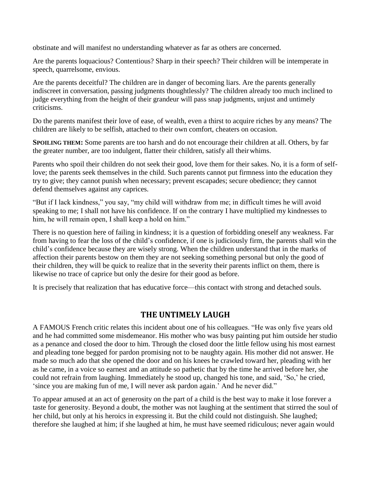obstinate and will manifest no understanding whatever as far as others are concerned.

Are the parents loquacious? Contentious? Sharp in their speech? Their children will be intemperate in speech, quarrelsome, envious.

Are the parents deceitful? The children are in danger of becoming liars. Are the parents generally indiscreet in conversation, passing judgments thoughtlessly? The children already too much inclined to judge everything from the height of their grandeur will pass snap judgments, unjust and untimely criticisms.

Do the parents manifest their love of ease, of wealth, even a thirst to acquire riches by any means? The children are likely to be selfish, attached to their own comfort, cheaters on occasion.

**SPOILING THEM:** Some parents are too harsh and do not encourage their children at all. Others, by far the greater number, are too indulgent, flatter their children, satisfy all theirwhims.

Parents who spoil their children do not seek their good, love them for their sakes. No, it is a form of selflove; the parents seek themselves in the child. Such parents cannot put firmness into the education they try to give; they cannot punish when necessary; prevent escapades; secure obedience; they cannot defend themselves against any caprices.

"But if I lack kindness," you say, "my child will withdraw from me; in difficult times he will avoid speaking to me; I shall not have his confidence. If on the contrary I have multiplied my kindnesses to him, he will remain open, I shall keep a hold on him."

There is no question here of failing in kindness; it is a question of forbidding oneself any weakness. Far from having to fear the loss of the child's confidence, if one is judiciously firm, the parents shall win the child's confidence because they are wisely strong. When the children understand that in the marks of affection their parents bestow on them they are not seeking something personal but only the good of their children, they will be quick to realize that in the severity their parents inflict on them, there is likewise no trace of caprice but only the desire for their good as before.

It is precisely that realization that has educative force—this contact with strong and detached souls.

#### **THE UNTIMELY LAUGH**

A FAMOUS French critic relates this incident about one of his colleagues. "He was only five years old and he had committed some misdemeanor. His mother who was busy painting put him outside her studio as a penance and closed the door to him. Through the closed door the little fellow using his most earnest and pleading tone begged for pardon promising not to be naughty again. His mother did not answer. He made so much ado that she opened the door and on his knees he crawled toward her, pleading with her as he came, in a voice so earnest and an attitude so pathetic that by the time he arrived before her, she could not refrain from laughing. Immediately he stood up, changed his tone, and said, 'So,' he cried, 'since you are making fun of me, I will never ask pardon again.' And he never did."

To appear amused at an act of generosity on the part of a child is the best way to make it lose forever a taste for generosity. Beyond a doubt, the mother was not laughing at the sentiment that stirred the soul of her child, but only at his heroics in expressing it. But the child could not distinguish. She laughed; therefore she laughed at him; if she laughed at him, he must have seemed ridiculous; never again would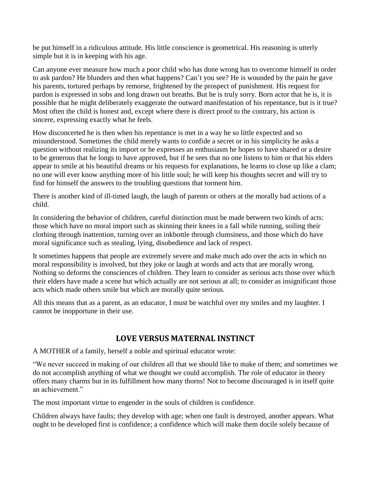be put himself in a ridiculous attitude. His little conscience is geometrical. His reasoning is utterly simple but it is in keeping with his age.

Can anyone ever measure how much a poor child who has done wrong has to overcome himself in order to ask pardon? He blunders and then what happens? Can't you see? He is wounded by the pain he gave his parents, tortured perhaps by remorse, frightened by the prospect of punishment. His request for pardon is expressed in sobs and long drawn out breaths. But he is truly sorry. Born actor that he is, it is possible that he might deliberately exaggerate the outward manifestation of his repentance, but is it true? Most often the child is honest and, except where there is direct proof to the contrary, his action is sincere, expressing exactly what he feels.

How disconcerted he is then when his repentance is met in a way he so little expected and so misunderstood. Sometimes the child merely wants to confide a secret or in his simplicity he asks a question without realizing its import or he expresses an enthusiasm he hopes to have shared or a desire to be generous that he longs to have approved, but if he sees that no one listens to him or that his elders appear to smile at his beautiful dreams or his requests for explanations, he learns to close up like a clam; no one will ever know anything more of his little soul; he will keep his thoughts secret and will try to find for himself the answers to the troubling questions that torment him.

There is another kind of ill-timed laugh, the laugh of parents or others at the morally bad actions of a child.

In considering the behavior of children, careful distinction must be made between two kinds of acts: those which have no moral import such as skinning their knees in a fall while running, soiling their clothing through inattention, turning over an inkbottle through clumsiness, and those which do have moral significance such as stealing, lying, disobedience and lack of respect.

It sometimes happens that people are extremely severe and make much ado over the acts in which no moral responsibility is involved, but they joke or laugh at words and acts that are morally wrong. Nothing so deforms the consciences of children. They learn to consider as serious acts those over which their elders have made a scene but which actually are not serious at all; to consider as insignificant those acts which made others smile but which are morally quite serious.

All this means that as a parent, as an educator, I must be watchful over my smiles and my laughter. I cannot be inopportune in their use.

#### **LOVE VERSUS MATERNAL INSTINCT**

A MOTHER of a family, herself a noble and spiritual educator wrote:

"We never succeed in making of our children all that we should like to make of them; and sometimes we do not accomplish anything of what we thought we could accomplish. The role of educator in theory offers many charms but in its fulfillment how many thorns! Not to become discouraged is in itself quite an achievement."

The most important virtue to engender in the souls of children is confidence.

Children always have faults; they develop with age; when one fault is destroyed, another appears. What ought to be developed first is confidence; a confidence which will make them docile solely because of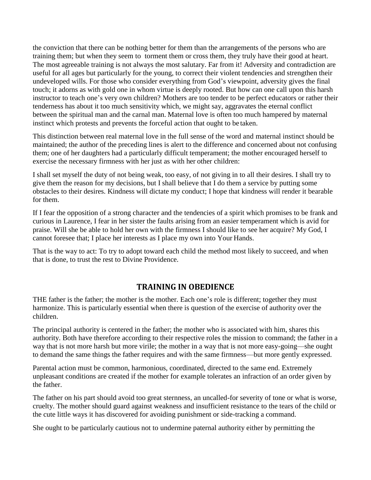the conviction that there can be nothing better for them than the arrangements of the persons who are training them; but when they seem to torment them or cross them, they truly have their good at heart. The most agreeable training is not always the most salutary. Far from it! Adversity and contradiction are useful for all ages but particularly for the young, to correct their violent tendencies and strengthen their undeveloped wills. For those who consider everything from God's viewpoint, adversity gives the final touch; it adorns as with gold one in whom virtue is deeply rooted. But how can one call upon this harsh instructor to teach one's very own children? Mothers are too tender to be perfect educators or rather their tenderness has about it too much sensitivity which, we might say, aggravates the eternal conflict between the spiritual man and the carnal man. Maternal love is often too much hampered by maternal instinct which protests and prevents the forceful action that ought to be taken.

This distinction between real maternal love in the full sense of the word and maternal instinct should be maintained; the author of the preceding lines is alert to the difference and concerned about not confusing them; one of her daughters had a particularly difficult temperament; the mother encouraged herself to exercise the necessary firmness with her just as with her other children:

I shall set myself the duty of not being weak, too easy, of not giving in to all their desires. I shall try to give them the reason for my decisions, but I shall believe that I do them a service by putting some obstacles to their desires. Kindness will dictate my conduct; I hope that kindness will render it bearable for them.

If I fear the opposition of a strong character and the tendencies of a spirit which promises to be frank and curious in Laurence, I fear in her sister the faults arising from an easier temperament which is avid for praise. Will she be able to hold her own with the firmness I should like to see her acquire? My God, I cannot foresee that; I place her interests as I place my own into Your Hands.

That is the way to act: To try to adopt toward each child the method most likely to succeed, and when that is done, to trust the rest to Divine Providence.

#### **TRAINING IN OBEDIENCE**

THE father is the father; the mother is the mother. Each one's role is different; together they must harmonize. This is particularly essential when there is question of the exercise of authority over the children.

The principal authority is centered in the father; the mother who is associated with him, shares this authority. Both have therefore according to their respective roles the mission to command; the father in a way that is not more harsh but more virile; the mother in a way that is not more easy-going—she ought to demand the same things the father requires and with the same firmness—but more gently expressed.

Parental action must be common, harmonious, coordinated, directed to the same end. Extremely unpleasant conditions are created if the mother for example tolerates an infraction of an order given by the father.

The father on his part should avoid too great sternness, an uncalled-for severity of tone or what is worse, cruelty. The mother should guard against weakness and insufficient resistance to the tears of the child or the cute little ways it has discovered for avoiding punishment or side-tracking a command.

She ought to be particularly cautious not to undermine paternal authority either by permitting the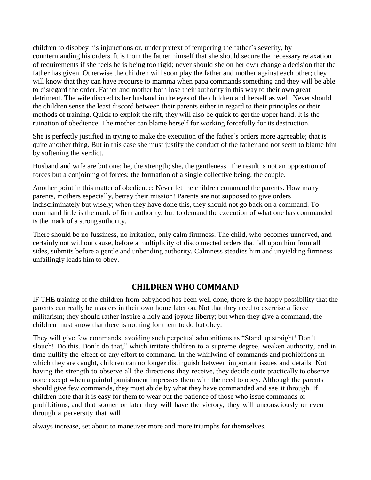children to disobey his injunctions or, under pretext of tempering the father's severity, by countermanding his orders. It is from the father himself that she should secure the necessary relaxation of requirements if she feels he is being too rigid; never should she on her own change a decision that the father has given. Otherwise the children will soon play the father and mother against each other; they will know that they can have recourse to mamma when papa commands something and they will be able to disregard the order. Father and mother both lose their authority in this way to their own great detriment. The wife discredits her husband in the eyes of the children and herself as well. Never should the children sense the least discord between their parents either in regard to their principles or their methods of training. Quick to exploit the rift, they will also be quick to get the upper hand. It is the ruination of obedience. The mother can blame herself for working forcefully for its destruction.

She is perfectly justified in trying to make the execution of the father's orders more agreeable; that is quite another thing. But in this case she must justify the conduct of the father and not seem to blame him by softening the verdict.

Husband and wife are but one; he, the strength; she, the gentleness. The result is not an opposition of forces but a conjoining of forces; the formation of a single collective being, the couple.

Another point in this matter of obedience: Never let the children command the parents. How many parents, mothers especially, betray their mission! Parents are not supposed to give orders indiscriminately but wisely; when they have done this, they should not go back on a command. To command little is the mark of firm authority; but to demand the execution of what one has commanded is the mark of a strong authority.

There should be no fussiness, no irritation, only calm firmness. The child, who becomes unnerved, and certainly not without cause, before a multiplicity of disconnected orders that fall upon him from all sides, submits before a gentle and unbending authority. Calmness steadies him and unyielding firmness unfailingly leads him to obey.

#### **CHILDREN WHO COMMAND**

IF THE training of the children from babyhood has been well done, there is the happy possibility that the parents can really be masters in their own home later on. Not that they need to exercise a fierce militarism; they should rather inspire a holy and joyous liberty; but when they give a command, the children must know that there is nothing for them to do but obey.

They will give few commands, avoiding such perpetual admonitions as "Stand up straight! Don't slouch! Do this. Don't do that," which irritate children to a supreme degree, weaken authority, and in time nullify the effect of any effort to command. In the whirlwind of commands and prohibitions in which they are caught, children can no longer distinguish between important issues and details. Not having the strength to observe all the directions they receive, they decide quite practically to observe none except when a painful punishment impresses them with the need to obey. Although the parents should give few commands, they must abide by what they have commanded and see it through. If children note that it is easy for them to wear out the patience of those who issue commands or prohibitions, and that sooner or later they will have the victory, they will unconsciously or even through a perversity that will

always increase, set about to maneuver more and more triumphs for themselves.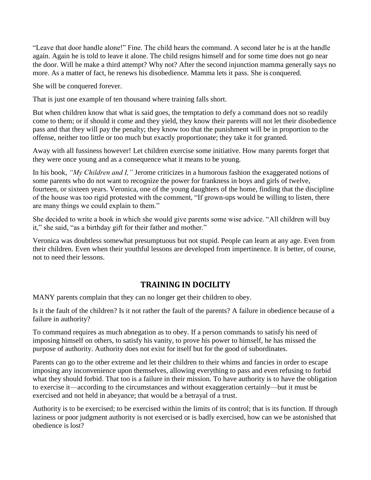"Leave that door handle alone!" Fine. The child hears the command. A second later he is at the handle again. Again he is told to leave it alone. The child resigns himself and for some time does not go near the door. Will he make a third attempt? Why not? After the second injunction mamma generally says no more. As a matter of fact, he renews his disobedience. Mamma lets it pass. She is conquered.

She will be conquered forever.

That is just one example of ten thousand where training falls short.

But when children know that what is said goes, the temptation to defy a command does not so readily come to them; or if should it come and they yield, they know their parents will not let their disobedience pass and that they will pay the penalty; they know too that the punishment will be in proportion to the offense, neither too little or too much but exactly proportionate; they take it for granted.

Away with all fussiness however! Let children exercise some initiative. How many parents forget that they were once young and as a consequence what it means to be young.

In his book, *"My Children and I,"* Jerome criticizes in a humorous fashion the exaggerated notions of some parents who do not want to recognize the power for frankness in boys and girls of twelve, fourteen, or sixteen years. Veronica, one of the young daughters of the home, finding that the discipline of the house was too rigid protested with the comment, "If grown-ups would be willing to listen, there are many things we could explain to them."

She decided to write a book in which she would give parents some wise advice. "All children will buy it," she said, "as a birthday gift for their father and mother."

Veronica was doubtless somewhat presumptuous but not stupid. People can learn at any age. Even from their children. Even when their youthful lessons are developed from impertinence. It is better, of course, not to need their lessons.

#### **TRAINING IN DOCILITY**

MANY parents complain that they can no longer get their children to obey.

Is it the fault of the children? Is it not rather the fault of the parents? A failure in obedience because of a failure in authority?

To command requires as much abnegation as to obey. If a person commands to satisfy his need of imposing himself on others, to satisfy his vanity, to prove his power to himself, he has missed the purpose of authority. Authority does not exist for itself but for the good of subordinates.

Parents can go to the other extreme and let their children to their whims and fancies in order to escape imposing any inconvenience upon themselves, allowing everything to pass and even refusing to forbid what they should forbid. That too is a failure in their mission. To have authority is to have the obligation to exercise it—according to the circumstances and without exaggeration certainly—but it must be exercised and not held in abeyance; that would be a betrayal of a trust.

Authority is to be exercised; to be exercised within the limits of its control; that is its function. If through laziness or poor judgment authority is not exercised or is badly exercised, how can we be astonished that obedience is lost?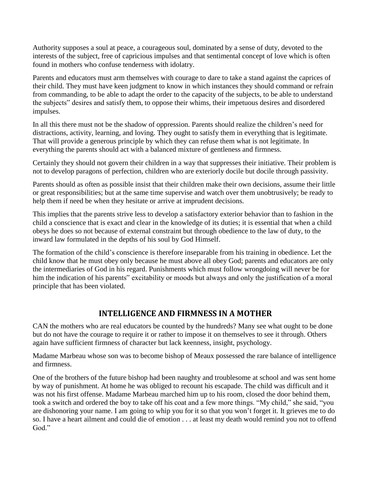Authority supposes a soul at peace, a courageous soul, dominated by a sense of duty, devoted to the interests of the subject, free of capricious impulses and that sentimental concept of love which is often found in mothers who confuse tenderness with idolatry.

Parents and educators must arm themselves with courage to dare to take a stand against the caprices of their child. They must have keen judgment to know in which instances they should command or refrain from commanding, to be able to adapt the order to the capacity of the subjects, to be able to understand the subjects" desires and satisfy them, to oppose their whims, their impetuous desires and disordered impulses.

In all this there must not be the shadow of oppression. Parents should realize the children's need for distractions, activity, learning, and loving. They ought to satisfy them in everything that is legitimate. That will provide a generous principle by which they can refuse them what is not legitimate. In everything the parents should act with a balanced mixture of gentleness and firmness.

Certainly they should not govern their children in a way that suppresses their initiative. Their problem is not to develop paragons of perfection, children who are exteriorly docile but docile through passivity.

Parents should as often as possible insist that their children make their own decisions, assume their little or great responsibilities; but at the same time supervise and watch over them unobtrusively; be ready to help them if need be when they hesitate or arrive at imprudent decisions.

This implies that the parents strive less to develop a satisfactory exterior behavior than to fashion in the child a conscience that is exact and clear in the knowledge of its duties; it is essential that when a child obeys he does so not because of external constraint but through obedience to the law of duty, to the inward law formulated in the depths of his soul by God Himself.

The formation of the child's conscience is therefore inseparable from his training in obedience. Let the child know that he must obey only because he must above all obey God; parents and educators are only the intermediaries of God in his regard. Punishments which must follow wrongdoing will never be for him the indication of his parents" excitability or moods but always and only the justification of a moral principle that has been violated.

#### **INTELLIGENCE AND FIRMNESS IN A MOTHER**

CAN the mothers who are real educators be counted by the hundreds? Many see what ought to be done but do not have the courage to require it or rather to impose it on themselves to see it through. Others again have sufficient firmness of character but lack keenness, insight, psychology.

Madame Marbeau whose son was to become bishop of Meaux possessed the rare balance of intelligence and firmness.

One of the brothers of the future bishop had been naughty and troublesome at school and was sent home by way of punishment. At home he was obliged to recount his escapade. The child was difficult and it was not his first offense. Madame Marbeau marched him up to his room, closed the door behind them, took a switch and ordered the boy to take off his coat and a few more things. "My child," she said, "you are dishonoring your name. I am going to whip you for it so that you won't forget it. It grieves me to do so. I have a heart ailment and could die of emotion . . . at least my death would remind you not to offend God."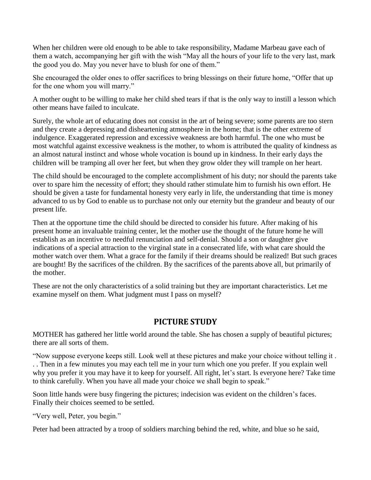When her children were old enough to be able to take responsibility, Madame Marbeau gave each of them a watch, accompanying her gift with the wish "May all the hours of your life to the very last, mark the good you do. May you never have to blush for one of them."

She encouraged the older ones to offer sacrifices to bring blessings on their future home, "Offer that up for the one whom you will marry."

A mother ought to be willing to make her child shed tears if that is the only way to instill a lesson which other means have failed to inculcate.

Surely, the whole art of educating does not consist in the art of being severe; some parents are too stern and they create a depressing and disheartening atmosphere in the home; that is the other extreme of indulgence. Exaggerated repression and excessive weakness are both harmful. The one who must be most watchful against excessive weakness is the mother, to whom is attributed the quality of kindness as an almost natural instinct and whose whole vocation is bound up in kindness. In their early days the children will be tramping all over her feet, but when they grow older they will trample on her heart.

The child should be encouraged to the complete accomplishment of his duty; nor should the parents take over to spare him the necessity of effort; they should rather stimulate him to furnish his own effort. He should be given a taste for fundamental honesty very early in life, the understanding that time is money advanced to us by God to enable us to purchase not only our eternity but the grandeur and beauty of our present life.

Then at the opportune time the child should be directed to consider his future. After making of his present home an invaluable training center, let the mother use the thought of the future home he will establish as an incentive to needful renunciation and self-denial. Should a son or daughter give indications of a special attraction to the virginal state in a consecrated life, with what care should the mother watch over them. What a grace for the family if their dreams should be realized! But such graces are bought! By the sacrifices of the children. By the sacrifices of the parents above all, but primarily of the mother.

These are not the only characteristics of a solid training but they are important characteristics. Let me examine myself on them. What judgment must I pass on myself?

#### **PICTURE STUDY**

MOTHER has gathered her little world around the table. She has chosen a supply of beautiful pictures; there are all sorts of them.

"Now suppose everyone keeps still. Look well at these pictures and make your choice without telling it . . . Then in a few minutes you may each tell me in your turn which one you prefer. If you explain well why you prefer it you may have it to keep for yourself. All right, let's start. Is everyone here? Take time to think carefully. When you have all made your choice we shall begin to speak."

Soon little hands were busy fingering the pictures; indecision was evident on the children's faces. Finally their choices seemed to be settled.

"Very well, Peter, you begin."

Peter had been attracted by a troop of soldiers marching behind the red, white, and blue so he said,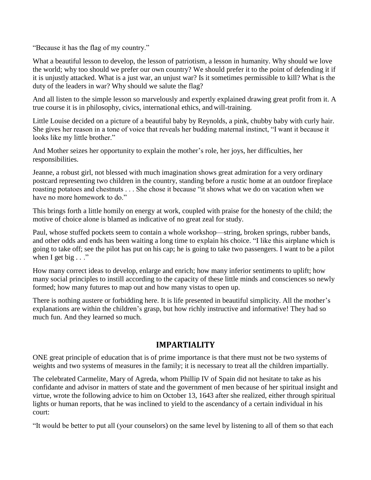"Because it has the flag of my country."

What a beautiful lesson to develop, the lesson of patriotism, a lesson in humanity. Why should we love the world; why too should we prefer our own country? We should prefer it to the point of defending it if it is unjustly attacked. What is a just war, an unjust war? Is it sometimes permissible to kill? What is the duty of the leaders in war? Why should we salute the flag?

And all listen to the simple lesson so marvelously and expertly explained drawing great profit from it. A true course it is in philosophy, civics, international ethics, andwill-training.

Little Louise decided on a picture of a beautiful baby by Reynolds, a pink, chubby baby with curly hair. She gives her reason in a tone of voice that reveals her budding maternal instinct, "I want it because it looks like my little brother."

And Mother seizes her opportunity to explain the mother's role, her joys, her difficulties, her responsibilities.

Jeanne, a robust girl, not blessed with much imagination shows great admiration for a very ordinary postcard representing two children in the country, standing before a rustic home at an outdoor fireplace roasting potatoes and chestnuts . . . She chose it because "it shows what we do on vacation when we have no more homework to do."

This brings forth a little homily on energy at work, coupled with praise for the honesty of the child; the motive of choice alone is blamed as indicative of no great zeal for study.

Paul, whose stuffed pockets seem to contain a whole workshop—string, broken springs, rubber bands, and other odds and ends has been waiting a long time to explain his choice. "I like this airplane which is going to take off; see the pilot has put on his cap; he is going to take two passengers. I want to be a pilot when I get big  $\ldots$ "

How many correct ideas to develop, enlarge and enrich; how many inferior sentiments to uplift; how many social principles to instill according to the capacity of these little minds and consciences so newly formed; how many futures to map out and how many vistas to open up.

There is nothing austere or forbidding here. It is life presented in beautiful simplicity. All the mother's explanations are within the children's grasp, but how richly instructive and informative! They had so much fun. And they learned so much.

#### **IMPARTIALITY**

ONE great principle of education that is of prime importance is that there must not be two systems of weights and two systems of measures in the family; it is necessary to treat all the children impartially.

The celebrated Carmelite, Mary of Agreda, whom Phillip IV of Spain did not hesitate to take as his confidante and advisor in matters of state and the government of men because of her spiritual insight and virtue, wrote the following advice to him on October 13, 1643 after she realized, either through spiritual lights or human reports, that he was inclined to yield to the ascendancy of a certain individual in his court:

"It would be better to put all (your counselors) on the same level by listening to all of them so that each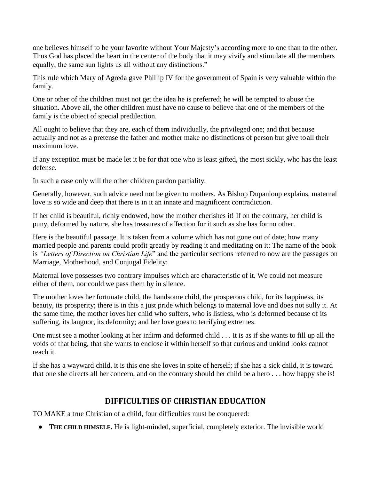one believes himself to be your favorite without Your Majesty's according more to one than to the other. Thus God has placed the heart in the center of the body that it may vivify and stimulate all the members equally; the same sun lights us all without any distinctions."

This rule which Mary of Agreda gave Phillip IV for the government of Spain is very valuable within the family.

One or other of the children must not get the idea he is preferred; he will be tempted to abuse the situation. Above all, the other children must have no cause to believe that one of the members of the family is the object of special predilection.

All ought to believe that they are, each of them individually, the privileged one; and that because actually and not as a pretense the father and mother make no distinctions of person but give toall their maximum love.

If any exception must be made let it be for that one who is least gifted, the most sickly, who has the least defense.

In such a case only will the other children pardon partiality.

Generally, however, such advice need not be given to mothers. As Bishop Dupanloup explains, maternal love is so wide and deep that there is in it an innate and magnificent contradiction.

If her child is beautiful, richly endowed, how the mother cherishes it! If on the contrary, her child is puny, deformed by nature, she has treasures of affection for it such as she has for no other.

Here is the beautiful passage. It is taken from a volume which has not gone out of date; how many married people and parents could profit greatly by reading it and meditating on it: The name of the book is *"Letters of Direction on Christian Life*" and the particular sections referred to now are the passages on Marriage, Motherhood, and Conjugal Fidelity:

Maternal love possesses two contrary impulses which are characteristic of it. We could not measure either of them, nor could we pass them by in silence.

The mother loves her fortunate child, the handsome child, the prosperous child, for its happiness, its beauty, its prosperity; there is in this a just pride which belongs to maternal love and does not sully it. At the same time, the mother loves her child who suffers, who is listless, who is deformed because of its suffering, its languor, its deformity; and her love goes to terrifying extremes.

One must see a mother looking at her infirm and deformed child . . . It is as if she wants to fill up all the voids of that being, that she wants to enclose it within herself so that curious and unkind looks cannot reach it.

If she has a wayward child, it is this one she loves in spite of herself; if she has a sick child, it is toward that one she directs all her concern, and on the contrary should her child be a hero . . . how happy she is!

## **DIFFICULTIES OF CHRISTIAN EDUCATION**

TO MAKE a true Christian of a child, four difficulties must be conquered:

● **THE CHILD HIMSELF.** He is light-minded, superficial, completely exterior. The invisible world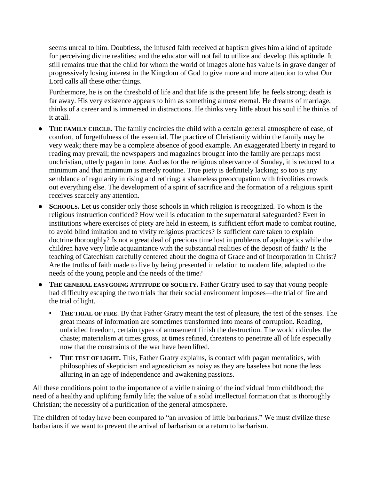seems unreal to him. Doubtless, the infused faith received at baptism gives him a kind of aptitude for perceiving divine realities; and the educator will not fail to utilize and develop this aptitude. It still remains true that the child for whom the world of images alone has value is in grave danger of progressively losing interest in the Kingdom of God to give more and more attention to what Our Lord calls all these other things.

Furthermore, he is on the threshold of life and that life is the present life; he feels strong; death is far away. His very existence appears to him as something almost eternal. He dreams of marriage, thinks of a career and is immersed in distractions. He thinks very little about his soul if he thinks of it at all.

- **THE FAMILY CIRCLE.** The family encircles the child with a certain general atmosphere of ease, of comfort, of forgetfulness of the essential. The practice of Christianity within the family may be very weak; there may be a complete absence of good example. An exaggerated liberty in regard to reading may prevail; the newspapers and magazines brought into the family are perhaps most unchristian, utterly pagan in tone. And as for the religious observance of Sunday, it is reduced to a minimum and that minimum is merely routine. True piety is definitely lacking; so too is any semblance of regularity in rising and retiring; a shameless preoccupation with frivolities crowds out everything else. The development of a spirit of sacrifice and the formation of a religious spirit receives scarcely any attention.
- **SCHOOLS.** Let us consider only those schools in which religion is recognized. To whom is the religious instruction confided? How well is education to the supernatural safeguarded? Even in institutions where exercises of piety are held in esteem, is sufficient effort made to combat routine, to avoid blind imitation and to vivify religious practices? Is sufficient care taken to explain doctrine thoroughly? Is not a great deal of precious time lost in problems of apologetics while the children have very little acquaintance with the substantial realities of the deposit of faith? Is the teaching of Catechism carefully centered about the dogma of Grace and of Incorporation in Christ? Are the truths of faith made to live by being presented in relation to modern life, adapted to the needs of the young people and the needs of the time?
- **THE GENERAL EASYGOING ATTITUDE OF SOCIETY.** Father Gratry used to say that young people had difficulty escaping the two trials that their social environment imposes—the trial of fire and the trial of light.
	- **THE TRIAL OF FIRE.** By that Father Gratry meant the test of pleasure, the test of the senses. The great means of information are sometimes transformed into means of corruption. Reading, unbridled freedom, certain types of amusement finish the destruction. The world ridicules the chaste; materialism at times gross, at times refined, threatens to penetrate all of life especially now that the constraints of the war have been lifted.
	- **THE TEST OF LIGHT.** This, Father Gratry explains, is contact with pagan mentalities, with philosophies of skepticism and agnosticism as noisy as they are baseless but none the less alluring in an age of independence and awakening passions.

All these conditions point to the importance of a virile training of the individual from childhood; the need of a healthy and uplifting family life; the value of a solid intellectual formation that is thoroughly Christian; the necessity of a purification of the general atmosphere.

The children of today have been compared to "an invasion of little barbarians." We must civilize these barbarians if we want to prevent the arrival of barbarism or a return to barbarism.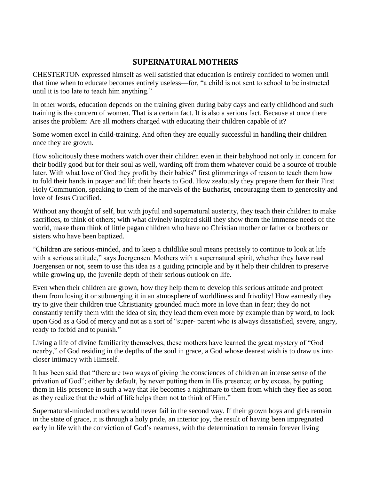#### **SUPERNATURAL MOTHERS**

CHESTERTON expressed himself as well satisfied that education is entirely confided to women until that time when to educate becomes entirely useless—for, "a child is not sent to school to be instructed until it is too late to teach him anything."

In other words, education depends on the training given during baby days and early childhood and such training is the concern of women. That is a certain fact. It is also a serious fact. Because at once there arises the problem: Are all mothers charged with educating their children capable of it?

Some women excel in child-training. And often they are equally successful in handling their children once they are grown.

How solicitously these mothers watch over their children even in their babyhood not only in concern for their bodily good but for their soul as well, warding off from them whatever could be a source of trouble later. With what love of God they profit by their babies" first glimmerings of reason to teach them how to fold their hands in prayer and lift their hearts to God. How zealously they prepare them for their First Holy Communion, speaking to them of the marvels of the Eucharist, encouraging them to generosity and love of Jesus Crucified.

Without any thought of self, but with joyful and supernatural austerity, they teach their children to make sacrifices, to think of others; with what divinely inspired skill they show them the immense needs of the world, make them think of little pagan children who have no Christian mother or father or brothers or sisters who have been baptized.

"Children are serious-minded, and to keep a childlike soul means precisely to continue to look at life with a serious attitude," says Joergensen. Mothers with a supernatural spirit, whether they have read Joergensen or not, seem to use this idea as a guiding principle and by it help their children to preserve while growing up, the juvenile depth of their serious outlook on life.

Even when their children are grown, how they help them to develop this serious attitude and protect them from losing it or submerging it in an atmosphere of worldliness and frivolity! How earnestly they try to give their children true Christianity grounded much more in love than in fear; they do not constantly terrify them with the idea of sin; they lead them even more by example than by word, to look upon God as a God of mercy and not as a sort of "super- parent who is always dissatisfied, severe, angry, ready to forbid and topunish."

Living a life of divine familiarity themselves, these mothers have learned the great mystery of "God nearby," of God residing in the depths of the soul in grace, a God whose dearest wish is to draw us into closer intimacy with Himself.

It has been said that "there are two ways of giving the consciences of children an intense sense of the privation of God"; either by default, by never putting them in His presence; or by excess, by putting them in His presence in such a way that He becomes a nightmare to them from which they flee as soon as they realize that the whirl of life helps them not to think of Him."

Supernatural-minded mothers would never fail in the second way. If their grown boys and girls remain in the state of grace, it is through a holy pride, an interior joy, the result of having been impregnated early in life with the conviction of God's nearness, with the determination to remain forever living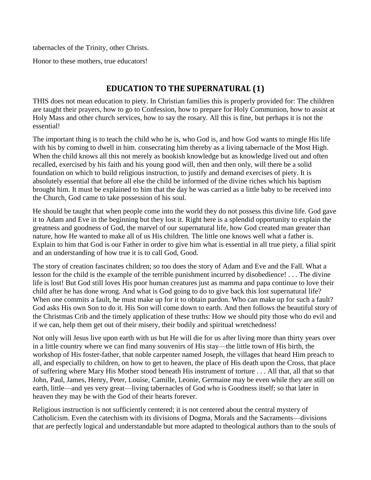tabernacles of the Trinity, other Christs.

Honor to these mothers, true educators!

#### **EDUCATION TO THE SUPERNATURAL (1)**

THIS does not mean education to piety. In Christian families this is properly provided for: The children are taught their prayers, how to go to Confession, how to prepare for Holy Communion, how to assist at Holy Mass and other church services, how to say the rosary. All this is fine, but perhaps it is not the essential!

The important thing is to teach the child who he is, who God is, and how God wants to mingle His life with his by coming to dwell in him. consecrating him thereby as a living tabernacle of the Most High. When the child knows all this not merely as bookish knowledge but as knowledge lived out and often recalled, exercised by his faith and his young good will, then and then only, will there be a solid foundation on which to build religious instruction, to justify and demand exercises of piety. It is absolutely essential that before all else the child be informed of the divine riches which his baptism brought him. It must be explained to him that the day he was carried as a little baby to be received into the Church, God came to take possession of his soul.

He should be taught that when people come into the world they do not possess this divine life. God gave it to Adam and Eve in the beginning but they lost it. Right here is a splendid opportunity to explain the greatness and goodness of God, the marvel of our supernatural life, how God created man greater than nature, how He wanted to make all of us His children. The little one knows well what a father is. Explain to him that God is our Father in order to give him what is essential in all true piety, a filial spirit and an understanding of how true it is to call God, Good.

The story of creation fascinates children; so too does the story of Adam and Eve and the Fall. What a lesson for the child is the example of the terrible punishment incurred by disobedience! . . . The divine life is lost! But God still loves His poor human creatures just as mamma and papa continue to love their child after he has done wrong. And what is God going to do to give back this lost supernatural life? When one commits a fault, he must make up for it to obtain pardon. Who can make up for such a fault? God asks His own Son to do it. His Son will come down to earth. And then follows the beautiful story of the Christmas Crib and the timely application of these truths: How we should pity those who do evil and if we can, help them get out of their misery, their bodily and spiritual wretchedness!

Not only will Jesus live upon earth with us but He will die for us after living more than thirty years over in a little country where we can find many souvenirs of His stay—the little town of His birth, the workshop of His foster-father, that noble carpenter named Joseph, the villages that heard Him preach to all, and especially to children, on how to get to heaven, the place of His death upon the Cross, that place of suffering where Mary His Mother stood beneath His instrument of torture . . . All that, all that so that John, Paul, James, Henry, Peter, Louise, Camille, Leonie, Germaine may be even while they are still on earth, little—and yes very great—living tabernacles of God who is Goodness itself; so that later in heaven they may be with the God of their hearts forever.

Religious instruction is not sufficiently centered; it is not centered about the central mystery of Catholicism. Even the catechism with its divisions of Dogma, Morals and the Sacraments—divisions that are perfectly logical and understandable but more adapted to theological authors than to the souls of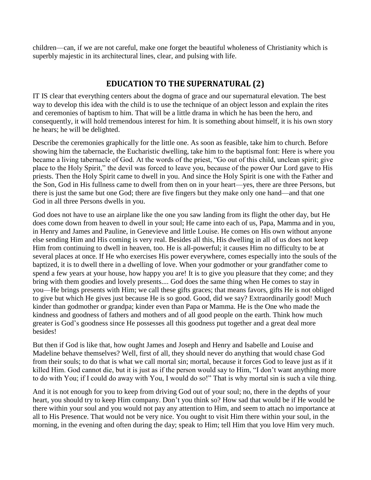children—can, if we are not careful, make one forget the beautiful wholeness of Christianity which is superbly majestic in its architectural lines, clear, and pulsing with life.

#### **EDUCATION TO THE SUPERNATURAL (2)**

IT IS clear that everything centers about the dogma of grace and our supernatural elevation. The best way to develop this idea with the child is to use the technique of an object lesson and explain the rites and ceremonies of baptism to him. That will be a little drama in which he has been the hero, and consequently, it will hold tremendous interest for him. It is something about himself, it is his own story he hears; he will be delighted.

Describe the ceremonies graphically for the little one. As soon as feasible, take him to church. Before showing him the tabernacle, the Eucharistic dwelling, take him to the baptismal font: Here is where you became a living tabernacle of God. At the words of the priest, "Go out of this child, unclean spirit; give place to the Holy Spirit," the devil was forced to leave you, because of the power Our Lord gave to His priests. Then the Holy Spirit came to dwell in you. And since the Holy Spirit is one with the Father and the Son, God in His fullness came to dwell from then on in your heart—yes, there are three Persons, but there is just the same but one God; there are five fingers but they make only one hand—and that one God in all three Persons dwells in you.

God does not have to use an airplane like the one you saw landing from its flight the other day, but He does come down from heaven to dwell in your soul; He came into each of us, Papa, Mamma and in you, in Henry and James and Pauline, in Genevieve and little Louise. He comes on His own without anyone else sending Him and His coming is very real. Besides all this, His dwelling in all of us does not keep Him from continuing to dwell in heaven, too. He is all-powerful; it causes Him no difficulty to be at several places at once. If He who exercises His power everywhere, comes especially into the souls of the baptized, it is to dwell there in a dwelling of love. When your godmother or your grandfather come to spend a few years at your house, how happy you are! It is to give you pleasure that they come; and they bring with them goodies and lovely presents.... God does the same thing when He comes to stay in you—He brings presents with Him; we call these gifts graces; that means favors, gifts He is not obliged to give but which He gives just because He is so good. Good, did we say? Extraordinarily good! Much kinder than godmother or grandpa; kinder even than Papa or Mamma. He is the One who made the kindness and goodness of fathers and mothers and of all good people on the earth. Think how much greater is God's goodness since He possesses all this goodness put together and a great deal more besides!

But then if God is like that, how ought James and Joseph and Henry and Isabelle and Louise and Madeline behave themselves? Well, first of all, they should never do anything that would chase God from their souls; to do that is what we call mortal sin; mortal, because it forces God to leave just as if it killed Him. God cannot die, but it is just as if the person would say to Him, "I don't want anything more to do with You; if I could do away with You, I would do so!" That is why mortal sin is such a vile thing.

And it is not enough for you to keep from driving God out of your soul; no, there in the depths of your heart, you should try to keep Him company. Don't you think so? How sad that would be if He would be there within your soul and you would not pay any attention to Him, and seem to attach no importance at all to His Presence. That would not be very nice. You ought to visit Him there within your soul, in the morning, in the evening and often during the day; speak to Him; tell Him that you love Him very much.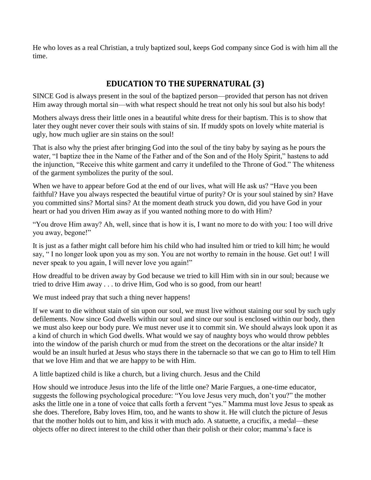He who loves as a real Christian, a truly baptized soul, keeps God company since God is with him all the time.

## **EDUCATION TO THE SUPERNATURAL (3)**

SINCE God is always present in the soul of the baptized person—provided that person has not driven Him away through mortal sin—with what respect should he treat not only his soul but also his body!

Mothers always dress their little ones in a beautiful white dress for their baptism. This is to show that later they ought never cover their souls with stains of sin. If muddy spots on lovely white material is ugly, how much uglier are sin stains on the soul!

That is also why the priest after bringing God into the soul of the tiny baby by saying as he pours the water, "I baptize thee in the Name of the Father and of the Son and of the Holy Spirit," hastens to add the injunction, "Receive this white garment and carry it undefiled to the Throne of God." The whiteness of the garment symbolizes the purity of the soul.

When we have to appear before God at the end of our lives, what will He ask us? "Have you been faithful? Have you always respected the beautiful virtue of purity? Or is your soul stained by sin? Have you committed sins? Mortal sins? At the moment death struck you down, did you have God in your heart or had you driven Him away as if you wanted nothing more to do with Him?

"You drove Him away? Ah, well, since that is how it is, I want no more to do with you: I too will drive you away, begone!"

It is just as a father might call before him his child who had insulted him or tried to kill him; he would say, " I no longer look upon you as my son. You are not worthy to remain in the house. Get out! I will never speak to you again, I will never love you again!"

How dreadful to be driven away by God because we tried to kill Him with sin in our soul; because we tried to drive Him away . . . to drive Him, God who is so good, from our heart!

We must indeed pray that such a thing never happens!

If we want to die without stain of sin upon our soul, we must live without staining our soul by such ugly defilements. Now since God dwells within our soul and since our soul is enclosed within our body, then we must also keep our body pure. We must never use it to commit sin. We should always look upon it as a kind of church in which God dwells. What would we say of naughty boys who would throw pebbles into the window of the parish church or mud from the street on the decorations or the altar inside? It would be an insult hurled at Jesus who stays there in the tabernacle so that we can go to Him to tell Him that we love Him and that we are happy to be with Him.

A little baptized child is like a church, but a living church. Jesus and the Child

How should we introduce Jesus into the life of the little one? Marie Fargues, a one-time educator, suggests the following psychological procedure: "You love Jesus very much, don't you?" the mother asks the little one in a tone of voice that calls forth a fervent "yes." Mamma must love Jesus to speak as she does. Therefore, Baby loves Him, too, and he wants to show it. He will clutch the picture of Jesus that the mother holds out to him, and kiss it with much ado. A statuette, a crucifix, a medal—these objects offer no direct interest to the child other than their polish or their color; mamma's face is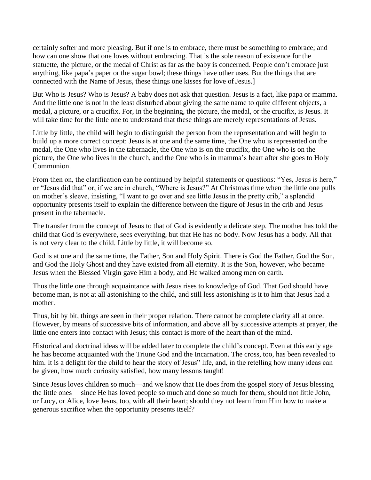certainly softer and more pleasing. But if one is to embrace, there must be something to embrace; and how can one show that one loves without embracing. That is the sole reason of existence for the statuette, the picture, or the medal of Christ as far as the baby is concerned. People don't embrace just anything, like papa's paper or the sugar bowl; these things have other uses. But the things that are connected with the Name of Jesus, these things one kisses for love of Jesus.]

But Who is Jesus? Who is Jesus? A baby does not ask that question. Jesus is a fact, like papa or mamma. And the little one is not in the least disturbed about giving the same name to quite different objects, a medal, a picture, or a crucifix. For, in the beginning, the picture, the medal, or the crucifix, is Jesus. It will take time for the little one to understand that these things are merely representations of Jesus.

Little by little, the child will begin to distinguish the person from the representation and will begin to build up a more correct concept: Jesus is at one and the same time, the One who is represented on the medal, the One who lives in the tabernacle, the One who is on the crucifix, the One who is on the picture, the One who lives in the church, and the One who is in mamma's heart after she goes to Holy Communion.

From then on, the clarification can be continued by helpful statements or questions: "Yes, Jesus is here," or "Jesus did that" or, if we are in church, "Where is Jesus?" At Christmas time when the little one pulls on mother's sleeve, insisting, "I want to go over and see little Jesus in the pretty crib," a splendid opportunity presents itself to explain the difference between the figure of Jesus in the crib and Jesus present in the tabernacle.

The transfer from the concept of Jesus to that of God is evidently a delicate step. The mother has told the child that God is everywhere, sees everything, but that He has no body. Now Jesus has a body. All that is not very clear to the child. Little by little, it will become so.

God is at one and the same time, the Father, Son and Holy Spirit. There is God the Father, God the Son, and God the Holy Ghost and they have existed from all eternity. It is the Son, however, who became Jesus when the Blessed Virgin gave Him a body, and He walked among men on earth.

Thus the little one through acquaintance with Jesus rises to knowledge of God. That God should have become man, is not at all astonishing to the child, and still less astonishing is it to him that Jesus had a mother.

Thus, bit by bit, things are seen in their proper relation. There cannot be complete clarity all at once. However, by means of successive bits of information, and above all by successive attempts at prayer, the little one enters into contact with Jesus; this contact is more of the heart than of the mind.

Historical and doctrinal ideas will be added later to complete the child's concept. Even at this early age he has become acquainted with the Triune God and the Incarnation. The cross, too, has been revealed to him. It is a delight for the child to hear the story of Jesus" life, and, in the retelling how many ideas can be given, how much curiosity satisfied, how many lessons taught!

Since Jesus loves children so much—and we know that He does from the gospel story of Jesus blessing the little ones— since He has loved people so much and done so much for them, should not little John, or Lucy, or Alice, love Jesus, too, with all their heart; should they not learn from Him how to make a generous sacrifice when the opportunity presents itself?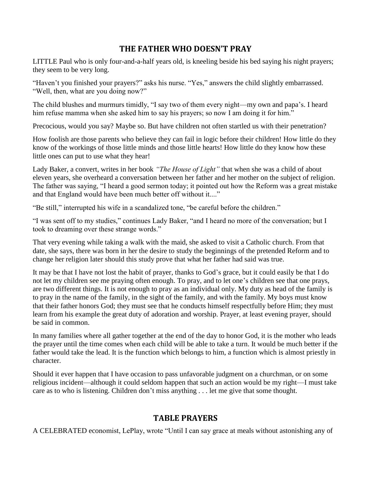## **THE FATHER WHO DOESN'T PRAY**

LITTLE Paul who is only four-and-a-half years old, is kneeling beside his bed saying his night prayers; they seem to be very long.

"Haven't you finished your prayers?" asks his nurse. "Yes," answers the child slightly embarrassed. "Well, then, what are you doing now?"

The child blushes and murmurs timidly, "I say two of them every night—my own and papa's. I heard him refuse mamma when she asked him to say his prayers; so now I am doing it for him."

Precocious, would you say? Maybe so. But have children not often startled us with their penetration?

How foolish are those parents who believe they can fail in logic before their children! How little do they know of the workings of those little minds and those little hearts! How little do they know how these little ones can put to use what they hear!

Lady Baker, a convert, writes in her book *"The House of Light"* that when she was a child of about eleven years, she overheard a conversation between her father and her mother on the subject of religion. The father was saying, "I heard a good sermon today; it pointed out how the Reform was a great mistake and that England would have been much better off without it...."

"Be still," interrupted his wife in a scandalized tone, "be careful before the children."

"I was sent off to my studies," continues Lady Baker, "and I heard no more of the conversation; but I took to dreaming over these strange words."

That very evening while taking a walk with the maid, she asked to visit a Catholic church. From that date, she says, there was born in her the desire to study the beginnings of the pretended Reform and to change her religion later should this study prove that what her father had said was true.

It may be that I have not lost the habit of prayer, thanks to God's grace, but it could easily be that I do not let my children see me praying often enough. To pray, and to let one's children see that one prays, are two different things. It is not enough to pray as an individual only. My duty as head of the family is to pray in the name of the family, in the sight of the family, and with the family. My boys must know that their father honors God; they must see that he conducts himself respectfully before Him; they must learn from his example the great duty of adoration and worship. Prayer, at least evening prayer, should be said in common.

In many families where all gather together at the end of the day to honor God, it is the mother who leads the prayer until the time comes when each child will be able to take a turn. It would be much better if the father would take the lead. It is the function which belongs to him, a function which is almost priestly in character.

Should it ever happen that I have occasion to pass unfavorable judgment on a churchman, or on some religious incident—although it could seldom happen that such an action would be my right—I must take care as to who is listening. Children don't miss anything . . . let me give that some thought.

#### **TABLE PRAYERS**

A CELEBRATED economist, LePlay, wrote "Until I can say grace at meals without astonishing any of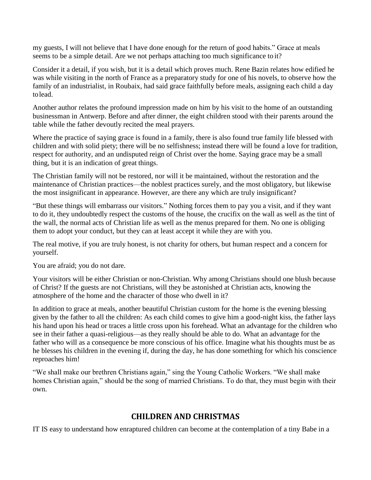my guests, I will not believe that I have done enough for the return of good habits." Grace at meals seems to be a simple detail. Are we not perhaps attaching too much significance to it?

Consider it a detail, if you wish, but it is a detail which proves much. Rene Bazin relates how edified he was while visiting in the north of France as a preparatory study for one of his novels, to observe how the family of an industrialist, in Roubaix, had said grace faithfully before meals, assigning each child a day tolead.

Another author relates the profound impression made on him by his visit to the home of an outstanding businessman in Antwerp. Before and after dinner, the eight children stood with their parents around the table while the father devoutly recited the meal prayers.

Where the practice of saying grace is found in a family, there is also found true family life blessed with children and with solid piety; there will be no selfishness; instead there will be found a love for tradition, respect for authority, and an undisputed reign of Christ over the home. Saying grace may be a small thing, but it is an indication of great things.

The Christian family will not be restored, nor will it be maintained, without the restoration and the maintenance of Christian practices—the noblest practices surely, and the most obligatory, but likewise the most insignificant in appearance. However, are there any which are truly insignificant?

"But these things will embarrass our visitors." Nothing forces them to pay you a visit, and if they want to do it, they undoubtedly respect the customs of the house, the crucifix on the wall as well as the tint of the wall, the normal acts of Christian life as well as the menus prepared for them. No one is obliging them to adopt your conduct, but they can at least accept it while they are with you.

The real motive, if you are truly honest, is not charity for others, but human respect and a concern for yourself.

You are afraid; you do not dare.

Your visitors will be either Christian or non-Christian. Why among Christians should one blush because of Christ? If the guests are not Christians, will they be astonished at Christian acts, knowing the atmosphere of the home and the character of those who dwell in it?

In addition to grace at meals, another beautiful Christian custom for the home is the evening blessing given by the father to all the children: As each child comes to give him a good-night kiss, the father lays his hand upon his head or traces a little cross upon his forehead. What an advantage for the children who see in their father a quasi-religious—as they really should be able to do. What an advantage for the father who will as a consequence be more conscious of his office. Imagine what his thoughts must be as he blesses his children in the evening if, during the day, he has done something for which his conscience reproaches him!

"We shall make our brethren Christians again," sing the Young Catholic Workers. "We shall make homes Christian again," should be the song of married Christians. To do that, they must begin with their own.

#### **CHILDREN AND CHRISTMAS**

IT IS easy to understand how enraptured children can become at the contemplation of a tiny Babe in a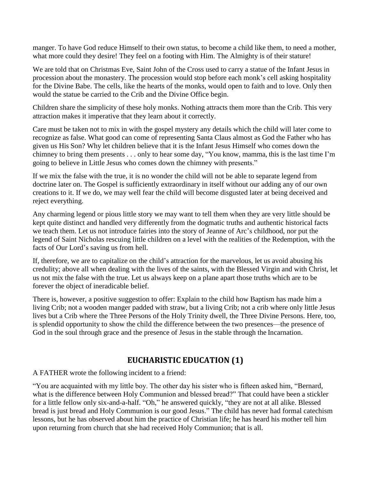manger. To have God reduce Himself to their own status, to become a child like them, to need a mother, what more could they desire! They feel on a footing with Him. The Almighty is of their stature!

We are told that on Christmas Eve, Saint John of the Cross used to carry a statue of the Infant Jesus in procession about the monastery. The procession would stop before each monk's cell asking hospitality for the Divine Babe. The cells, like the hearts of the monks, would open to faith and to love. Only then would the statue be carried to the Crib and the Divine Office begin.

Children share the simplicity of these holy monks. Nothing attracts them more than the Crib. This very attraction makes it imperative that they learn about it correctly.

Care must be taken not to mix in with the gospel mystery any details which the child will later come to recognize as false. What good can come of representing Santa Claus almost as God the Father who has given us His Son? Why let children believe that it is the Infant Jesus Himself who comes down the chimney to bring them presents . . . only to hear some day, "You know, mamma, this is the last time I'm going to believe in Little Jesus who comes down the chimney with presents."

If we mix the false with the true, it is no wonder the child will not be able to separate legend from doctrine later on. The Gospel is sufficiently extraordinary in itself without our adding any of our own creations to it. If we do, we may well fear the child will become disgusted later at being deceived and reject everything.

Any charming legend or pious little story we may want to tell them when they are very little should be kept quite distinct and handled very differently from the dogmatic truths and authentic historical facts we teach them. Let us not introduce fairies into the story of Jeanne of Arc's childhood, nor put the legend of Saint Nicholas rescuing little children on a level with the realities of the Redemption, with the facts of Our Lord's saving us from hell.

If, therefore, we are to capitalize on the child's attraction for the marvelous, let us avoid abusing his credulity; above all when dealing with the lives of the saints, with the Blessed Virgin and with Christ, let us not mix the false with the true. Let us always keep on a plane apart those truths which are to be forever the object of ineradicable belief.

There is, however, a positive suggestion to offer: Explain to the child how Baptism has made him a living Crib; not a wooden manger padded with straw, but a living Crib; not a crib where only little Jesus lives but a Crib where the Three Persons of the Holy Trinity dwell, the Three Divine Persons. Here, too, is splendid opportunity to show the child the difference between the two presences—the presence of God in the soul through grace and the presence of Jesus in the stable through the Incarnation.

#### **EUCHARISTIC EDUCATION (1)**

A FATHER wrote the following incident to a friend:

"You are acquainted with my little boy. The other day his sister who is fifteen asked him, "Bernard, what is the difference between Holy Communion and blessed bread?" That could have been a stickler for a little fellow only six-and-a-half. "Oh," he answered quickly, "they are not at all alike. Blessed bread is just bread and Holy Communion is our good Jesus." The child has never had formal catechism lessons, but he has observed about him the practice of Christian life; he has heard his mother tell him upon returning from church that she had received Holy Communion; that is all.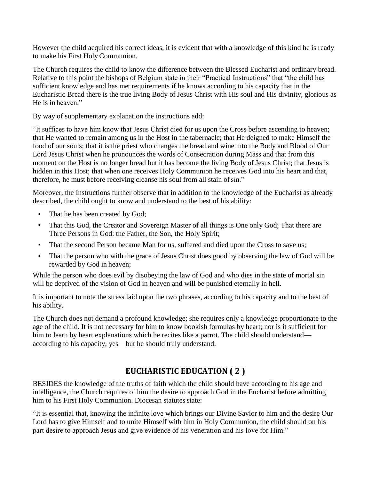However the child acquired his correct ideas, it is evident that with a knowledge of this kind he is ready to make his First Holy Communion.

The Church requires the child to know the difference between the Blessed Eucharist and ordinary bread. Relative to this point the bishops of Belgium state in their "Practical Instructions" that "the child has sufficient knowledge and has met requirements if he knows according to his capacity that in the Eucharistic Bread there is the true living Body of Jesus Christ with His soul and His divinity, glorious as He is in heaven."

By way of supplementary explanation the instructions add:

"It suffices to have him know that Jesus Christ died for us upon the Cross before ascending to heaven; that He wanted to remain among us in the Host in the tabernacle; that He deigned to make Himself the food of our souls; that it is the priest who changes the bread and wine into the Body and Blood of Our Lord Jesus Christ when he pronounces the words of Consecration during Mass and that from this moment on the Host is no longer bread but it has become the living Body of Jesus Christ; that Jesus is hidden in this Host; that when one receives Holy Communion he receives God into his heart and that, therefore, he must before receiving cleanse his soul from all stain of sin."

Moreover, the Instructions further observe that in addition to the knowledge of the Eucharist as already described, the child ought to know and understand to the best of his ability:

- That he has been created by God;
- That this God, the Creator and Sovereign Master of all things is One only God; That there are Three Persons in God: the Father, the Son, the Holy Spirit;
- That the second Person became Man for us, suffered and died upon the Cross to save us;
- That the person who with the grace of Jesus Christ does good by observing the law of God will be rewarded by God in heaven;

While the person who does evil by disobeying the law of God and who dies in the state of mortal sin will be deprived of the vision of God in heaven and will be punished eternally in hell.

It is important to note the stress laid upon the two phrases, according to his capacity and to the best of his ability.

The Church does not demand a profound knowledge; she requires only a knowledge proportionate to the age of the child. It is not necessary for him to know bookish formulas by heart; nor is it sufficient for him to learn by heart explanations which he recites like a parrot. The child should understand according to his capacity, yes—but he should truly understand.

# **EUCHARISTIC EDUCATION ( 2 )**

BESIDES the knowledge of the truths of faith which the child should have according to his age and intelligence, the Church requires of him the desire to approach God in the Eucharist before admitting him to his First Holy Communion. Diocesan statutes state:

"It is essential that, knowing the infinite love which brings our Divine Savior to him and the desire Our Lord has to give Himself and to unite Himself with him in Holy Communion, the child should on his part desire to approach Jesus and give evidence of his veneration and his love for Him."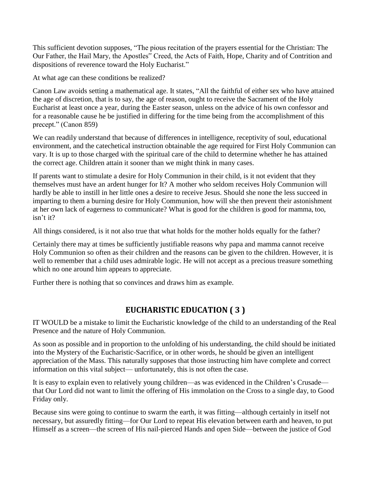This sufficient devotion supposes, "The pious recitation of the prayers essential for the Christian: The Our Father, the Hail Mary, the Apostles" Creed, the Acts of Faith, Hope, Charity and of Contrition and dispositions of reverence toward the Holy Eucharist."

At what age can these conditions be realized?

Canon Law avoids setting a mathematical age. It states, "All the faithful of either sex who have attained the age of discretion, that is to say, the age of reason, ought to receive the Sacrament of the Holy Eucharist at least once a year, during the Easter season, unless on the advice of his own confessor and for a reasonable cause he be justified in differing for the time being from the accomplishment of this precept." (Canon 859)

We can readily understand that because of differences in intelligence, receptivity of soul, educational environment, and the catechetical instruction obtainable the age required for First Holy Communion can vary. It is up to those charged with the spiritual care of the child to determine whether he has attained the correct age. Children attain it sooner than we might think in many cases.

If parents want to stimulate a desire for Holy Communion in their child, is it not evident that they themselves must have an ardent hunger for It? A mother who seldom receives Holy Communion will hardly be able to instill in her little ones a desire to receive Jesus. Should she none the less succeed in imparting to them a burning desire for Holy Communion, how will she then prevent their astonishment at her own lack of eagerness to communicate? What is good for the children is good for mamma, too, isn't it?

All things considered, is it not also true that what holds for the mother holds equally for the father?

Certainly there may at times be sufficiently justifiable reasons why papa and mamma cannot receive Holy Communion so often as their children and the reasons can be given to the children. However, it is well to remember that a child uses admirable logic. He will not accept as a precious treasure something which no one around him appears to appreciate.

Further there is nothing that so convinces and draws him as example.

# **EUCHARISTIC EDUCATION ( 3 )**

IT WOULD be a mistake to limit the Eucharistic knowledge of the child to an understanding of the Real Presence and the nature of Holy Communion.

As soon as possible and in proportion to the unfolding of his understanding, the child should be initiated into the Mystery of the Eucharistic-Sacrifice, or in other words, he should be given an intelligent appreciation of the Mass. This naturally supposes that those instructing him have complete and correct information on this vital subject— unfortunately, this is not often the case.

It is easy to explain even to relatively young children—as was evidenced in the Children's Crusade that Our Lord did not want to limit the offering of His immolation on the Cross to a single day, to Good Friday only.

Because sins were going to continue to swarm the earth, it was fitting—although certainly in itself not necessary, but assuredly fitting—for Our Lord to repeat His elevation between earth and heaven, to put Himself as a screen—the screen of His nail-pierced Hands and open Side—between the justice of God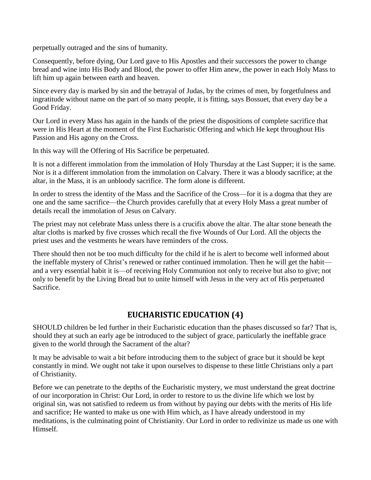perpetually outraged and the sins of humanity.

Consequently, before dying, Our Lord gave to His Apostles and their successors the power to change bread and wine into His Body and Blood, the power to offer Him anew, the power in each Holy Mass to lift him up again between earth and heaven.

Since every day is marked by sin and the betrayal of Judas, by the crimes of men, by forgetfulness and ingratitude without name on the part of so many people, it is fitting, says Bossuet, that every day be a Good Friday.

Our Lord in every Mass has again in the hands of the priest the dispositions of complete sacrifice that were in His Heart at the moment of the First Eucharistic Offering and which He kept throughout His Passion and His agony on the Cross.

In this way will the Offering of His Sacrifice be perpetuated.

It is not a different immolation from the immolation of Holy Thursday at the Last Supper; it is the same. Nor is it a different immolation from the immolation on Calvary. There it was a bloody sacrifice; at the altar, in the Mass, it is an unbloody sacrifice. The form alone is different.

In order to stress the identity of the Mass and the Sacrifice of the Cross—for it is a dogma that they are one and the same sacrifice—the Church provides carefully that at every Holy Mass a great number of details recall the immolation of Jesus on Calvary.

The priest may not celebrate Mass unless there is a crucifix above the altar. The altar stone beneath the altar cloths is marked by five crosses which recall the five Wounds of Our Lord. All the objects the priest uses and the vestments he wears have reminders of the cross.

There should then not be too much difficulty for the child if he is alert to become well informed about the ineffable mystery of Christ's renewed or rather continued immolation. Then he will get the habit and a very essential habit it is—of receiving Holy Communion not only to receive but also to give; not only to benefit by the Living Bread but to unite himself with Jesus in the very act of His perpetuated Sacrifice.

## **EUCHARISTIC EDUCATION (4)**

SHOULD children be led further in their Eucharistic education than the phases discussed so far? That is, should they at such an early age be introduced to the subject of grace, particularly the ineffable grace given to the world through the Sacrament of the altar?

It may be advisable to wait a bit before introducing them to the subject of grace but it should be kept constantly in mind. We ought not take it upon ourselves to dispense to these little Christians only a part of Christianity.

Before we can penetrate to the depths of the Eucharistic mystery, we must understand the great doctrine of our incorporation in Christ: Our Lord, in order to restore to us the divine life which we lost by original sin, was not satisfied to redeem us from without by paying our debts with the merits of His life and sacrifice; He wanted to make us one with Him which, as I have already understood in my meditations, is the culminating point of Christianity. Our Lord in order to redivinize us made us one with Himself.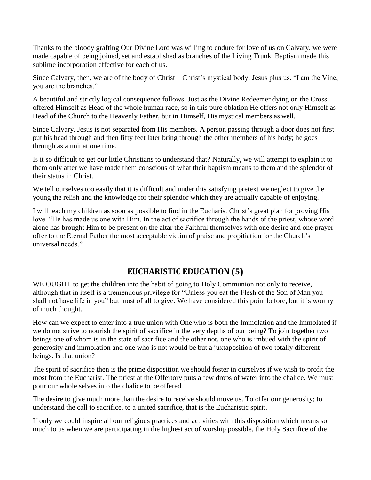Thanks to the bloody grafting Our Divine Lord was willing to endure for love of us on Calvary, we were made capable of being joined, set and established as branches of the Living Trunk. Baptism made this sublime incorporation effective for each of us.

Since Calvary, then, we are of the body of Christ—Christ's mystical body: Jesus plus us. "I am the Vine, you are the branches."

A beautiful and strictly logical consequence follows: Just as the Divine Redeemer dying on the Cross offered Himself as Head of the whole human race, so in this pure oblation He offers not only Himself as Head of the Church to the Heavenly Father, but in Himself, His mystical members as well.

Since Calvary, Jesus is not separated from His members. A person passing through a door does not first put his head through and then fifty feet later bring through the other members of his body; he goes through as a unit at one time.

Is it so difficult to get our little Christians to understand that? Naturally, we will attempt to explain it to them only after we have made them conscious of what their baptism means to them and the splendor of their status in Christ.

We tell ourselves too easily that it is difficult and under this satisfying pretext we neglect to give the young the relish and the knowledge for their splendor which they are actually capable of enjoying.

I will teach my children as soon as possible to find in the Eucharist Christ's great plan for proving His love. "He has made us one with Him. In the act of sacrifice through the hands of the priest, whose word alone has brought Him to be present on the altar the Faithful themselves with one desire and one prayer offer to the Eternal Father the most acceptable victim of praise and propitiation for the Church's universal needs."

# **EUCHARISTIC EDUCATION (5)**

WE OUGHT to get the children into the habit of going to Holy Communion not only to receive, although that in itself is a tremendous privilege for "Unless you eat the Flesh of the Son of Man you shall not have life in you" but most of all to give. We have considered this point before, but it is worthy of much thought.

How can we expect to enter into a true union with One who is both the Immolation and the Immolated if we do not strive to nourish the spirit of sacrifice in the very depths of our being? To join together two beings one of whom is in the state of sacrifice and the other not, one who is imbued with the spirit of generosity and immolation and one who is not would be but a juxtaposition of two totally different beings. Is that union?

The spirit of sacrifice then is the prime disposition we should foster in ourselves if we wish to profit the most from the Eucharist. The priest at the Offertory puts a few drops of water into the chalice. We must pour our whole selves into the chalice to be offered.

The desire to give much more than the desire to receive should move us. To offer our generosity; to understand the call to sacrifice, to a united sacrifice, that is the Eucharistic spirit.

If only we could inspire all our religious practices and activities with this disposition which means so much to us when we are participating in the highest act of worship possible, the Holy Sacrifice of the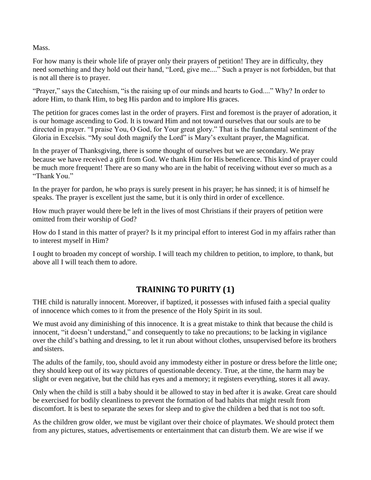Mass.

For how many is their whole life of prayer only their prayers of petition! They are in difficulty, they need something and they hold out their hand, "Lord, give me...." Such a prayer is not forbidden, but that is not all there is to prayer.

"Prayer," says the Catechism, "is the raising up of our minds and hearts to God...." Why? In order to adore Him, to thank Him, to beg His pardon and to implore His graces.

The petition for graces comes last in the order of prayers. First and foremost is the prayer of adoration, it is our homage ascending to God. It is toward Him and not toward ourselves that our souls are to be directed in prayer. "I praise You, O God, for Your great glory." That is the fundamental sentiment of the Gloria in Excelsis. "My soul doth magnify the Lord" is Mary's exultant prayer, the Magnificat.

In the prayer of Thanksgiving, there is some thought of ourselves but we are secondary. We pray because we have received a gift from God. We thank Him for His beneficence. This kind of prayer could be much more frequent! There are so many who are in the habit of receiving without ever so much as a "Thank You."

In the prayer for pardon, he who prays is surely present in his prayer; he has sinned; it is of himself he speaks. The prayer is excellent just the same, but it is only third in order of excellence.

How much prayer would there be left in the lives of most Christians if their prayers of petition were omitted from their worship of God?

How do I stand in this matter of prayer? Is it my principal effort to interest God in my affairs rather than to interest myself in Him?

I ought to broaden my concept of worship. I will teach my children to petition, to implore, to thank, but above all I will teach them to adore.

# **TRAINING TO PURITY (1)**

THE child is naturally innocent. Moreover, if baptized, it possesses with infused faith a special quality of innocence which comes to it from the presence of the Holy Spirit in its soul.

We must avoid any diminishing of this innocence. It is a great mistake to think that because the child is innocent, "it doesn't understand," and consequently to take no precautions; to be lacking in vigilance over the child's bathing and dressing, to let it run about without clothes, unsupervised before its brothers and sisters.

The adults of the family, too, should avoid any immodesty either in posture or dress before the little one; they should keep out of its way pictures of questionable decency. True, at the time, the harm may be slight or even negative, but the child has eyes and a memory; it registers everything, stores it all away.

Only when the child is still a baby should it be allowed to stay in bed after it is awake. Great care should be exercised for bodily cleanliness to prevent the formation of bad habits that might result from discomfort. It is best to separate the sexes for sleep and to give the children a bed that is not too soft.

As the children grow older, we must be vigilant over their choice of playmates. We should protect them from any pictures, statues, advertisements or entertainment that can disturb them. We are wise if we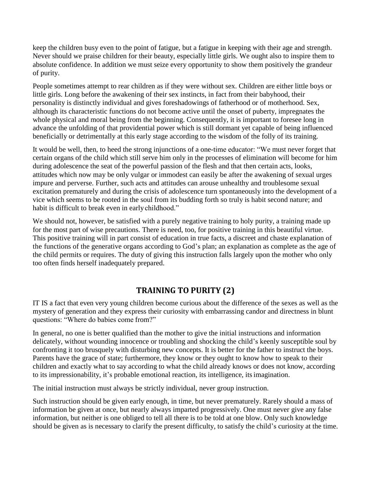keep the children busy even to the point of fatigue, but a fatigue in keeping with their age and strength. Never should we praise children for their beauty, especially little girls. We ought also to inspire them to absolute confidence. In addition we must seize every opportunity to show them positively the grandeur of purity.

People sometimes attempt to rear children as if they were without sex. Children are either little boys or little girls. Long before the awakening of their sex instincts, in fact from their babyhood, their personality is distinctly individual and gives foreshadowings of fatherhood or of motherhood. Sex, although its characteristic functions do not become active until the onset of puberty, impregnates the whole physical and moral being from the beginning. Consequently, it is important to foresee long in advance the unfolding of that providential power which is still dormant yet capable of being influenced beneficially or detrimentally at this early stage according to the wisdom of the folly of its training.

It would be well, then, to heed the strong injunctions of a one-time educator: "We must never forget that certain organs of the child which still serve him only in the processes of elimination will become for him during adolescence the seat of the powerful passion of the flesh and that then certain acts, looks, attitudes which now may be only vulgar or immodest can easily be after the awakening of sexual urges impure and perverse. Further, such acts and attitudes can arouse unhealthy and troublesome sexual excitation prematurely and during the crisis of adolescence turn spontaneously into the development of a vice which seems to be rooted in the soul from its budding forth so truly is habit second nature; and habit is difficult to break even in early childhood."

We should not, however, be satisfied with a purely negative training to holy purity, a training made up for the most part of wise precautions. There is need, too, for positive training in this beautiful virtue. This positive training will in part consist of education in true facts, a discreet and chaste explanation of the functions of the generative organs according to God's plan; an explanation as complete as the age of the child permits or requires. The duty of giving this instruction falls largely upon the mother who only too often finds herself inadequately prepared.

# **TRAINING TO PURITY (2)**

IT IS a fact that even very young children become curious about the difference of the sexes as well as the mystery of generation and they express their curiosity with embarrassing candor and directness in blunt questions: "Where do babies come from?"

In general, no one is better qualified than the mother to give the initial instructions and information delicately, without wounding innocence or troubling and shocking the child's keenly susceptible soul by confronting it too brusquely with disturbing new concepts. It is better for the father to instruct the boys. Parents have the grace of state; furthermore, they know or they ought to know how to speak to their children and exactly what to say according to what the child already knows or does not know, according to its impressionability, it's probable emotional reaction, its intelligence, itsimagination.

The initial instruction must always be strictly individual, never group instruction.

Such instruction should be given early enough, in time, but never prematurely. Rarely should a mass of information be given at once, but nearly always imparted progressively. One must never give any false information, but neither is one obliged to tell all there is to be told at one blow. Only such knowledge should be given as is necessary to clarify the present difficulty, to satisfy the child's curiosity at the time.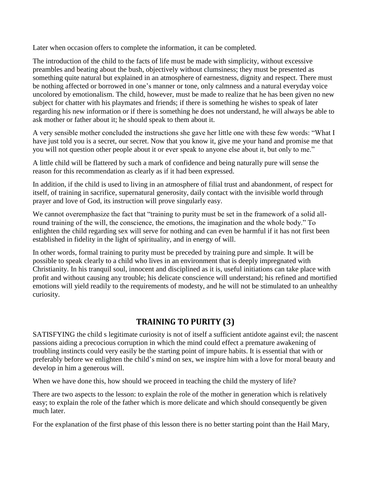Later when occasion offers to complete the information, it can be completed.

The introduction of the child to the facts of life must be made with simplicity, without excessive preambles and beating about the bush, objectively without clumsiness; they must be presented as something quite natural but explained in an atmosphere of earnestness, dignity and respect. There must be nothing affected or borrowed in one's manner or tone, only calmness and a natural everyday voice uncolored by emotionalism. The child, however, must be made to realize that he has been given no new subject for chatter with his playmates and friends; if there is something he wishes to speak of later regarding his new information or if there is something he does not understand, he will always be able to ask mother or father about it; he should speak to them about it.

A very sensible mother concluded the instructions she gave her little one with these few words: "What I have just told you is a secret, our secret. Now that you know it, give me your hand and promise me that you will not question other people about it or ever speak to anyone else about it, but only to me."

A little child will be flattered by such a mark of confidence and being naturally pure will sense the reason for this recommendation as clearly as if it had been expressed.

In addition, if the child is used to living in an atmosphere of filial trust and abandonment, of respect for itself, of training in sacrifice, supernatural generosity, daily contact with the invisible world through prayer and love of God, its instruction will prove singularly easy.

We cannot overemphasize the fact that "training to purity must be set in the framework of a solid allround training of the will, the conscience, the emotions, the imagination and the whole body." To enlighten the child regarding sex will serve for nothing and can even be harmful if it has not first been established in fidelity in the light of spirituality, and in energy of will.

In other words, formal training to purity must be preceded by training pure and simple. It will be possible to speak clearly to a child who lives in an environment that is deeply impregnated with Christianity. In his tranquil soul, innocent and disciplined as it is, useful initiations can take place with profit and without causing any trouble; his delicate conscience will understand; his refined and mortified emotions will yield readily to the requirements of modesty, and he will not be stimulated to an unhealthy curiosity.

# **TRAINING TO PURITY (3)**

SATISFYING the child s legitimate curiosity is not of itself a sufficient antidote against evil; the nascent passions aiding a precocious corruption in which the mind could effect a premature awakening of troubling instincts could very easily be the starting point of impure habits. It is essential that with or preferably before we enlighten the child's mind on sex, we inspire him with a love for moral beauty and develop in him a generous will.

When we have done this, how should we proceed in teaching the child the mystery of life?

There are two aspects to the lesson: to explain the role of the mother in generation which is relatively easy; to explain the role of the father which is more delicate and which should consequently be given much later.

For the explanation of the first phase of this lesson there is no better starting point than the Hail Mary,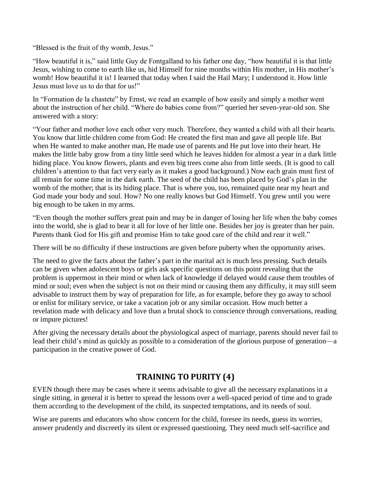"Blessed is the fruit of thy womb, Jesus."

"How beautiful it is," said little Guy de Fontgalland to his father one day, "how beautiful it is that little Jesus, wishing to come to earth like us, hid Himself for nine months within His mother, in His mother's womb! How beautiful it is! I learned that today when I said the Hail Mary; I understood it. How little Jesus must love us to do that for us!"

In "Formation de la chastete" by Ernst, we read an example of how easily and simply a mother went about the instruction of her child. "Where do babies come from?" queried her seven-year-old son. She answered with a story:

"Your father and mother love each other very much. Therefore, they wanted a child with all their hearts. You know that little children come from God: He created the first man and gave all people life. But when He wanted to make another man, He made use of parents and He put love into their heart. He makes the little baby grow from a tiny little seed which he leaves hidden for almost a year in a dark little hiding place. You know flowers, plants and even big trees come also from little seeds. (It is good to call children's attention to that fact very early as it makes a good background.) Now each grain must first of all remain for some time in the dark earth. The seed of the child has been placed by God's plan in the womb of the mother; that is its hiding place. That is where you, too, remained quite near my heart and God made your body and soul. How? No one really knows but God Himself. You grew until you were big enough to be taken in my arms.

"Even though the mother suffers great pain and may be in danger of losing her life when the baby comes into the world, she is glad to bear it all for love of her little one. Besides her joy is greater than her pain. Parents thank God for His gift and promise Him to take good care of the child and rear it well."

There will be no difficulty if these instructions are given before puberty when the opportunity arises.

The need to give the facts about the father's part in the marital act is much less pressing. Such details can be given when adolescent boys or girls ask specific questions on this point revealing that the problem is uppermost in their mind or when lack of knowledge if delayed would cause them troubles of mind or soul; even when the subject is not on their mind or causing them any difficulty, it may still seem advisable to instruct them by way of preparation for life, as for example, before they go away to school or enlist for military service, or take a vacation job or any similar occasion. How much better a revelation made with delicacy and love than a brutal shock to conscience through conversations, reading or impure pictures!

After giving the necessary details about the physiological aspect of marriage, parents should never fail to lead their child's mind as quickly as possible to a consideration of the glorious purpose of generation—a participation in the creative power of God.

## **TRAINING TO PURITY (4)**

EVEN though there may be cases where it seems advisable to give all the necessary explanations in a single sitting, in general it is better to spread the lessons over a well-spaced period of time and to grade them according to the development of the child, its suspected temptations, and its needs of soul.

Wise are parents and educators who show concern for the child, foresee its needs, guess its worries, answer prudently and discreetly its silent or expressed questioning. They need much self-sacrifice and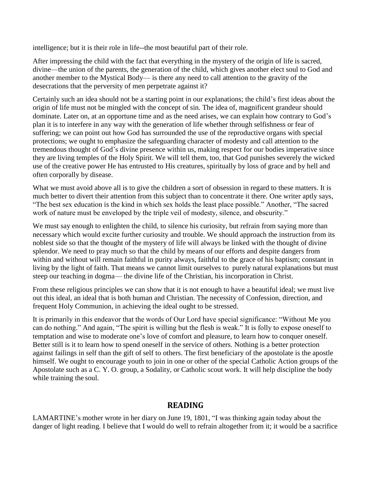intelligence; but it is their role in life--the most beautiful part of their role.

After impressing the child with the fact that everything in the mystery of the origin of life is sacred, divine—the union of the parents, the generation of the child, which gives another elect soul to God and another member to the Mystical Body— is there any need to call attention to the gravity of the desecrations that the perversity of men perpetrate against it?

Certainly such an idea should not be a starting point in our explanations; the child's first ideas about the origin of life must not be mingled with the concept of sin. The idea of, magnificent grandeur should dominate. Later on, at an opportune time and as the need arises, we can explain how contrary to God's plan it is to interfere in any way with the generation of life whether through selfishness or fear of suffering; we can point out how God has surrounded the use of the reproductive organs with special protections; we ought to emphasize the safeguarding character of modesty and call attention to the tremendous thought of God's divine presence within us, making respect for our bodies imperative since they are living temples of the Holy Spirit. We will tell them, too, that God punishes severely the wicked use of the creative power He has entrusted to His creatures, spiritually by loss of grace and by hell and often corporally by disease.

What we must avoid above all is to give the children a sort of obsession in regard to these matters. It is much better to divert their attention from this subject than to concentrate it there. One writer aptly says, "The best sex education is the kind in which sex holds the least place possible." Another, "The sacred work of nature must be enveloped by the triple veil of modesty, silence, and obscurity."

We must say enough to enlighten the child, to silence his curiosity, but refrain from saying more than necessary which would excite further curiosity and trouble. We should approach the instruction from its noblest side so that the thought of the mystery of life will always be linked with the thought of divine splendor. We need to pray much so that the child by means of our efforts and despite dangers from within and without will remain faithful in purity always, faithful to the grace of his baptism; constant in living by the light of faith. That means we cannot limit ourselves to purely natural explanations but must steep our teaching in dogma— the divine life of the Christian, his incorporation in Christ.

From these religious principles we can show that it is not enough to have a beautiful ideal; we must live out this ideal, an ideal that is both human and Christian. The necessity of Confession, direction, and frequent Holy Communion, in achieving the ideal ought to be stressed.

It is primarily in this endeavor that the words of Our Lord have special significance: "Without Me you can do nothing." And again, "The spirit is willing but the flesh is weak." It is folly to expose oneself to temptation and wise to moderate one's love of comfort and pleasure, to learn how to conquer oneself. Better still is it to learn how to spend oneself in the service of others. Nothing is a better protection against failings in self than the gift of self to others. The first beneficiary of the apostolate is the apostle himself. We ought to encourage youth to join in one or other of the special Catholic Action groups of the Apostolate such as a C. Y. O. group, a Sodality, or Catholic scout work. It will help discipline the body while training the soul.

#### **READING**

LAMARTINE's mother wrote in her diary on June 19, 1801, "I was thinking again today about the danger of light reading. I believe that I would do well to refrain altogether from it; it would be a sacrifice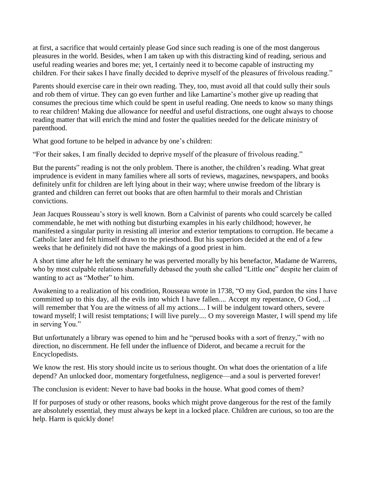at first, a sacrifice that would certainly please God since such reading is one of the most dangerous pleasures in the world. Besides, when I am taken up with this distracting kind of reading, serious and useful reading wearies and bores me; yet, I certainly need it to become capable of instructing my children. For their sakes I have finally decided to deprive myself of the pleasures of frivolous reading."

Parents should exercise care in their own reading. They, too, must avoid all that could sully their souls and rob them of virtue. They can go even further and like Lamartine's mother give up reading that consumes the precious time which could be spent in useful reading. One needs to know so many things to rear children! Making due allowance for needful and useful distractions, one ought always to choose reading matter that will enrich the mind and foster the qualities needed for the delicate ministry of parenthood.

What good fortune to be helped in advance by one's children:

"For their sakes, I am finally decided to deprive myself of the pleasure of frivolous reading."

But the parents" reading is not the only problem. There is another, the children's reading. What great imprudence is evident in many families where all sorts of reviews, magazines, newspapers, and books definitely unfit for children are left lying about in their way; where unwise freedom of the library is granted and children can ferret out books that are often harmful to their morals and Christian convictions.

Jean Jacques Rousseau's story is well known. Born a Calvinist of parents who could scarcely be called commendable, he met with nothing but disturbing examples in his early childhood; however, he manifested a singular purity in resisting all interior and exterior temptations to corruption. He became a Catholic later and felt himself drawn to the priesthood. But his superiors decided at the end of a few weeks that he definitely did not have the makings of a good priest in him.

A short time after he left the seminary he was perverted morally by his benefactor, Madame de Warrens, who by most culpable relations shamefully debased the youth she called "Little one" despite her claim of wanting to act as "Mother" to him.

Awakening to a realization of his condition, Rousseau wrote in 1738, "O my God, pardon the sins I have committed up to this day, all the evils into which I have fallen.... Accept my repentance, O God, ...I will remember that You are the witness of all my actions.... I will be indulgent toward others, severe toward myself; I will resist temptations; I will live purely.... O my sovereign Master, I will spend my life in serving You."

But unfortunately a library was opened to him and he "perused books with a sort of frenzy," with no direction, no discernment. He fell under the influence of Diderot, and became a recruit for the Encyclopedists.

We know the rest. His story should incite us to serious thought. On what does the orientation of a life depend? An unlocked door, momentary forgetfulness, negligence—and a soul is perverted forever!

The conclusion is evident: Never to have bad books in the house. What good comes of them?

If for purposes of study or other reasons, books which might prove dangerous for the rest of the family are absolutely essential, they must always be kept in a locked place. Children are curious, so too are the help. Harm is quickly done!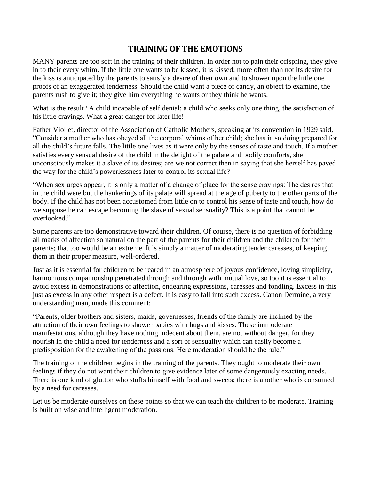#### **TRAINING OF THE EMOTIONS**

MANY parents are too soft in the training of their children. In order not to pain their offspring, they give in to their every whim. If the little one wants to be kissed, it is kissed; more often than not its desire for the kiss is anticipated by the parents to satisfy a desire of their own and to shower upon the little one proofs of an exaggerated tenderness. Should the child want a piece of candy, an object to examine, the parents rush to give it; they give him everything he wants or they think he wants.

What is the result? A child incapable of self denial; a child who seeks only one thing, the satisfaction of his little cravings. What a great danger for later life!

Father Viollet, director of the Association of Catholic Mothers, speaking at its convention in 1929 said, "Consider a mother who has obeyed all the corporal whims of her child; she has in so doing prepared for all the child's future falls. The little one lives as it were only by the senses of taste and touch. If a mother satisfies every sensual desire of the child in the delight of the palate and bodily comforts, she unconsciously makes it a slave of its desires; are we not correct then in saying that she herself has paved the way for the child's powerlessness later to control its sexual life?

"When sex urges appear, it is only a matter of a change of place for the sense cravings: The desires that in the child were but the hankerings of its palate will spread at the age of puberty to the other parts of the body. If the child has not been accustomed from little on to control his sense of taste and touch, how do we suppose he can escape becoming the slave of sexual sensuality? This is a point that cannot be overlooked"

Some parents are too demonstrative toward their children. Of course, there is no question of forbidding all marks of affection so natural on the part of the parents for their children and the children for their parents; that too would be an extreme. It is simply a matter of moderating tender caresses, of keeping them in their proper measure, well-ordered.

Just as it is essential for children to be reared in an atmosphere of joyous confidence, loving simplicity, harmonious companionship penetrated through and through with mutual love, so too it is essential to avoid excess in demonstrations of affection, endearing expressions, caresses and fondling. Excess in this just as excess in any other respect is a defect. It is easy to fall into such excess. Canon Dermine, a very understanding man, made this comment:

"Parents, older brothers and sisters, maids, governesses, friends of the family are inclined by the attraction of their own feelings to shower babies with hugs and kisses. These immoderate manifestations, although they have nothing indecent about them, are not without danger, for they nourish in the child a need for tenderness and a sort of sensuality which can easily become a predisposition for the awakening of the passions. Here moderation should be the rule."

The training of the children begins in the training of the parents. They ought to moderate their own feelings if they do not want their children to give evidence later of some dangerously exacting needs. There is one kind of glutton who stuffs himself with food and sweets; there is another who is consumed by a need for caresses.

Let us be moderate ourselves on these points so that we can teach the children to be moderate. Training is built on wise and intelligent moderation.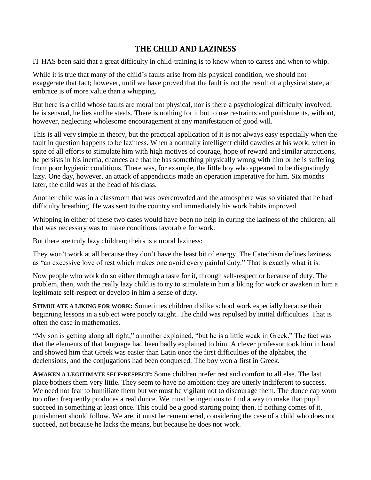## **THE CHILD AND LAZINESS**

IT HAS been said that a great difficulty in child-training is to know when to caress and when to whip.

While it is true that many of the child's faults arise from his physical condition, we should not exaggerate that fact; however, until we have proved that the fault is not the result of a physical state, an embrace is of more value than a whipping.

But here is a child whose faults are moral not physical, nor is there a psychological difficulty involved; he is sensual, he lies and he steals. There is nothing for it but to use restraints and punishments, without, however, neglecting wholesome encouragement at any manifestation of good will.

This is all very simple in theory, but the practical application of it is not always easy especially when the fault in question happens to be laziness. When a normally intelligent child dawdles at his work; when in spite of all efforts to stimulate him with high motives of courage, hope of reward and similar attractions, he persists in his inertia, chances are that he has something physically wrong with him or he is suffering from poor hygienic conditions. There was, for example, the little boy who appeared to be disgustingly lazy. One day, however, an attack of appendicitis made an operation imperative for him. Six months later, the child was at the head of his class.

Another child was in a classroom that was overcrowded and the atmosphere was so vitiated that he had difficulty breathing. He was sent to the country and immediately his work habits improved.

Whipping in either of these two cases would have been no help in curing the laziness of the children; all that was necessary was to make conditions favorable for work.

But there are truly lazy children; theirs is a moral laziness:

They won't work at all because they don't have the least bit of energy. The Catechism defines laziness as "an excessive love of rest which makes one avoid every painful duty." That is exactly what it is.

Now people who work do so either through a taste for it, through self-respect or because of duty. The problem, then, with the really lazy child is to try to stimulate in him a liking for work or awaken in him a legitimate self-respect or develop in him a sense of duty.

**STIMULATE A LIKING FOR WORK:** Sometimes children dislike school work especially because their beginning lessons in a subject were poorly taught. The child was repulsed by initial difficulties. That is often the case in mathematics.

"My son is getting along all right," a mother explained, "but he is a little weak in Greek." The fact was that the elements of that language had been badly explained to him. A clever professor took him in hand and showed him that Greek was easier than Latin once the first difficulties of the alphabet, the declensions, and the conjugations had been conquered. The boy won a first in Greek.

**AWAKEN A LEGITIMATE SELF-RESPECT:** Some children prefer rest and comfort to all else. The last place bothers them very little. They seem to have no ambition; they are utterly indifferent to success. We need not fear to humiliate them but we must be vigilant not to discourage them. The dunce cap worn too often frequently produces a real dunce. We must be ingenious to find a way to make that pupil succeed in something at least once. This could be a good starting point; then, if nothing comes of it, punishment should follow. We are, it must be remembered, considering the case of a child who does not succeed, not because he lacks the means, but because he does not work.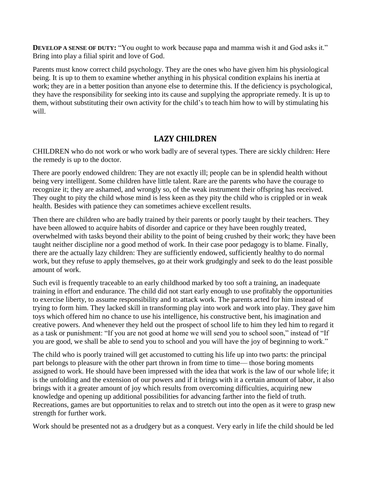**DEVELOP A SENSE OF DUTY:** "You ought to work because papa and mamma wish it and God asks it." Bring into play a filial spirit and love of God.

Parents must know correct child psychology. They are the ones who have given him his physiological being. It is up to them to examine whether anything in his physical condition explains his inertia at work; they are in a better position than anyone else to determine this. If the deficiency is psychological, they have the responsibility for seeking into its cause and supplying the appropriate remedy. It is up to them, without substituting their own activity for the child's to teach him how to will by stimulating his will.

#### **LAZY CHILDREN**

CHILDREN who do not work or who work badly are of several types. There are sickly children: Here the remedy is up to the doctor.

There are poorly endowed children: They are not exactly ill; people can be in splendid health without being very intelligent. Some children have little talent. Rare are the parents who have the courage to recognize it; they are ashamed, and wrongly so, of the weak instrument their offspring has received. They ought to pity the child whose mind is less keen as they pity the child who is crippled or in weak health. Besides with patience they can sometimes achieve excellent results.

Then there are children who are badly trained by their parents or poorly taught by their teachers. They have been allowed to acquire habits of disorder and caprice or they have been roughly treated, overwhelmed with tasks beyond their ability to the point of being crushed by their work; they have been taught neither discipline nor a good method of work. In their case poor pedagogy is to blame. Finally, there are the actually lazy children: They are sufficiently endowed, sufficiently healthy to do normal work, but they refuse to apply themselves, go at their work grudgingly and seek to do the least possible amount of work.

Such evil is frequently traceable to an early childhood marked by too soft a training, an inadequate training in effort and endurance. The child did not start early enough to use profitably the opportunities to exercise liberty, to assume responsibility and to attack work. The parents acted for him instead of trying to form him. They lacked skill in transforming play into work and work into play. They gave him toys which offered him no chance to use his intelligence, his constructive bent, his imagination and creative powers. And whenever they held out the prospect of school life to him they led him to regard it as a task or punishment: "If you are not good at home we will send you to school soon," instead of "If you are good, we shall be able to send you to school and you will have the joy of beginning to work."

The child who is poorly trained will get accustomed to cutting his life up into two parts: the principal part belongs to pleasure with the other part thrown in from time to time— those boring moments assigned to work. He should have been impressed with the idea that work is the law of our whole life; it is the unfolding and the extension of our powers and if it brings with it a certain amount of labor, it also brings with it a greater amount of joy which results from overcoming difficulties, acquiring new knowledge and opening up additional possibilities for advancing farther into the field of truth. Recreations, games are but opportunities to relax and to stretch out into the open as it were to grasp new strength for further work.

Work should be presented not as a drudgery but as a conquest. Very early in life the child should be led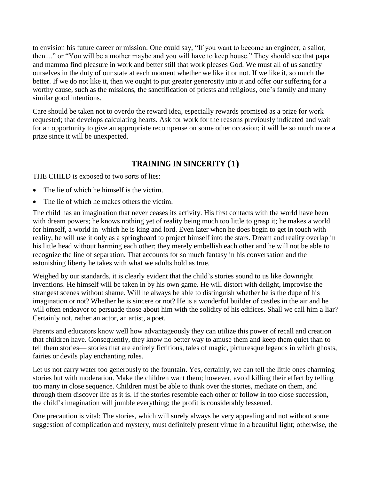to envision his future career or mission. One could say, "If you want to become an engineer, a sailor, then...." or "You will be a mother maybe and you will have to keep house." They should see that papa and mamma find pleasure in work and better still that work pleases God. We must all of us sanctify ourselves in the duty of our state at each moment whether we like it or not. If we like it, so much the better. If we do not like it, then we ought to put greater generosity into it and offer our suffering for a worthy cause, such as the missions, the sanctification of priests and religious, one's family and many similar good intentions.

Care should be taken not to overdo the reward idea, especially rewards promised as a prize for work requested; that develops calculating hearts. Ask for work for the reasons previously indicated and wait for an opportunity to give an appropriate recompense on some other occasion; it will be so much more a prize since it will be unexpected.

## **TRAINING IN SINCERITY (1)**

THE CHILD is exposed to two sorts of lies:

- The lie of which he himself is the victim.
- The lie of which he makes others the victim.

The child has an imagination that never ceases its activity. His first contacts with the world have been with dream powers; he knows nothing yet of reality being much too little to grasp it; he makes a world for himself, a world in which he is king and lord. Even later when he does begin to get in touch with reality, he will use it only as a springboard to project himself into the stars. Dream and reality overlap in his little head without harming each other; they merely embellish each other and he will not be able to recognize the line of separation. That accounts for so much fantasy in his conversation and the astonishing liberty he takes with what we adults hold as true.

Weighed by our standards, it is clearly evident that the child's stories sound to us like downright inventions. He himself will be taken in by his own game. He will distort with delight, improvise the strangest scenes without shame. Will he always be able to distinguish whether he is the dupe of his imagination or not? Whether he is sincere or not? He is a wonderful builder of castles in the air and he will often endeavor to persuade those about him with the solidity of his edifices. Shall we call him a liar? Certainly not, rather an actor, an artist, a poet.

Parents and educators know well how advantageously they can utilize this power of recall and creation that children have. Consequently, they know no better way to amuse them and keep them quiet than to tell them stories— stories that are entirely fictitious, tales of magic, picturesque legends in which ghosts, fairies or devils play enchanting roles.

Let us not carry water too generously to the fountain. Yes, certainly, we can tell the little ones charming stories but with moderation. Make the children want them; however, avoid killing their effect by telling too many in close sequence. Children must be able to think over the stories, mediate on them, and through them discover life as it is. If the stories resemble each other or follow in too close succession, the child's imagination will jumble everything; the profit is considerably lessened.

One precaution is vital: The stories, which will surely always be very appealing and not without some suggestion of complication and mystery, must definitely present virtue in a beautiful light; otherwise, the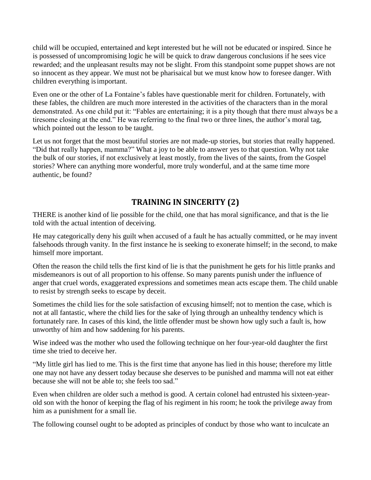child will be occupied, entertained and kept interested but he will not be educated or inspired. Since he is possessed of uncompromising logic he will be quick to draw dangerous conclusions if he sees vice rewarded; and the unpleasant results may not be slight. From this standpoint some puppet shows are not so innocent as they appear. We must not be pharisaical but we must know how to foresee danger. With children everything isimportant.

Even one or the other of La Fontaine's fables have questionable merit for children. Fortunately, with these fables, the children are much more interested in the activities of the characters than in the moral demonstrated. As one child put it: "Fables are entertaining; it is a pity though that there must always be a tiresome closing at the end." He was referring to the final two or three lines, the author's moral tag, which pointed out the lesson to be taught.

Let us not forget that the most beautiful stories are not made-up stories, but stories that really happened. "Did that really happen, mamma?" What a joy to be able to answer yes to that question. Why not take the bulk of our stories, if not exclusively at least mostly, from the lives of the saints, from the Gospel stories? Where can anything more wonderful, more truly wonderful, and at the same time more authentic, be found?

# **TRAINING IN SINCERITY (2)**

THERE is another kind of lie possible for the child, one that has moral significance, and that is the lie told with the actual intention of deceiving.

He may categorically deny his guilt when accused of a fault he has actually committed, or he may invent falsehoods through vanity. In the first instance he is seeking to exonerate himself; in the second, to make himself more important.

Often the reason the child tells the first kind of lie is that the punishment he gets for his little pranks and misdemeanors is out of all proportion to his offense. So many parents punish under the influence of anger that cruel words, exaggerated expressions and sometimes mean acts escape them. The child unable to resist by strength seeks to escape by deceit.

Sometimes the child lies for the sole satisfaction of excusing himself; not to mention the case, which is not at all fantastic, where the child lies for the sake of lying through an unhealthy tendency which is fortunately rare. In cases of this kind, the little offender must be shown how ugly such a fault is, how unworthy of him and how saddening for his parents.

Wise indeed was the mother who used the following technique on her four-year-old daughter the first time she tried to deceive her.

"My little girl has lied to me. This is the first time that anyone has lied in this house; therefore my little one may not have any dessert today because she deserves to be punished and mamma will not eat either because she will not be able to; she feels too sad."

Even when children are older such a method is good. A certain colonel had entrusted his sixteen-yearold son with the honor of keeping the flag of his regiment in his room; he took the privilege away from him as a punishment for a small lie.

The following counsel ought to be adopted as principles of conduct by those who want to inculcate an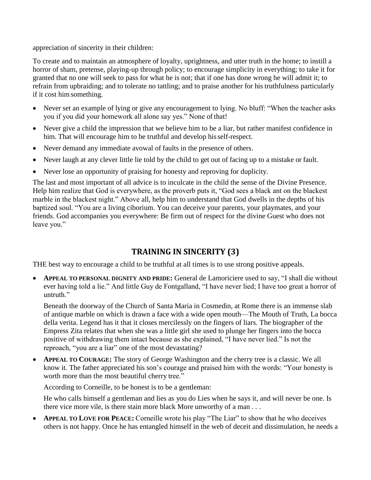appreciation of sincerity in their children:

To create and to maintain an atmosphere of loyalty, uprightness, and utter truth in the home; to instill a horror of sham, pretense, playing-up through policy; to encourage simplicity in everything; to take it for granted that no one will seek to pass for what he is not; that if one has done wrong he will admit it; to refrain from upbraiding; and to tolerate no tattling; and to praise another for his truthfulness particularly if it cost him something.

- Never set an example of lying or give any encouragement to lying. No bluff: "When the teacher asks you if you did your homework all alone say yes." None of that!
- Never give a child the impression that we believe him to be a liar, but rather manifest confidence in him. That will encourage him to be truthful and develop hisself-respect.
- Never demand any immediate avowal of faults in the presence of others.
- Never laugh at any clever little lie told by the child to get out of facing up to a mistake or fault.
- Never lose an opportunity of praising for honesty and reproving for duplicity.

The last and most important of all advice is to inculcate in the child the sense of the Divine Presence. Help him realize that God is everywhere, as the proverb puts it, "God sees a black ant on the blackest marble in the blackest night." Above all, help him to understand that God dwells in the depths of his baptized soul. "You are a living ciborium. You can deceive your parents, your playmates, and your friends. God accompanies you everywhere: Be firm out of respect for the divine Guest who does not leave you."

# **TRAINING IN SINCERITY (3)**

THE best way to encourage a child to be truthful at all times is to use strong positive appeals.

 **APPEAL TO PERSONAL DIGNITY AND PRIDE:** General de Lamoriciere used to say, "I shall die without ever having told a lie." And little Guy de Fontgalland, "I have never lied; I have too great a horror of untruth."

Beneath the doorway of the Church of Santa Maria in Cosmedin, at Rome there is an immense slab of antique marble on which is drawn a face with a wide open mouth—The Mouth of Truth, La bocca della verita. Legend has it that it closes mercilessly on the fingers of liars. The biographer of the Empress Zita relates that when she was a little girl she used to plunge her fingers into the bocca positive of withdrawing them intact because as she explained, "I have never lied." Is not the reproach, "you are a liar" one of the most devastating?

**APPEAL TO COURAGE:** The story of George Washington and the cherry tree is a classic. We all know it. The father appreciated his son's courage and praised him with the words: "Your honesty is worth more than the most beautiful cherry tree."

According to Corneille, to be honest is to be a gentleman:

He who calls himself a gentleman and lies as you do Lies when he says it, and will never be one. Is there vice more vile, is there stain more black More unworthy of a man . . .

 **APPEAL TO LOVE FOR PEACE:** Corneille wrote his play "The Liar" to show that he who deceives others is not happy. Once he has entangled himself in the web of deceit and dissimulation, he needs a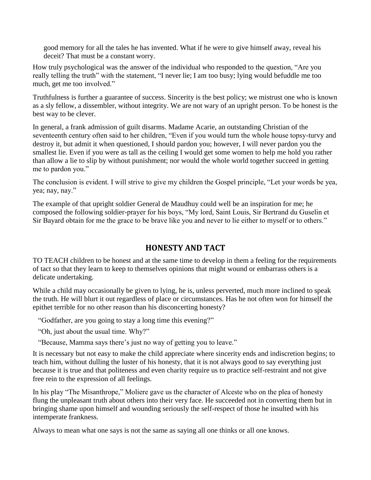good memory for all the tales he has invented. What if he were to give himself away, reveal his deceit? That must be a constant worry.

How truly psychological was the answer of the individual who responded to the question, "Are you really telling the truth" with the statement, "I never lie; I am too busy; lying would befuddle me too much, get me too involved."

Truthfulness is further a guarantee of success. Sincerity is the best policy; we mistrust one who is known as a sly fellow, a dissembler, without integrity. We are not wary of an upright person. To be honest is the best way to be clever.

In general, a frank admission of guilt disarms. Madame Acarie, an outstanding Christian of the seventeenth century often said to her children, "Even if you would turn the whole house topsy-turvy and destroy it, but admit it when questioned, I should pardon you; however, I will never pardon you the smallest lie. Even if you were as tall as the ceiling I would get some women to help me hold you rather than allow a lie to slip by without punishment; nor would the whole world together succeed in getting me to pardon you."

The conclusion is evident. I will strive to give my children the Gospel principle, "Let your words be yea, yea; nay, nay."

The example of that upright soldier General de Maudhuy could well be an inspiration for me; he composed the following soldier-prayer for his boys, "My lord, Saint Louis, Sir Bertrand du Guselin et Sir Bayard obtain for me the grace to be brave like you and never to lie either to myself or to others."

### **HONESTY AND TACT**

TO TEACH children to be honest and at the same time to develop in them a feeling for the requirements of tact so that they learn to keep to themselves opinions that might wound or embarrass others is a delicate undertaking.

While a child may occasionally be given to lying, he is, unless perverted, much more inclined to speak the truth. He will blurt it out regardless of place or circumstances. Has he not often won for himself the epithet terrible for no other reason than his disconcerting honesty?

"Godfather, are you going to stay a long time this evening?"

"Oh, just about the usual time. Why?"

"Because, Mamma says there's just no way of getting you to leave."

It is necessary but not easy to make the child appreciate where sincerity ends and indiscretion begins; to teach him, without dulling the luster of his honesty, that it is not always good to say everything just because it is true and that politeness and even charity require us to practice self-restraint and not give free rein to the expression of all feelings.

In his play "The Misanthrope," Moliere gave us the character of Alceste who on the plea of honesty flung the unpleasant truth about others into their very face. He succeeded not in converting them but in bringing shame upon himself and wounding seriously the self-respect of those he insulted with his intemperate frankness.

Always to mean what one says is not the same as saying all one thinks or all one knows.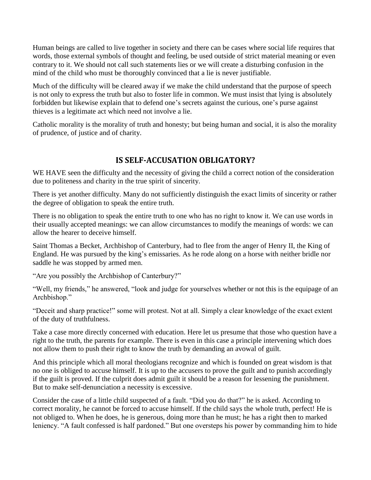Human beings are called to live together in society and there can be cases where social life requires that words, those external symbols of thought and feeling, be used outside of strict material meaning or even contrary to it. We should not call such statements lies or we will create a disturbing confusion in the mind of the child who must be thoroughly convinced that a lie is never justifiable.

Much of the difficulty will be cleared away if we make the child understand that the purpose of speech is not only to express the truth but also to foster life in common. We must insist that lying is absolutely forbidden but likewise explain that to defend one's secrets against the curious, one's purse against thieves is a legitimate act which need not involve a lie.

Catholic morality is the morality of truth and honesty; but being human and social, it is also the morality of prudence, of justice and of charity.

## **IS SELF-ACCUSATION OBLIGATORY?**

WE HAVE seen the difficulty and the necessity of giving the child a correct notion of the consideration due to politeness and charity in the true spirit of sincerity.

There is yet another difficulty. Many do not sufficiently distinguish the exact limits of sincerity or rather the degree of obligation to speak the entire truth.

There is no obligation to speak the entire truth to one who has no right to know it. We can use words in their usually accepted meanings: we can allow circumstances to modify the meanings of words: we can allow the hearer to deceive himself.

Saint Thomas a Becket, Archbishop of Canterbury, had to flee from the anger of Henry II, the King of England. He was pursued by the king's emissaries. As he rode along on a horse with neither bridle nor saddle he was stopped by armed men.

"Are you possibly the Archbishop of Canterbury?"

"Well, my friends," he answered, "look and judge for yourselves whether or not this is the equipage of an Archbishop."

"Deceit and sharp practice!" some will protest. Not at all. Simply a clear knowledge of the exact extent of the duty of truthfulness.

Take a case more directly concerned with education. Here let us presume that those who question have a right to the truth, the parents for example. There is even in this case a principle intervening which does not allow them to push their right to know the truth by demanding an avowal of guilt.

And this principle which all moral theologians recognize and which is founded on great wisdom is that no one is obliged to accuse himself. It is up to the accusers to prove the guilt and to punish accordingly if the guilt is proved. If the culprit does admit guilt it should be a reason for lessening the punishment. But to make self-denunciation a necessity is excessive.

Consider the case of a little child suspected of a fault. "Did you do that?" he is asked. According to correct morality, he cannot be forced to accuse himself. If the child says the whole truth, perfect! He is not obliged to. When he does, he is generous, doing more than he must; he has a right then to marked leniency. "A fault confessed is half pardoned." But one oversteps his power by commanding him to hide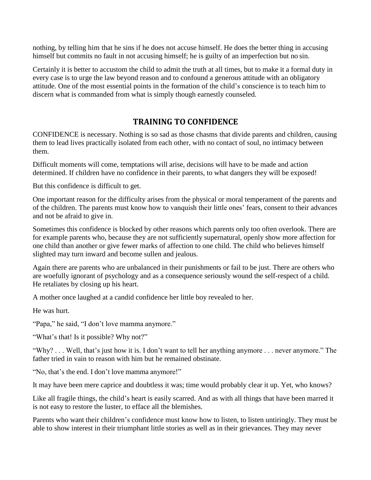nothing, by telling him that he sins if he does not accuse himself. He does the better thing in accusing himself but commits no fault in not accusing himself; he is guilty of an imperfection but no sin.

Certainly it is better to accustom the child to admit the truth at all times, but to make it a formal duty in every case is to urge the law beyond reason and to confound a generous attitude with an obligatory attitude. One of the most essential points in the formation of the child's conscience is to teach him to discern what is commanded from what is simply though earnestly counseled.

#### **TRAINING TO CONFIDENCE**

CONFIDENCE is necessary. Nothing is so sad as those chasms that divide parents and children, causing them to lead lives practically isolated from each other, with no contact of soul, no intimacy between them.

Difficult moments will come, temptations will arise, decisions will have to be made and action determined. If children have no confidence in their parents, to what dangers they will be exposed!

But this confidence is difficult to get.

One important reason for the difficulty arises from the physical or moral temperament of the parents and of the children. The parents must know how to vanquish their little ones' fears, consent to their advances and not be afraid to give in.

Sometimes this confidence is blocked by other reasons which parents only too often overlook. There are for example parents who, because they are not sufficiently supernatural, openly show more affection for one child than another or give fewer marks of affection to one child. The child who believes himself slighted may turn inward and become sullen and jealous.

Again there are parents who are unbalanced in their punishments or fail to be just. There are others who are woefully ignorant of psychology and as a consequence seriously wound the self-respect of a child. He retaliates by closing up his heart.

A mother once laughed at a candid confidence her little boy revealed to her.

He was hurt.

"Papa," he said, "I don't love mamma anymore."

"What's that! Is it possible? Why not?"

"Why? . . . Well, that's just how it is. I don't want to tell her anything anymore . . . never anymore." The father tried in vain to reason with him but he remained obstinate.

"No, that's the end. I don't love mamma anymore!"

It may have been mere caprice and doubtless it was; time would probably clear it up. Yet, who knows?

Like all fragile things, the child's heart is easily scarred. And as with all things that have been marred it is not easy to restore the luster, to efface all the blemishes.

Parents who want their children's confidence must know how to listen, to listen untiringly. They must be able to show interest in their triumphant little stories as well as in their grievances. They may never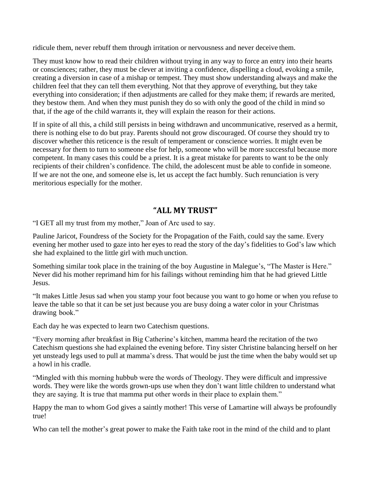ridicule them, never rebuff them through irritation or nervousness and never deceive them.

They must know how to read their children without trying in any way to force an entry into their hearts or consciences; rather, they must be clever at inviting a confidence, dispelling a cloud, evoking a smile, creating a diversion in case of a mishap or tempest. They must show understanding always and make the children feel that they can tell them everything. Not that they approve of everything, but they take everything into consideration; if then adjustments are called for they make them; if rewards are merited, they bestow them. And when they must punish they do so with only the good of the child in mind so that, if the age of the child warrants it, they will explain the reason for their actions.

If in spite of all this, a child still persists in being withdrawn and uncommunicative, reserved as a hermit, there is nothing else to do but pray. Parents should not grow discouraged. Of course they should try to discover whether this reticence is the result of temperament or conscience worries. It might even be necessary for them to turn to someone else for help, someone who will be more successful because more competent. In many cases this could be a priest. It is a great mistake for parents to want to be the only recipients of their children's confidence. The child, the adolescent must be able to confide in someone. If we are not the one, and someone else is, let us accept the fact humbly. Such renunciation is very meritorious especially for the mother.

#### **"ALL MY TRUST"**

"I GET all my trust from my mother," Joan of Arc used to say.

Pauline Jaricot, Foundress of the Society for the Propagation of the Faith, could say the same. Every evening her mother used to gaze into her eyes to read the story of the day's fidelities to God's law which she had explained to the little girl with much unction.

Something similar took place in the training of the boy Augustine in Malegue's, "The Master is Here." Never did his mother reprimand him for his failings without reminding him that he had grieved Little Jesus.

"It makes Little Jesus sad when you stamp your foot because you want to go home or when you refuse to leave the table so that it can be set just because you are busy doing a water color in your Christmas drawing book."

Each day he was expected to learn two Catechism questions.

"Every morning after breakfast in Big Catherine's kitchen, mamma heard the recitation of the two Catechism questions she had explained the evening before. Tiny sister Christine balancing herself on her yet unsteady legs used to pull at mamma's dress. That would be just the time when the baby would set up a howl in his cradle.

"Mingled with this morning hubbub were the words of Theology. They were difficult and impressive words. They were like the words grown-ups use when they don't want little children to understand what they are saying. It is true that mamma put other words in their place to explain them."

Happy the man to whom God gives a saintly mother! This verse of Lamartine will always be profoundly true!

Who can tell the mother's great power to make the Faith take root in the mind of the child and to plant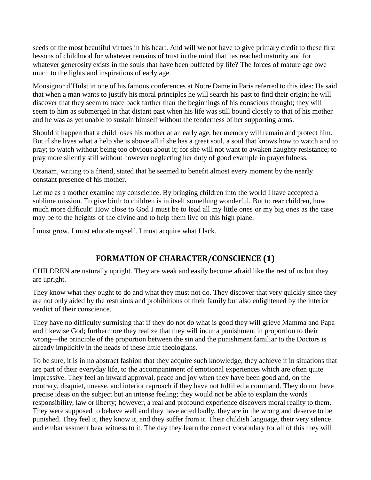seeds of the most beautiful virtues in his heart. And will we not have to give primary credit to these first lessons of childhood for whatever remains of trust in the mind that has reached maturity and for whatever generosity exists in the souls that have been buffeted by life? The forces of mature age owe much to the lights and inspirations of early age.

Monsignor d'Hulst in one of his famous conferences at Notre Dame in Paris referred to this idea: He said that when a man wants to justify his moral principles he will search his past to find their origin; he will discover that they seem to trace back farther than the beginnings of his conscious thought; they will seem to him as submerged in that distant past when his life was still bound closely to that of his mother and he was as yet unable to sustain himself without the tenderness of her supporting arms.

Should it happen that a child loses his mother at an early age, her memory will remain and protect him. But if she lives what a help she is above all if she has a great soul, a soul that knows how to watch and to pray; to watch without being too obvious about it; for she will not want to awaken haughty resistance; to pray more silently still without however neglecting her duty of good example in prayerfulness.

Ozanam, writing to a friend, stated that he seemed to benefit almost every moment by the nearly constant presence of his mother.

Let me as a mother examine my conscience. By bringing children into the world I have accepted a sublime mission. To give birth to children is in itself something wonderful. But to rear children, how much more difficult! How close to God I must be to lead all my little ones or my big ones as the case may be to the heights of the divine and to help them live on this high plane.

I must grow. I must educate myself. I must acquire what I lack.

## **FORMATION OF CHARACTER/CONSCIENCE (1)**

CHILDREN are naturally upright. They are weak and easily become afraid like the rest of us but they are upright.

They know what they ought to do and what they must not do. They discover that very quickly since they are not only aided by the restraints and prohibitions of their family but also enlightened by the interior verdict of their conscience.

They have no difficulty surmising that if they do not do what is good they will grieve Mamma and Papa and likewise God; furthermore they realize that they will incur a punishment in proportion to their wrong—the principle of the proportion between the sin and the punishment familiar to the Doctors is already implicitly in the heads of these little theologians.

To be sure, it is in no abstract fashion that they acquire such knowledge; they achieve it in situations that are part of their everyday life, to the accompaniment of emotional experiences which are often quite impressive. They feel an inward approval, peace and joy when they have been good and, on the contrary, disquiet, unease, and interior reproach if they have not fulfilled a command. They do not have precise ideas on the subject but an intense feeling; they would not be able to explain the words responsibility, law or liberty; however, a real and profound experience discovers moral reality to them. They were supposed to behave well and they have acted badly, they are in the wrong and deserve to be punished. They feel it, they know it, and they suffer from it. Their childish language, their very silence and embarrassment bear witness to it. The day they learn the correct vocabulary for all of this they will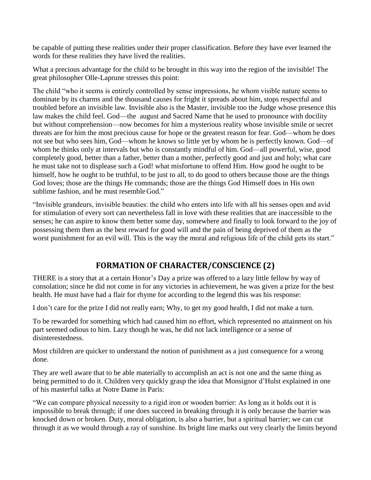be capable of putting these realities under their proper classification. Before they have ever learned the words for these realities they have lived the realities.

What a precious advantage for the child to be brought in this way into the region of the invisible! The great philosopher Olle-Laprune stresses this point:

The child "who it seems is entirely controlled by sense impressions, he whom visible nature seems to dominate by its charms and the thousand causes for fright it spreads about him, stops respectful and troubled before an invisible law. Invisible also is the Master, invisible too the Judge whose presence this law makes the child feel. God—the august and Sacred Name that he used to pronounce with docility but without comprehension—now becomes for him a mysterious reality whose invisible smile or secret threats are for him the most precious cause for hope or the greatest reason for fear. God—whom he does not see but who sees him, God—whom he knows so little yet by whom he is perfectly known. God—of whom he thinks only at intervals but who is constantly mindful of him. God—all powerful, wise, good completely good, better than a father, better than a mother, perfectly good and just and holy; what care he must take not to displease such a God! what misfortune to offend Him. How good he ought to be himself, how he ought to be truthful, to be just to all, to do good to others because those are the things God loves; those are the things He commands; those are the things God Himself does in His own sublime fashion, and he must resemble God."

"Invisible grandeurs, invisible beauties: the child who enters into life with all his senses open and avid for stimulation of every sort can nevertheless fall in love with these realities that are inaccessible to the senses; he can aspire to know them better some day, somewhere and finally to look forward to the joy of possessing them then as the best reward for good will and the pain of being deprived of them as the worst punishment for an evil will. This is the way the moral and religious life of the child gets its start."

## **FORMATION OF CHARACTER/CONSCIENCE (2)**

THERE is a story that at a certain Honor's Day a prize was offered to a lazy little fellow by way of consolation; since he did not come in for any victories in achievement, he was given a prize for the best health. He must have had a flair for rhyme for according to the legend this was his response:

I don't care for the prize I did not really earn; Why, to get my good health, I did not make a turn.

To be rewarded for something which had caused him no effort, which represented no attainment on his part seemed odious to him. Lazy though he was, he did not lack intelligence or a sense of disinterestedness.

Most children are quicker to understand the notion of punishment as a just consequence for a wrong done.

They are well aware that to be able materially to accomplish an act is not one and the same thing as being permitted to do it. Children very quickly grasp the idea that Monsignor d'Hulst explained in one of his masterful talks at Notre Dame in Paris:

"We can compare physical necessity to a rigid iron or wooden barrier: As long as it holds out it is impossible to break through; if one does succeed in breaking through it is only because the barrier was knocked down or broken. Duty, moral obligation, is also a barrier, but a spiritual barrier; we can cut through it as we would through a ray of sunshine. Its bright line marks out very clearly the limits beyond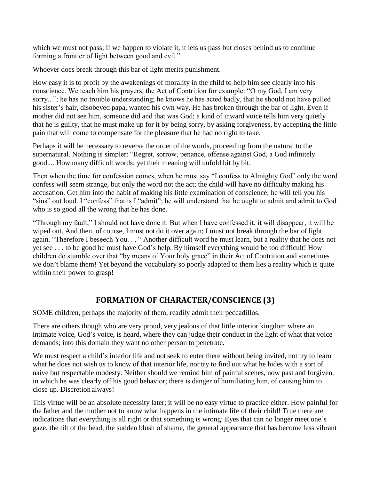which we must not pass; if we happen to violate it, it lets us pass but closes behind us to continue forming a frontier of light between good and evil."

Whoever does break through this bar of light merits punishment.

How easy it is to profit by the awakenings of morality in the child to help him see clearly into his conscience. We teach him his prayers, the Act of Contrition for example: "O my God, I am very sorry..."; he has no trouble understanding; he knows he has acted badly, that he should not have pulled his sister's hair, disobeyed papa, wanted his own way. He has broken through the bar of light. Even if mother did not see him, someone did and that was God; a kind of inward voice tells him very quietly that he is guilty, that he must make up for it by being sorry, by asking forgiveness, by accepting the little pain that will come to compensate for the pleasure that he had no right to take.

Perhaps it will be necessary to reverse the order of the words, proceeding from the natural to the supernatural. Nothing is simpler: "Regret, sorrow, penance, offense against God, a God infinitely good.... How many difficult words; yet their meaning will unfold bit by bit.

Then when the time for confession comes, when he must say "I confess to Almighty God" only the word confess will seem strange, but only the word not the act; the child will have no difficulty making his accusation. Get him into the habit of making his little examination of conscience; he will tell you his "sins" out loud. I "confess" that is I "admit"; he will understand that he ought to admit and admit to God who is so good all the wrong that he has done.

"Through my fault," I should not have done it. But when I have confessed it, it will disappear, it will be wiped out. And then, of course, I must not do it over again; I must not break through the bar of light again. "Therefore I beseech You. . . " Another difficult word he must learn, but a reality that he does not yet see . . . to be good he must have God's help. By himself everything would be too difficult! How children do stumble over that "by means of Your holy grace" in their Act of Contrition and sometimes we don't blame them! Yet beyond the vocabulary so poorly adapted to them lies a reality which is quite within their power to grasp!

## **FORMATION OF CHARACTER/CONSCIENCE (3)**

SOME children, perhaps the majority of them, readily admit their peccadillos.

There are others though who are very proud, very jealous of that little interior kingdom where an intimate voice, God's voice, is heard, where they can judge their conduct in the light of what that voice demands; into this domain they want no other person to penetrate.

We must respect a child's interior life and not seek to enter there without being invited, not try to learn what he does not wish us to know of that interior life, nor try to find out what he hides with a sort of naive but respectable modesty. Neither should we remind him of painful scenes, now past and forgiven, in which he was clearly off his good behavior; there is danger of humiliating him, of causing him to close up. Discretion always!

This virtue will be an absolute necessity later; it will be no easy virtue to practice either. How painful for the father and the mother not to know what happens in the intimate life of their child! True there are indications that everything is all right or that something is wrong: Eyes that can no longer meet one's gaze, the tilt of the head, the sudden blush of shame, the general appearance that has become less vibrant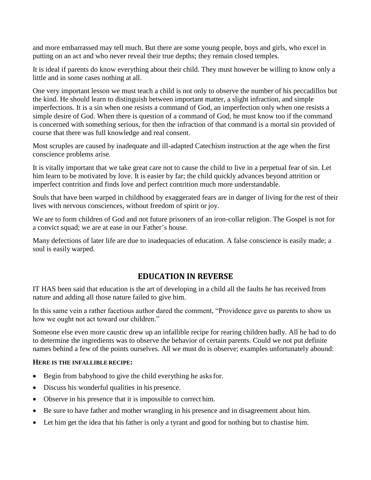and more embarrassed may tell much. But there are some young people, boys and girls, who excel in putting on an act and who never reveal their true depths; they remain closed temples.

It is ideal if parents do know everything about their child. They must however be willing to know only a little and in some cases nothing at all.

One very important lesson we must teach a child is not only to observe the number of his peccadillos but the kind. He should learn to distinguish between important matter, a slight infraction, and simple imperfections. It is a sin when one resists a command of God, an imperfection only when one resists a simple desire of God. When there is question of a command of God, he must know too if the command is concerned with something serious, for then the infraction of that command is a mortal sin provided of course that there was full knowledge and real consent.

Most scruples are caused by inadequate and ill-adapted Catechism instruction at the age when the first conscience problems arise.

It is vitally important that we take great care not to cause the child to live in a perpetual fear of sin. Let him learn to be motivated by love. It is easier by far; the child quickly advances beyond attrition or imperfect contrition and finds love and perfect contrition much more understandable.

Souls that have been warped in childhood by exaggerated fears are in danger of living for the rest of their lives with nervous consciences, without freedom of spirit or joy.

We are to form children of God and not future prisoners of an iron-collar religion. The Gospel is not for a convict squad; we are at ease in our Father's house.

Many defections of later life are due to inadequacies of education. A false conscience is easily made; a soul is easily warped.

### **EDUCATION IN REVERSE**

IT HAS been said that education is the art of developing in a child all the faults he has received from nature and adding all those nature failed to give him.

In this same vein a rather facetious author dared the comment, "Providence gave us parents to show us how we ought not act toward our children."

Someone else even more caustic drew up an infallible recipe for rearing children badly. All he had to do to determine the ingredients was to observe the behavior of certain parents. Could we not put definite names behind a few of the points ourselves. All we must do is observe; examples unfortunately abound:

#### **HERE IS THE INFALLIBLE RECIPE:**

- Begin from babyhood to give the child everything he asks for.
- Discuss his wonderful qualities in his presence.
- Observe in his presence that it is impossible to correct him.
- Be sure to have father and mother wrangling in his presence and in disagreement about him.
- Let him get the idea that his father is only a tyrant and good for nothing but to chastise him.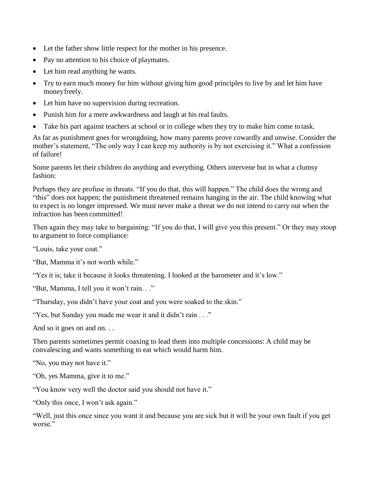- Let the father show little respect for the mother in his presence.
- Pay no attention to his choice of playmates.
- Let him read anything he wants.
- Try to earn much money for him without giving him good principles to live by and let him have moneyfreely.
- Let him have no supervision during recreation.
- Punish him for a mere awkwardness and laugh at his real faults.
- Take his part against teachers at school or in college when they try to make him come to task.

As far as punishment goes for wrongdoing, how many parents prove cowardly and unwise. Consider the mother's statement, "The only way I can keep my authority is by not exercising it." What a confession of failure!

Some parents let their children do anything and everything. Others intervene but in what a clumsy fashion:

Perhaps they are profuse in threats. "If you do that, this will happen." The child does the wrong and "this" does not happen; the punishment threatened remains hanging in the air. The child knowing what to expect is no longer impressed. We must never make a threat we do not intend to carry out when the infraction has been committed!

Then again they may take to bargaining: "If you do that, I will give you this present." Or they may stoop to argument to force compliance:

"Louis, take your coat."

"But, Mamma it's not worth while."

"Yes it is; take it because it looks threatening. I looked at the barometer and it's low."

"But, Mamma, I tell you it won't rain. . ."

"Thursday, you didn't have your coat and you were soaked to the skin."

"Yes, but Sunday you made me wear it and it didn't rain . . ."

And so it goes on and on. . .

Then parents sometimes permit coaxing to lead them into multiple concessions: A child may be convalescing and wants something to eat which would harm him.

"No, you may not have it."

"Oh, yes Mamma, give it to me."

"You know very well the doctor said you should not have it."

"Only this once, I won't ask again."

"Well, just this once since you want it and because you are sick but it will be your own fault if you get worse."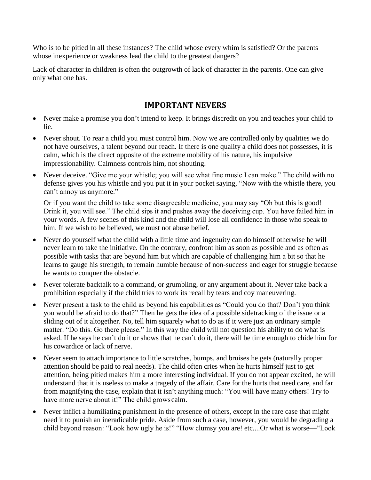Who is to be pitied in all these instances? The child whose every whim is satisfied? Or the parents whose inexperience or weakness lead the child to the greatest dangers?

Lack of character in children is often the outgrowth of lack of character in the parents. One can give only what one has.

#### **IMPORTANT NEVERS**

- Never make a promise you don't intend to keep. It brings discredit on you and teaches your child to lie.
- Never shout. To rear a child you must control him. Now we are controlled only by qualities we do not have ourselves, a talent beyond our reach. If there is one quality a child does not possesses, it is calm, which is the direct opposite of the extreme mobility of his nature, his impulsive impressionability. Calmness controls him, not shouting.
- Never deceive. "Give me your whistle; you will see what fine music I can make." The child with no defense gives you his whistle and you put it in your pocket saying, "Now with the whistle there, you can't annoy us anymore."

Or if you want the child to take some disagreeable medicine, you may say "Oh but this is good! Drink it, you will see." The child sips it and pushes away the deceiving cup. You have failed him in your words. A few scenes of this kind and the child will lose all confidence in those who speak to him. If we wish to be believed, we must not abuse belief.

- Never do yourself what the child with a little time and ingenuity can do himself otherwise he will never learn to take the initiative. On the contrary, confront him as soon as possible and as often as possible with tasks that are beyond him but which are capable of challenging him a bit so that he learns to gauge his strength, to remain humble because of non-success and eager for struggle because he wants to conquer the obstacle.
- Never tolerate backtalk to a command, or grumbling, or any argument about it. Never take back a prohibition especially if the child tries to work its recall by tears and coy maneuvering.
- Never present a task to the child as beyond his capabilities as "Could you do that? Don't you think you would be afraid to do that?" Then he gets the idea of a possible sidetracking of the issue or a sliding out of it altogether. No, tell him squarely what to do as if it were just an ordinary simple matter. "Do this. Go there please." In this way the child will not question his ability to do what is asked. If he says he can't do it or shows that he can't do it, there will be time enough to chide him for his cowardice or lack of nerve.
- Never seem to attach importance to little scratches, bumps, and bruises he gets (naturally proper attention should be paid to real needs). The child often cries when he hurts himself just to get attention, being pitied makes him a more interesting individual. If you do not appear excited, he will understand that it is useless to make a tragedy of the affair. Care for the hurts that need care, and far from magnifying the case, explain that it isn't anything much: "You will have many others! Try to have more nerve about it!" The child growscalm.
- Never inflict a humiliating punishment in the presence of others, except in the rare case that might need it to punish an ineradicable pride. Aside from such a case, however, you would be degrading a child beyond reason: "Look how ugly he is!" "How clumsy you are! etc....Or what is worse—"Look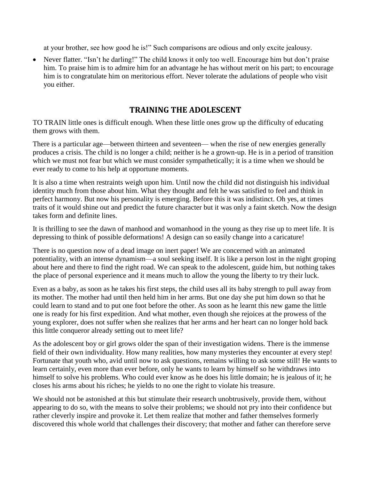at your brother, see how good he is!" Such comparisons are odious and only excite jealousy.

• Never flatter. "Isn't he darling!" The child knows it only too well. Encourage him but don't praise him. To praise him is to admire him for an advantage he has without merit on his part; to encourage him is to congratulate him on meritorious effort. Never tolerate the adulations of people who visit you either.

#### **TRAINING THE ADOLESCENT**

TO TRAIN little ones is difficult enough. When these little ones grow up the difficulty of educating them grows with them.

There is a particular age—between thirteen and seventeen— when the rise of new energies generally produces a crisis. The child is no longer a child; neither is he a grown-up. He is in a period of transition which we must not fear but which we must consider sympathetically; it is a time when we should be ever ready to come to his help at opportune moments.

It is also a time when restraints weigh upon him. Until now the child did not distinguish his individual identity much from those about him. What they thought and felt he was satisfied to feel and think in perfect harmony. But now his personality is emerging. Before this it was indistinct. Oh yes, at times traits of it would shine out and predict the future character but it was only a faint sketch. Now the design takes form and definite lines.

It is thrilling to see the dawn of manhood and womanhood in the young as they rise up to meet life. It is depressing to think of possible deformations! A design can so easily change into a caricature!

There is no question now of a dead image on inert paper! We are concerned with an animated potentiality, with an intense dynamism—a soul seeking itself. It is like a person lost in the night groping about here and there to find the right road. We can speak to the adolescent, guide him, but nothing takes the place of personal experience and it means much to allow the young the liberty to try their luck.

Even as a baby, as soon as he takes his first steps, the child uses all its baby strength to pull away from its mother. The mother had until then held him in her arms. But one day she put him down so that he could learn to stand and to put one foot before the other. As soon as he learnt this new game the little one is ready for his first expedition. And what mother, even though she rejoices at the prowess of the young explorer, does not suffer when she realizes that her arms and her heart can no longer hold back this little conqueror already setting out to meet life?

As the adolescent boy or girl grows older the span of their investigation widens. There is the immense field of their own individuality. How many realities, how many mysteries they encounter at every step! Fortunate that youth who, avid until now to ask questions, remains willing to ask some still! He wants to learn certainly, even more than ever before, only he wants to learn by himself so he withdraws into himself to solve his problems. Who could ever know as he does his little domain; he is jealous of it; he closes his arms about his riches; he yields to no one the right to violate his treasure.

We should not be astonished at this but stimulate their research unobtrusively, provide them, without appearing to do so, with the means to solve their problems; we should not pry into their confidence but rather cleverly inspire and provoke it. Let them realize that mother and father themselves formerly discovered this whole world that challenges their discovery; that mother and father can therefore serve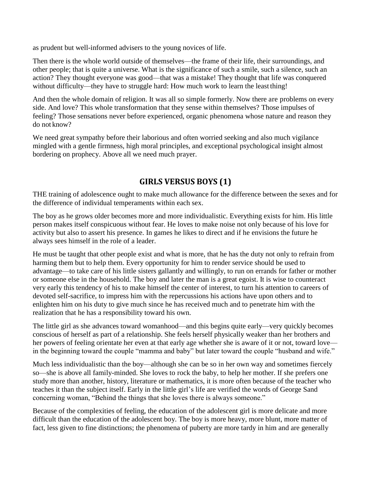as prudent but well-informed advisers to the young novices of life.

Then there is the whole world outside of themselves—the frame of their life, their surroundings, and other people; that is quite a universe. What is the significance of such a smile, such a silence, such an action? They thought everyone was good—that was a mistake! They thought that life was conquered without difficulty—they have to struggle hard: How much work to learn the least thing!

And then the whole domain of religion. It was all so simple formerly. Now there are problems on every side. And love? This whole transformation that they sense within themselves? Those impulses of feeling? Those sensations never before experienced, organic phenomena whose nature and reason they do not know?

We need great sympathy before their laborious and often worried seeking and also much vigilance mingled with a gentle firmness, high moral principles, and exceptional psychological insight almost bordering on prophecy. Above all we need much prayer.

# **GIRLS VERSUS BOYS (1)**

THE training of adolescence ought to make much allowance for the difference between the sexes and for the difference of individual temperaments within each sex.

The boy as he grows older becomes more and more individualistic. Everything exists for him. His little person makes itself conspicuous without fear. He loves to make noise not only because of his love for activity but also to assert his presence. In games he likes to direct and if he envisions the future he always sees himself in the role of a leader.

He must be taught that other people exist and what is more, that he has the duty not only to refrain from harming them but to help them. Every opportunity for him to render service should be used to advantage—to take care of his little sisters gallantly and willingly, to run on errands for father or mother or someone else in the household. The boy and later the man is a great egoist. It is wise to counteract very early this tendency of his to make himself the center of interest, to turn his attention to careers of devoted self-sacrifice, to impress him with the repercussions his actions have upon others and to enlighten him on his duty to give much since he has received much and to penetrate him with the realization that he has a responsibility toward his own.

The little girl as she advances toward womanhood—and this begins quite early—very quickly becomes conscious of herself as part of a relationship. She feels herself physically weaker than her brothers and her powers of feeling orientate her even at that early age whether she is aware of it or not, toward love in the beginning toward the couple "mamma and baby" but later toward the couple "husband and wife."

Much less individualistic than the boy—although she can be so in her own way and sometimes fiercely so—she is above all family-minded. She loves to rock the baby, to help her mother. If she prefers one study more than another, history, literature or mathematics, it is more often because of the teacher who teaches it than the subject itself. Early in the little girl's life are verified the words of George Sand concerning woman, "Behind the things that she loves there is always someone."

Because of the complexities of feeling, the education of the adolescent girl is more delicate and more difficult than the education of the adolescent boy. The boy is more heavy, more blunt, more matter of fact, less given to fine distinctions; the phenomena of puberty are more tardy in him and are generally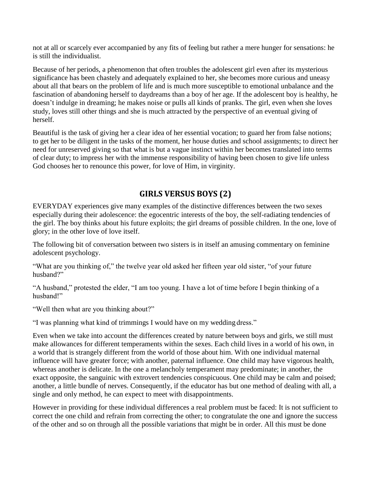not at all or scarcely ever accompanied by any fits of feeling but rather a mere hunger for sensations: he is still the individualist.

Because of her periods, a phenomenon that often troubles the adolescent girl even after its mysterious significance has been chastely and adequately explained to her, she becomes more curious and uneasy about all that bears on the problem of life and is much more susceptible to emotional unbalance and the fascination of abandoning herself to daydreams than a boy of her age. If the adolescent boy is healthy, he doesn't indulge in dreaming; he makes noise or pulls all kinds of pranks. The girl, even when she loves study, loves still other things and she is much attracted by the perspective of an eventual giving of herself.

Beautiful is the task of giving her a clear idea of her essential vocation; to guard her from false notions; to get her to be diligent in the tasks of the moment, her house duties and school assignments; to direct her need for unreserved giving so that what is but a vague instinct within her becomes translated into terms of clear duty; to impress her with the immense responsibility of having been chosen to give life unless God chooses her to renounce this power, for love of Him, in virginity.

# **GIRLS VERSUS BOYS (2)**

EVERYDAY experiences give many examples of the distinctive differences between the two sexes especially during their adolescence: the egocentric interests of the boy, the self-radiating tendencies of the girl. The boy thinks about his future exploits; the girl dreams of possible children. In the one, love of glory; in the other love of love itself.

The following bit of conversation between two sisters is in itself an amusing commentary on feminine adolescent psychology.

"What are you thinking of," the twelve year old asked her fifteen year old sister, "of your future husband?"

"A husband," protested the elder, "I am too young. I have a lot of time before I begin thinking of a husband!"

"Well then what are you thinking about?"

"I was planning what kind of trimmings I would have on my wedding dress."

Even when we take into account the differences created by nature between boys and girls, we still must make allowances for different temperaments within the sexes. Each child lives in a world of his own, in a world that is strangely different from the world of those about him. With one individual maternal influence will have greater force; with another, paternal influence. One child may have vigorous health, whereas another is delicate. In the one a melancholy temperament may predominate; in another, the exact opposite, the sanguinic with extrovert tendencies conspicuous. One child may be calm and poised; another, a little bundle of nerves. Consequently, if the educator has but one method of dealing with all, a single and only method, he can expect to meet with disappointments.

However in providing for these individual differences a real problem must be faced: It is not sufficient to correct the one child and refrain from correcting the other; to congratulate the one and ignore the success of the other and so on through all the possible variations that might be in order. All this must be done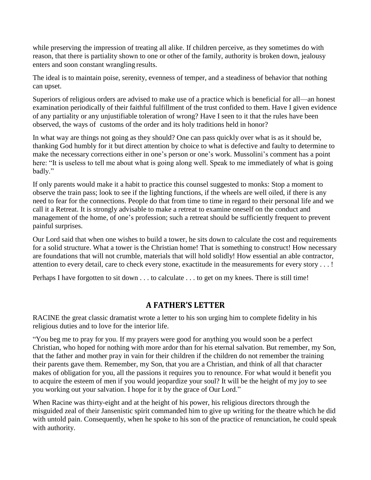while preserving the impression of treating all alike. If children perceive, as they sometimes do with reason, that there is partiality shown to one or other of the family, authority is broken down, jealousy enters and soon constant wrangling results.

The ideal is to maintain poise, serenity, evenness of temper, and a steadiness of behavior that nothing can upset.

Superiors of religious orders are advised to make use of a practice which is beneficial for all—an honest examination periodically of their faithful fulfillment of the trust confided to them. Have I given evidence of any partiality or any unjustifiable toleration of wrong? Have I seen to it that the rules have been observed, the ways of customs of the order and its holy traditions held in honor?

In what way are things not going as they should? One can pass quickly over what is as it should be, thanking God humbly for it but direct attention by choice to what is defective and faulty to determine to make the necessary corrections either in one's person or one's work. Mussolini's comment has a point here: "It is useless to tell me about what is going along well. Speak to me immediately of what is going badly."

If only parents would make it a habit to practice this counsel suggested to monks: Stop a moment to observe the train pass; look to see if the lighting functions, if the wheels are well oiled, if there is any need to fear for the connections. People do that from time to time in regard to their personal life and we call it a Retreat. It is strongly advisable to make a retreat to examine oneself on the conduct and management of the home, of one's profession; such a retreat should be sufficiently frequent to prevent painful surprises.

Our Lord said that when one wishes to build a tower, he sits down to calculate the cost and requirements for a solid structure. What a tower is the Christian home! That is something to construct! How necessary are foundations that will not crumble, materials that will hold solidly! How essential an able contractor, attention to every detail, care to check every stone, exactitude in the measurements for every story . . . !

Perhaps I have forgotten to sit down . . . to calculate . . . to get on my knees. There is still time!

#### **A FATHER'S LETTER**

RACINE the great classic dramatist wrote a letter to his son urging him to complete fidelity in his religious duties and to love for the interior life.

"You beg me to pray for you. If my prayers were good for anything you would soon be a perfect Christian, who hoped for nothing with more ardor than for his eternal salvation. But remember, my Son, that the father and mother pray in vain for their children if the children do not remember the training their parents gave them. Remember, my Son, that you are a Christian, and think of all that character makes of obligation for you, all the passions it requires you to renounce. For what would it benefit you to acquire the esteem of men if you would jeopardize your soul? It will be the height of my joy to see you working out your salvation. I hope for it by the grace of Our Lord."

When Racine was thirty-eight and at the height of his power, his religious directors through the misguided zeal of their Jansenistic spirit commanded him to give up writing for the theatre which he did with untold pain. Consequently, when he spoke to his son of the practice of renunciation, he could speak with authority.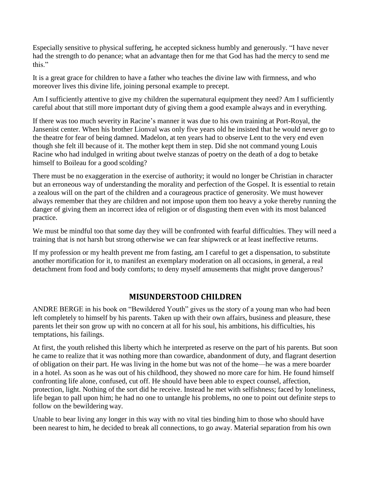Especially sensitive to physical suffering, he accepted sickness humbly and generously. "I have never had the strength to do penance; what an advantage then for me that God has had the mercy to send me this."

It is a great grace for children to have a father who teaches the divine law with firmness, and who moreover lives this divine life, joining personal example to precept.

Am I sufficiently attentive to give my children the supernatural equipment they need? Am I sufficiently careful about that still more important duty of giving them a good example always and in everything.

If there was too much severity in Racine's manner it was due to his own training at Port-Royal, the Jansenist center. When his brother Lionval was only five years old he insisted that he would never go to the theatre for fear of being damned. Madelon, at ten years had to observe Lent to the very end even though she felt ill because of it. The mother kept them in step. Did she not command young Louis Racine who had indulged in writing about twelve stanzas of poetry on the death of a dog to betake himself to Boileau for a good scolding?

There must be no exaggeration in the exercise of authority; it would no longer be Christian in character but an erroneous way of understanding the morality and perfection of the Gospel. It is essential to retain a zealous will on the part of the children and a courageous practice of generosity. We must however always remember that they are children and not impose upon them too heavy a yoke thereby running the danger of giving them an incorrect idea of religion or of disgusting them even with its most balanced practice.

We must be mindful too that some day they will be confronted with fearful difficulties. They will need a training that is not harsh but strong otherwise we can fear shipwreck or at least ineffective returns.

If my profession or my health prevent me from fasting, am I careful to get a dispensation, to substitute another mortification for it, to manifest an exemplary moderation on all occasions, in general, a real detachment from food and body comforts; to deny myself amusements that might prove dangerous?

### **MISUNDERSTOOD CHILDREN**

ANDRE BERGE in his book on "Bewildered Youth" gives us the story of a young man who had been left completely to himself by his parents. Taken up with their own affairs, business and pleasure, these parents let their son grow up with no concern at all for his soul, his ambitions, his difficulties, his temptations, his failings.

At first, the youth relished this liberty which he interpreted as reserve on the part of his parents. But soon he came to realize that it was nothing more than cowardice, abandonment of duty, and flagrant desertion of obligation on their part. He was living in the home but was not of the home—he was a mere boarder in a hotel. As soon as he was out of his childhood, they showed no more care for him. He found himself confronting life alone, confused, cut off. He should have been able to expect counsel, affection, protection, light. Nothing of the sort did he receive. Instead he met with selfishness; faced by loneliness, life began to pall upon him; he had no one to untangle his problems, no one to point out definite steps to follow on the bewildering way.

Unable to bear living any longer in this way with no vital ties binding him to those who should have been nearest to him, he decided to break all connections, to go away. Material separation from his own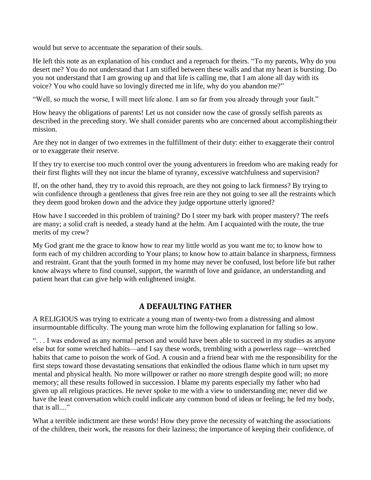would but serve to accentuate the separation of their souls.

He left this note as an explanation of his conduct and a reproach for theirs. "To my parents, Why do you desert me? You do not understand that I am stifled between these walls and that my heart is bursting. Do you not understand that I am growing up and that life is calling me, that I am alone all day with its voice? You who could have so lovingly directed me in life, why do you abandon me?"

"Well, so much the worse, I will meet life alone. I am so far from you already through your fault."

How heavy the obligations of parents! Let us not consider now the case of grossly selfish parents as described in the preceding story. We shall consider parents who are concerned about accomplishingtheir mission.

Are they not in danger of two extremes in the fulfillment of their duty: either to exaggerate their control or to exaggerate their reserve.

If they try to exercise too much control over the young adventurers in freedom who are making ready for their first flights will they not incur the blame of tyranny, excessive watchfulness and supervision?

If, on the other hand, they try to avoid this reproach, are they not going to lack firmness? By trying to win confidence through a gentleness that gives free rein are they not going to see all the restraints which they deem good broken down and the advice they judge opportune utterly ignored?

How have I succeeded in this problem of training? Do I steer my bark with proper mastery? The reefs are many; a solid craft is needed, a steady hand at the helm. Am I acquainted with the route, the true merits of my crew?

My God grant me the grace to know how to rear my little world as you want me to; to know how to form each of my children according to Your plans; to know how to attain balance in sharpness, firmness and restraint. Grant that the youth formed in my home may never be confused, lost before life but rather know always where to find counsel, support, the warmth of love and guidance, an understanding and patient heart that can give help with enlightened insight.

### **A DEFAULTING FATHER**

A RELIGIOUS was trying to extricate a young man of twenty-two from a distressing and almost insurmountable difficulty. The young man wrote him the following explanation for falling so low.

". . . I was endowed as any normal person and would have been able to succeed in my studies as anyone else but for some wretched habits—and I say these words, trembling with a powerless rage—wretched habits that came to poison the work of God. A cousin and a friend bear with me the responsibility for the first steps toward those devastating sensations that enkindled the odious flame which in turn upset my mental and physical health. No more willpower or rather no more strength despite good will; no more memory; all these results followed in succession. I blame my parents especially my father who had given up all religious practices. He never spoke to me with a view to understanding me; never did we have the least conversation which could indicate any common bond of ideas or feeling; he fed my body, that is all...."

What a terrible indictment are these words! How they prove the necessity of watching the associations of the children, their work, the reasons for their laziness; the importance of keeping their confidence, of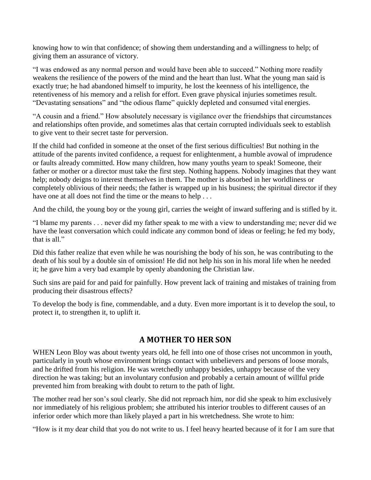knowing how to win that confidence; of showing them understanding and a willingness to help; of giving them an assurance of victory.

"I was endowed as any normal person and would have been able to succeed." Nothing more readily weakens the resilience of the powers of the mind and the heart than lust. What the young man said is exactly true; he had abandoned himself to impurity, he lost the keenness of his intelligence, the retentiveness of his memory and a relish for effort. Even grave physical injuries sometimes result. "Devastating sensations" and "the odious flame" quickly depleted and consumed vital energies.

"A cousin and a friend." How absolutely necessary is vigilance over the friendships that circumstances and relationships often provide, and sometimes alas that certain corrupted individuals seek to establish to give vent to their secret taste for perversion.

If the child had confided in someone at the onset of the first serious difficulties! But nothing in the attitude of the parents invited confidence, a request for enlightenment, a humble avowal of imprudence or faults already committed. How many children, how many youths yearn to speak! Someone, their father or mother or a director must take the first step. Nothing happens. Nobody imagines that they want help; nobody deigns to interest themselves in them. The mother is absorbed in her worldliness or completely oblivious of their needs; the father is wrapped up in his business; the spiritual director if they have one at all does not find the time or the means to help . . .

And the child, the young boy or the young girl, carries the weight of inward suffering and is stifled by it.

"I blame my parents . . . never did my father speak to me with a view to understanding me; never did we have the least conversation which could indicate any common bond of ideas or feeling; he fed my body, that is all."

Did this father realize that even while he was nourishing the body of his son, he was contributing to the death of his soul by a double sin of omission! He did not help his son in his moral life when he needed it; he gave him a very bad example by openly abandoning the Christian law.

Such sins are paid for and paid for painfully. How prevent lack of training and mistakes of training from producing their disastrous effects?

To develop the body is fine, commendable, and a duty. Even more important is it to develop the soul, to protect it, to strengthen it, to uplift it.

## **A MOTHER TO HER SON**

WHEN Leon Bloy was about twenty years old, he fell into one of those crises not uncommon in youth, particularly in youth whose environment brings contact with unbelievers and persons of loose morals, and he drifted from his religion. He was wretchedly unhappy besides, unhappy because of the very direction he was taking; but an involuntary confusion and probably a certain amount of willful pride prevented him from breaking with doubt to return to the path of light.

The mother read her son's soul clearly. She did not reproach him, nor did she speak to him exclusively nor immediately of his religious problem; she attributed his interior troubles to different causes of an inferior order which more than likely played a part in his wretchedness. She wrote to him:

"How is it my dear child that you do not write to us. I feel heavy hearted because of it for I am sure that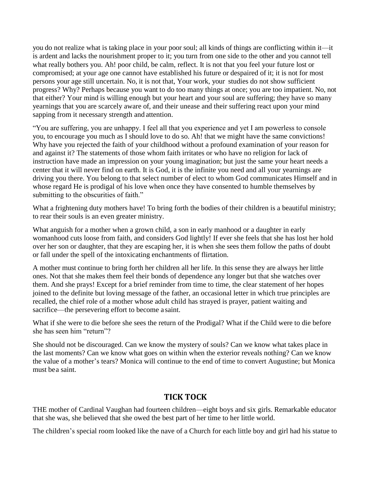you do not realize what is taking place in your poor soul; all kinds of things are conflicting within it—it is ardent and lacks the nourishment proper to it; you turn from one side to the other and you cannot tell what really bothers you. Ah! poor child, be calm, reflect. It is not that you feel your future lost or compromised; at your age one cannot have established his future or despaired of it; it is not for most persons your age still uncertain. No, it is not that, Your work, your studies do not show sufficient progress? Why? Perhaps because you want to do too many things at once; you are too impatient. No, not that either? Your mind is willing enough but your heart and your soul are suffering; they have so many yearnings that you are scarcely aware of, and their unease and their suffering react upon your mind sapping from it necessary strength and attention.

"You are suffering, you are unhappy. I feel all that you experience and yet I am powerless to console you, to encourage you much as I should love to do so. Ah! that we might have the same convictions! Why have you rejected the faith of your childhood without a profound examination of your reason for and against it? The statements of those whom faith irritates or who have no religion for lack of instruction have made an impression on your young imagination; but just the same your heart needs a center that it will never find on earth. It is God, it is the infinite you need and all your yearnings are driving you there. You belong to that select number of elect to whom God communicates Himself and in whose regard He is prodigal of his love when once they have consented to humble themselves by submitting to the obscurities of faith."

What a frightening duty mothers have! To bring forth the bodies of their children is a beautiful ministry; to rear their souls is an even greater ministry.

What anguish for a mother when a grown child, a son in early manhood or a daughter in early womanhood cuts loose from faith, and considers God lightly! If ever she feels that she has lost her hold over her son or daughter, that they are escaping her, it is when she sees them follow the paths of doubt or fall under the spell of the intoxicating enchantments of flirtation.

A mother must continue to bring forth her children all her life. In this sense they are always her little ones. Not that she makes them feel their bonds of dependence any longer but that she watches over them. And she prays! Except for a brief reminder from time to time, the clear statement of her hopes joined to the definite but loving message of the father, an occasional letter in which true principles are recalled, the chief role of a mother whose adult child has strayed is prayer, patient waiting and sacrifice—the persevering effort to become a saint.

What if she were to die before she sees the return of the Prodigal? What if the Child were to die before she has seen him "return"?

She should not be discouraged. Can we know the mystery of souls? Can we know what takes place in the last moments? Can we know what goes on within when the exterior reveals nothing? Can we know the value of a mother's tears? Monica will continue to the end of time to convert Augustine; but Monica must bea saint.

### **TICK TOCK**

THE mother of Cardinal Vaughan had fourteen children—eight boys and six girls. Remarkable educator that she was, she believed that she owed the best part of her time to her little world.

The children's special room looked like the nave of a Church for each little boy and girl had his statue to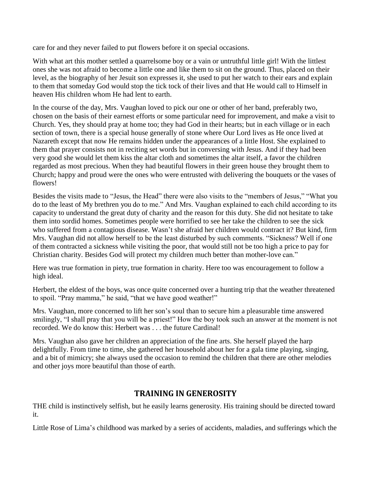care for and they never failed to put flowers before it on special occasions.

With what art this mother settled a quarrelsome boy or a vain or untruthful little girl! With the littlest ones she was not afraid to become a little one and like them to sit on the ground. Thus, placed on their level, as the biography of her Jesuit son expresses it, she used to put her watch to their ears and explain to them that someday God would stop the tick tock of their lives and that He would call to Himself in heaven His children whom He had lent to earth.

In the course of the day, Mrs. Vaughan loved to pick our one or other of her band, preferably two, chosen on the basis of their earnest efforts or some particular need for improvement, and make a visit to Church. Yes, they should pray at home too; they had God in their hearts; but in each village or in each section of town, there is a special house generally of stone where Our Lord lives as He once lived at Nazareth except that now He remains hidden under the appearances of a little Host. She explained to them that prayer consists not in reciting set words but in conversing with Jesus. And if they had been very good she would let them kiss the altar cloth and sometimes the altar itself, a favor the children regarded as most precious. When they had beautiful flowers in their green house they brought them to Church; happy and proud were the ones who were entrusted with delivering the bouquets or the vases of flowers!

Besides the visits made to "Jesus, the Head" there were also visits to the "members of Jesus," "What you do to the least of My brethren you do to me." And Mrs. Vaughan explained to each child according to its capacity to understand the great duty of charity and the reason for this duty. She did not hesitate to take them into sordid homes. Sometimes people were horrified to see her take the children to see the sick who suffered from a contagious disease. Wasn't she afraid her children would contract it? But kind, firm Mrs. Vaughan did not allow herself to be the least disturbed by such comments. "Sickness? Well if one of them contracted a sickness while visiting the poor, that would still not be too high a price to pay for Christian charity. Besides God will protect my children much better than mother-love can."

Here was true formation in piety, true formation in charity. Here too was encouragement to follow a high ideal.

Herbert, the eldest of the boys, was once quite concerned over a hunting trip that the weather threatened to spoil. "Pray mamma," he said, "that we have good weather!"

Mrs. Vaughan, more concerned to lift her son's soul than to secure him a pleasurable time answered smilingly, "I shall pray that you will be a priest!" How the boy took such an answer at the moment is not recorded. We do know this: Herbert was . . . the future Cardinal!

Mrs. Vaughan also gave her children an appreciation of the fine arts. She herself played the harp delightfully. From time to time, she gathered her household about her for a gala time playing, singing, and a bit of mimicry; she always used the occasion to remind the children that there are other melodies and other joys more beautiful than those of earth.

### **TRAINING IN GENEROSITY**

THE child is instinctively selfish, but he easily learns generosity. His training should be directed toward it.

Little Rose of Lima's childhood was marked by a series of accidents, maladies, and sufferings which the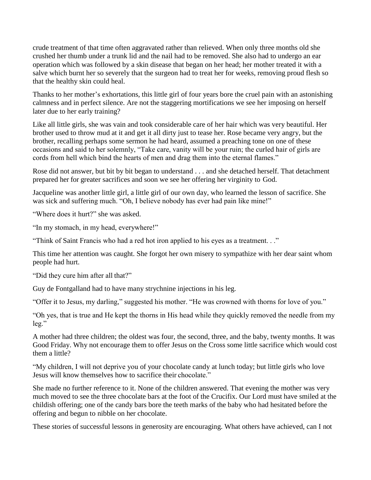crude treatment of that time often aggravated rather than relieved. When only three months old she crushed her thumb under a trunk lid and the nail had to be removed. She also had to undergo an ear operation which was followed by a skin disease that began on her head; her mother treated it with a salve which burnt her so severely that the surgeon had to treat her for weeks, removing proud flesh so that the healthy skin could heal.

Thanks to her mother's exhortations, this little girl of four years bore the cruel pain with an astonishing calmness and in perfect silence. Are not the staggering mortifications we see her imposing on herself later due to her early training?

Like all little girls, she was vain and took considerable care of her hair which was very beautiful. Her brother used to throw mud at it and get it all dirty just to tease her. Rose became very angry, but the brother, recalling perhaps some sermon he had heard, assumed a preaching tone on one of these occasions and said to her solemnly, "Take care, vanity will be your ruin; the curled hair of girls are cords from hell which bind the hearts of men and drag them into the eternal flames."

Rose did not answer, but bit by bit began to understand . . . and she detached herself. That detachment prepared her for greater sacrifices and soon we see her offering her virginity to God.

Jacqueline was another little girl, a little girl of our own day, who learned the lesson of sacrifice. She was sick and suffering much. "Oh, I believe nobody has ever had pain like mine!"

"Where does it hurt?" she was asked.

"In my stomach, in my head, everywhere!"

"Think of Saint Francis who had a red hot iron applied to his eyes as a treatment. . ."

This time her attention was caught. She forgot her own misery to sympathize with her dear saint whom people had hurt.

"Did they cure him after all that?"

Guy de Fontgalland had to have many strychnine injections in his leg.

"Offer it to Jesus, my darling," suggested his mother. "He was crowned with thorns for love of you."

"Oh yes, that is true and He kept the thorns in His head while they quickly removed the needle from my leg."

A mother had three children; the oldest was four, the second, three, and the baby, twenty months. It was Good Friday. Why not encourage them to offer Jesus on the Cross some little sacrifice which would cost them a little?

"My children, I will not deprive you of your chocolate candy at lunch today; but little girls who love Jesus will know themselves how to sacrifice their chocolate."

She made no further reference to it. None of the children answered. That evening the mother was very much moved to see the three chocolate bars at the foot of the Crucifix. Our Lord must have smiled at the childish offering; one of the candy bars bore the teeth marks of the baby who had hesitated before the offering and begun to nibble on her chocolate.

These stories of successful lessons in generosity are encouraging. What others have achieved, can I not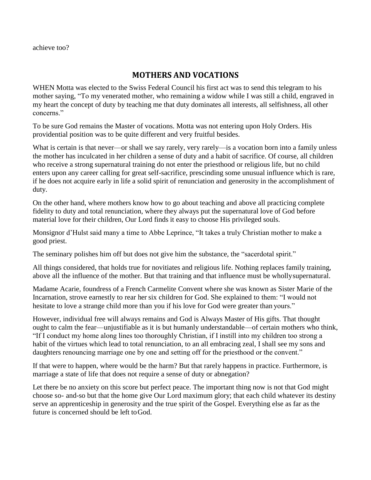achieve too?

## **MOTHERS AND VOCATIONS**

WHEN Motta was elected to the Swiss Federal Council his first act was to send this telegram to his mother saying, "To my venerated mother, who remaining a widow while I was still a child, engraved in my heart the concept of duty by teaching me that duty dominates all interests, all selfishness, all other concerns."

To be sure God remains the Master of vocations. Motta was not entering upon Holy Orders. His providential position was to be quite different and very fruitful besides.

What is certain is that never—or shall we say rarely, very rarely—is a vocation born into a family unless the mother has inculcated in her children a sense of duty and a habit of sacrifice. Of course, all children who receive a strong supernatural training do not enter the priesthood or religious life, but no child enters upon any career calling for great self-sacrifice, prescinding some unusual influence which is rare, if he does not acquire early in life a solid spirit of renunciation and generosity in the accomplishment of duty.

On the other hand, where mothers know how to go about teaching and above all practicing complete fidelity to duty and total renunciation, where they always put the supernatural love of God before material love for their children, Our Lord finds it easy to choose His privileged souls.

Monsignor d'Hulst said many a time to Abbe Leprince, "It takes a truly Christian mother to make a good priest.

The seminary polishes him off but does not give him the substance, the "sacerdotal spirit."

All things considered, that holds true for novitiates and religious life. Nothing replaces family training, above all the influence of the mother. But that training and that influence must be whollysupernatural.

Madame Acarie, foundress of a French Carmelite Convent where she was known as Sister Marie of the Incarnation, strove earnestly to rear her six children for God. She explained to them: "I would not hesitate to love a strange child more than you if his love for God were greater than yours."

However, individual free will always remains and God is Always Master of His gifts. That thought ought to calm the fear—unjustifiable as it is but humanly understandable—of certain mothers who think, "If I conduct my home along lines too thoroughly Christian, if I instill into my children too strong a habit of the virtues which lead to total renunciation, to an all embracing zeal, I shall see my sons and daughters renouncing marriage one by one and setting off for the priesthood or the convent."

If that were to happen, where would be the harm? But that rarely happens in practice. Furthermore, is marriage a state of life that does not require a sense of duty or abnegation?

Let there be no anxiety on this score but perfect peace. The important thing now is not that God might choose so- and-so but that the home give Our Lord maximum glory; that each child whatever its destiny serve an apprenticeship in generosity and the true spirit of the Gospel. Everything else as far as the future is concerned should be left toGod.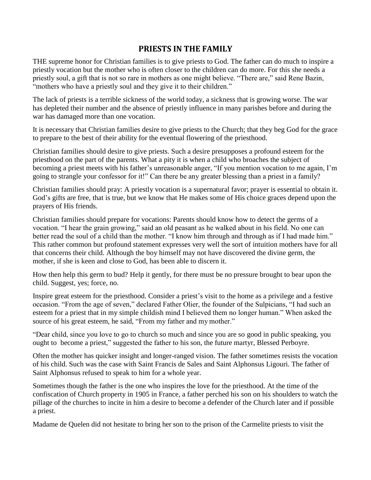## **PRIESTS IN THE FAMILY**

THE supreme honor for Christian families is to give priests to God. The father can do much to inspire a priestly vocation but the mother who is often closer to the children can do more. For this she needs a priestly soul, a gift that is not so rare in mothers as one might believe. "There are," said Rene Bazin, "mothers who have a priestly soul and they give it to their children."

The lack of priests is a terrible sickness of the world today, a sickness that is growing worse. The war has depleted their number and the absence of priestly influence in many parishes before and during the war has damaged more than one vocation.

It is necessary that Christian families desire to give priests to the Church; that they beg God for the grace to prepare to the best of their ability for the eventual flowering of the priesthood.

Christian families should desire to give priests. Such a desire presupposes a profound esteem for the priesthood on the part of the parents. What a pity it is when a child who broaches the subject of becoming a priest meets with his father's unreasonable anger, "If you mention vocation to me again, I'm going to strangle your confessor for it!" Can there be any greater blessing than a priest in a family?

Christian families should pray: A priestly vocation is a supernatural favor; prayer is essential to obtain it. God's gifts are free, that is true, but we know that He makes some of His choice graces depend upon the prayers of His friends.

Christian families should prepare for vocations: Parents should know how to detect the germs of a vocation. "I hear the grain growing," said an old peasant as he walked about in his field. No one can better read the soul of a child than the mother. "I know him through and through as if I had made him." This rather common but profound statement expresses very well the sort of intuition mothers have for all that concerns their child. Although the boy himself may not have discovered the divine germ, the mother, if she is keen and close to God, has been able to discern it.

How then help this germ to bud? Help it gently, for there must be no pressure brought to bear upon the child. Suggest, yes; force, no.

Inspire great esteem for the priesthood. Consider a priest's visit to the home as a privilege and a festive occasion. "From the age of seven," declared Father Olier, the founder of the Sulpicians, "I had such an esteem for a priest that in my simple childish mind I believed them no longer human." When asked the source of his great esteem, he said, "From my father and my mother."

"Dear child, since you love to go to church so much and since you are so good in public speaking, you ought to become a priest," suggested the father to his son, the future martyr, Blessed Perboyre.

Often the mother has quicker insight and longer-ranged vision. The father sometimes resists the vocation of his child. Such was the case with Saint Francis de Sales and Saint Alphonsus Ligouri. The father of Saint Alphonsus refused to speak to him for a whole year.

Sometimes though the father is the one who inspires the love for the priesthood. At the time of the confiscation of Church property in 1905 in France, a father perched his son on his shoulders to watch the pillage of the churches to incite in him a desire to become a defender of the Church later and if possible a priest.

Madame de Quelen did not hesitate to bring her son to the prison of the Carmelite priests to visit the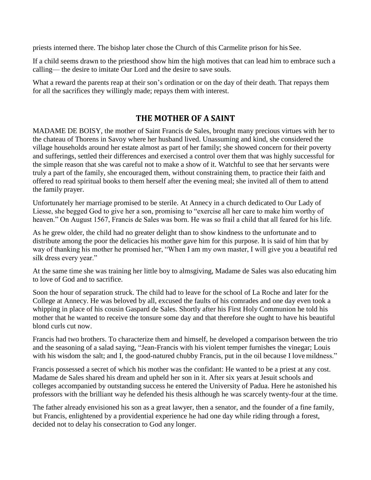priests interned there. The bishop later chose the Church of this Carmelite prison for his See.

If a child seems drawn to the priesthood show him the high motives that can lead him to embrace such a calling— the desire to imitate Our Lord and the desire to save souls.

What a reward the parents reap at their son's ordination or on the day of their death. That repays them for all the sacrifices they willingly made; repays them with interest.

## **THE MOTHER OF A SAINT**

MADAME DE BOISY, the mother of Saint Francis de Sales, brought many precious virtues with her to the chateau of Thorens in Savoy where her husband lived. Unassuming and kind, she considered the village households around her estate almost as part of her family; she showed concern for their poverty and sufferings, settled their differences and exercised a control over them that was highly successful for the simple reason that she was careful not to make a show of it. Watchful to see that her servants were truly a part of the family, she encouraged them, without constraining them, to practice their faith and offered to read spiritual books to them herself after the evening meal; she invited all of them to attend the family prayer.

Unfortunately her marriage promised to be sterile. At Annecy in a church dedicated to Our Lady of Liesse, she begged God to give her a son, promising to "exercise all her care to make him worthy of heaven." On August 1567, Francis de Sales was born. He was so frail a child that all feared for his life.

As he grew older, the child had no greater delight than to show kindness to the unfortunate and to distribute among the poor the delicacies his mother gave him for this purpose. It is said of him that by way of thanking his mother he promised her, "When I am my own master, I will give you a beautiful red silk dress every year."

At the same time she was training her little boy to almsgiving, Madame de Sales was also educating him to love of God and to sacrifice.

Soon the hour of separation struck. The child had to leave for the school of La Roche and later for the College at Annecy. He was beloved by all, excused the faults of his comrades and one day even took a whipping in place of his cousin Gaspard de Sales. Shortly after his First Holy Communion he told his mother that he wanted to receive the tonsure some day and that therefore she ought to have his beautiful blond curls cut now.

Francis had two brothers. To characterize them and himself, he developed a comparison between the trio and the seasoning of a salad saying, "Jean-Francis with his violent temper furnishes the vinegar; Louis with his wisdom the salt; and I, the good-natured chubby Francis, put in the oil because I love mildness."

Francis possessed a secret of which his mother was the confidant: He wanted to be a priest at any cost. Madame de Sales shared his dream and upheld her son in it. After six years at Jesuit schools and colleges accompanied by outstanding success he entered the University of Padua. Here he astonished his professors with the brilliant way he defended his thesis although he was scarcely twenty-four at the time.

The father already envisioned his son as a great lawyer, then a senator, and the founder of a fine family, but Francis, enlightened by a providential experience he had one day while riding through a forest, decided not to delay his consecration to God any longer.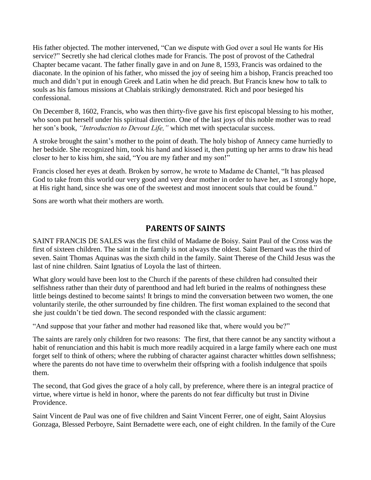His father objected. The mother intervened, "Can we dispute with God over a soul He wants for His service?" Secretly she had clerical clothes made for Francis. The post of provost of the Cathedral Chapter became vacant. The father finally gave in and on June 8, 1593, Francis was ordained to the diaconate. In the opinion of his father, who missed the joy of seeing him a bishop, Francis preached too much and didn't put in enough Greek and Latin when he did preach. But Francis knew how to talk to souls as his famous missions at Chablais strikingly demonstrated. Rich and poor besieged his confessional.

On December 8, 1602, Francis, who was then thirty-five gave his first episcopal blessing to his mother, who soon put herself under his spiritual direction. One of the last joys of this noble mother was to read her son's book, *"Introduction to Devout Life,"* which met with spectacular success.

A stroke brought the saint's mother to the point of death. The holy bishop of Annecy came hurriedly to her bedside. She recognized him, took his hand and kissed it, then putting up her arms to draw his head closer to her to kiss him, she said, "You are my father and my son!"

Francis closed her eyes at death. Broken by sorrow, he wrote to Madame de Chantel, "It has pleased God to take from this world our very good and very dear mother in order to have her, as I strongly hope, at His right hand, since she was one of the sweetest and most innocent souls that could be found."

Sons are worth what their mothers are worth.

## **PARENTS OF SAINTS**

SAINT FRANCIS DE SALES was the first child of Madame de Boisy. Saint Paul of the Cross was the first of sixteen children. The saint in the family is not always the oldest. Saint Bernard was the third of seven. Saint Thomas Aquinas was the sixth child in the family. Saint Therese of the Child Jesus was the last of nine children. Saint Ignatius of Loyola the last of thirteen.

What glory would have been lost to the Church if the parents of these children had consulted their selfishness rather than their duty of parenthood and had left buried in the realms of nothingness these little beings destined to become saints! It brings to mind the conversation between two women, the one voluntarily sterile, the other surrounded by fine children. The first woman explained to the second that she just couldn't be tied down. The second responded with the classic argument:

"And suppose that your father and mother had reasoned like that, where would you be?"

The saints are rarely only children for two reasons: The first, that there cannot be any sanctity without a habit of renunciation and this habit is much more readily acquired in a large family where each one must forget self to think of others; where the rubbing of character against character whittles down selfishness; where the parents do not have time to overwhelm their offspring with a foolish indulgence that spoils them.

The second, that God gives the grace of a holy call, by preference, where there is an integral practice of virtue, where virtue is held in honor, where the parents do not fear difficulty but trust in Divine Providence.

Saint Vincent de Paul was one of five children and Saint Vincent Ferrer, one of eight, Saint Aloysius Gonzaga, Blessed Perboyre, Saint Bernadette were each, one of eight children. In the family of the Cure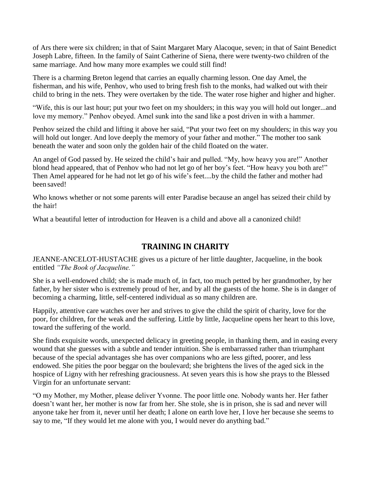of Ars there were six children; in that of Saint Margaret Mary Alacoque, seven; in that of Saint Benedict Joseph Labre, fifteen. In the family of Saint Catherine of Siena, there were twenty-two children of the same marriage. And how many more examples we could still find!

There is a charming Breton legend that carries an equally charming lesson. One day Amel, the fisherman, and his wife, Penhov, who used to bring fresh fish to the monks, had walked out with their child to bring in the nets. They were overtaken by the tide. The water rose higher and higher and higher.

"Wife, this is our last hour; put your two feet on my shoulders; in this way you will hold out longer...and love my memory." Penhov obeyed. Amel sunk into the sand like a post driven in with a hammer.

Penhov seized the child and lifting it above her said, "Put your two feet on my shoulders; in this way you will hold out longer. And love deeply the memory of your father and mother." The mother too sank beneath the water and soon only the golden hair of the child floated on the water.

An angel of God passed by. He seized the child's hair and pulled. "My, how heavy you are!" Another blond head appeared, that of Penhov who had not let go of her boy's feet. "How heavy you both are!" Then Amel appeared for he had not let go of his wife's feet....by the child the father and mother had been saved!

Who knows whether or not some parents will enter Paradise because an angel has seized their child by the hair!

What a beautiful letter of introduction for Heaven is a child and above all a canonized child!

### **TRAINING IN CHARITY**

JEANNE-ANCELOT-HUSTACHE gives us a picture of her little daughter, Jacqueline, in the book entitled *"The Book of Jacqueline."*

She is a well-endowed child; she is made much of, in fact, too much petted by her grandmother, by her father, by her sister who is extremely proud of her, and by all the guests of the home. She is in danger of becoming a charming, little, self-centered individual as so many children are.

Happily, attentive care watches over her and strives to give the child the spirit of charity, love for the poor, for children, for the weak and the suffering. Little by little, Jacqueline opens her heart to this love, toward the suffering of the world.

She finds exquisite words, unexpected delicacy in greeting people, in thanking them, and in easing every wound that she guesses with a subtle and tender intuition. She is embarrassed rather than triumphant because of the special advantages she has over companions who are less gifted, poorer, and less endowed. She pities the poor beggar on the boulevard; she brightens the lives of the aged sick in the hospice of Ligny with her refreshing graciousness. At seven years this is how she prays to the Blessed Virgin for an unfortunate servant:

"O my Mother, my Mother, please deliver Yvonne. The poor little one. Nobody wants her. Her father doesn't want her, her mother is now far from her. She stole, she is in prison, she is sad and never will anyone take her from it, never until her death; I alone on earth love her, I love her because she seems to say to me, "If they would let me alone with you, I would never do anything bad."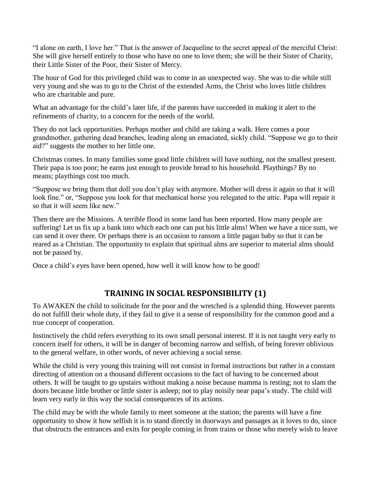"I alone on earth, I love her." That is the answer of Jacqueline to the secret appeal of the merciful Christ: She will give herself entirely to those who have no one to love them; she will be their Sister of Charity, their Little Sister of the Poor, their Sister of Mercy.

The hour of God for this privileged child was to come in an unexpected way. She was to die while still very young and she was to go to the Christ of the extended Arms, the Christ who loves little children who are charitable and pure.

What an advantage for the child's later life, if the parents have succeeded in making it alert to the refinements of charity, to a concern for the needs of the world.

They do not lack opportunities. Perhaps mother and child are taking a walk. Here comes a poor grandmother, gathering dead branches, leading along an emaciated, sickly child. "Suppose we go to their aid?" suggests the mother to her little one.

Christmas comes. In many families some good little children will have nothing, not the smallest present. Their papa is too poor; he earns just enough to provide bread to his household. Playthings? By no means; playthings cost too much.

"Suppose we bring them that doll you don't play with anymore. Mother will dress it again so that it will look fine." or, "Suppose you look for that mechanical horse you relegated to the attic. Papa will repair it so that it will seem like new."

Then there are the Missions. A terrible flood in some land has been reported. How many people are suffering! Let us fix up a bank into which each one can put his little alms! When we have a nice sum, we can send it over there. Or perhaps there is an occasion to ransom a little pagan baby so that it can be reared as a Christian. The opportunity to explain that spiritual alms are superior to material alms should not be passed by.

Once a child's eyes have been opened, how well it will know how to be good!

## **TRAINING IN SOCIAL RESPONSIBILITY (1)**

To AWAKEN the child to solicitude for the poor and the wretched is a splendid thing. However parents do not fulfill their whole duty, if they fail to give it a sense of responsibility for the common good and a true concept of cooperation.

Instinctively the child refers everything to its own small personal interest. If it is not taught very early to concern itself for others, it will be in danger of becoming narrow and selfish, of being forever oblivious to the general welfare, in other words, of never achieving a social sense.

While the child is very young this training will not consist in formal instructions but rather in a constant directing of attention on a thousand different occasions to the fact of having to be concerned about others. It will be taught to go upstairs without making a noise because mamma is resting; not to slam the doors because little brother or little sister is asleep; not to play noisily near papa's study. The child will learn very early in this way the social consequences of its actions.

The child may be with the whole family to meet someone at the station; the parents will have a fine opportunity to show it how selfish it is to stand directly in doorways and passages as it loves to do, since that obstructs the entrances and exits for people coming in from trains or those who merely wish to leave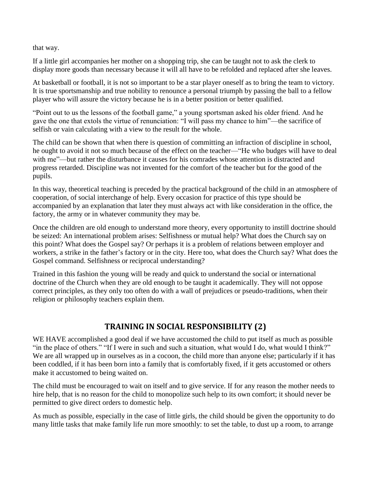that way.

If a little girl accompanies her mother on a shopping trip, she can be taught not to ask the clerk to display more goods than necessary because it will all have to be refolded and replaced after she leaves.

At basketball or football, it is not so important to be a star player oneself as to bring the team to victory. It is true sportsmanship and true nobility to renounce a personal triumph by passing the ball to a fellow player who will assure the victory because he is in a better position or better qualified.

"Point out to us the lessons of the football game," a young sportsman asked his older friend. And he gave the one that extols the virtue of renunciation: "I will pass my chance to him"—the sacrifice of selfish or vain calculating with a view to the result for the whole.

The child can be shown that when there is question of committing an infraction of discipline in school, he ought to avoid it not so much because of the effect on the teacher—"He who budges will have to deal with me"—but rather the disturbance it causes for his comrades whose attention is distracted and progress retarded. Discipline was not invented for the comfort of the teacher but for the good of the pupils.

In this way, theoretical teaching is preceded by the practical background of the child in an atmosphere of cooperation, of social interchange of help. Every occasion for practice of this type should be accompanied by an explanation that later they must always act with like consideration in the office, the factory, the army or in whatever community they may be.

Once the children are old enough to understand more theory, every opportunity to instill doctrine should be seized: An international problem arises: Selfishness or mutual help? What does the Church say on this point? What does the Gospel say? Or perhaps it is a problem of relations between employer and workers, a strike in the father's factory or in the city. Here too, what does the Church say? What does the Gospel command. Selfishness or reciprocal understanding?

Trained in this fashion the young will be ready and quick to understand the social or international doctrine of the Church when they are old enough to be taught it academically. They will not oppose correct principles, as they only too often do with a wall of prejudices or pseudo-traditions, when their religion or philosophy teachers explain them.

## **TRAINING IN SOCIAL RESPONSIBILITY (2)**

WE HAVE accomplished a good deal if we have accustomed the child to put itself as much as possible "in the place of others." "If I were in such and such a situation, what would I do, what would I think?" We are all wrapped up in ourselves as in a cocoon, the child more than anyone else; particularly if it has been coddled, if it has been born into a family that is comfortably fixed, if it gets accustomed or others make it accustomed to being waited on.

The child must be encouraged to wait on itself and to give service. If for any reason the mother needs to hire help, that is no reason for the child to monopolize such help to its own comfort; it should never be permitted to give direct orders to domestic help.

As much as possible, especially in the case of little girls, the child should be given the opportunity to do many little tasks that make family life run more smoothly: to set the table, to dust up a room, to arrange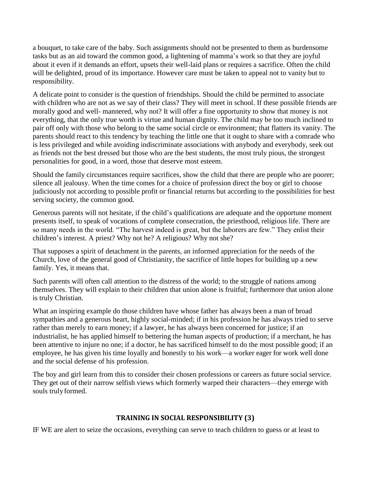a bouquet, to take care of the baby. Such assignments should not be presented to them as burdensome tasks but as an aid toward the common good, a lightening of mamma's work so that they are joyful about it even if it demands an effort, upsets their well-laid plans or requires a sacrifice. Often the child will be delighted, proud of its importance. However care must be taken to appeal not to vanity but to responsibility.

A delicate point to consider is the question of friendships. Should the child be permitted to associate with children who are not as we say of their class? They will meet in school. If these possible friends are morally good and well- mannered, why not? It will offer a fine opportunity to show that money is not everything, that the only true worth is virtue and human dignity. The child may be too much inclined to pair off only with those who belong to the same social circle or environment; that flatters its vanity. The parents should react to this tendency by teaching the little one that it ought to share with a comrade who is less privileged and while avoiding indiscriminate associations with anybody and everybody, seek out as friends not the best dressed but those who are the best students, the most truly pious, the strongest personalities for good, in a word, those that deserve most esteem.

Should the family circumstances require sacrifices, show the child that there are people who are poorer; silence all jealousy. When the time comes for a choice of profession direct the boy or girl to choose judiciously not according to possible profit or financial returns but according to the possibilities for best serving society, the common good.

Generous parents will not hesitate, if the child's qualifications are adequate and the opportune moment presents itself, to speak of vocations of complete consecration, the priesthood, religious life. There are so many needs in the world. "The harvest indeed is great, but the laborers are few." They enlist their children's interest. A priest? Why not he? A religious? Why not she?

That supposes a spirit of detachment in the parents, an informed appreciation for the needs of the Church, love of the general good of Christianity, the sacrifice of little hopes for building up a new family. Yes, it means that.

Such parents will often call attention to the distress of the world; to the struggle of nations among themselves. They will explain to their children that union alone is fruitful; furthermore that union alone is truly Christian.

What an inspiring example do those children have whose father has always been a man of broad sympathies and a generous heart, highly social-minded; if in his profession he has always tried to serve rather than merely to earn money; if a lawyer, he has always been concerned for justice; if an industrialist, he has applied himself to bettering the human aspects of production; if a merchant, he has been attentive to injure no one; if a doctor, he has sacrificed himself to do the most possible good; if an employee, he has given his time loyally and honestly to his work—a worker eager for work well done and the social defense of his profession.

The boy and girl learn from this to consider their chosen professions or careers as future social service. They get out of their narrow selfish views which formerly warped their characters—they emerge with souls trulyformed.

#### **TRAINING IN SOCIAL RESPONSIBILITY (3)**

IF WE are alert to seize the occasions, everything can serve to teach children to guess or at least to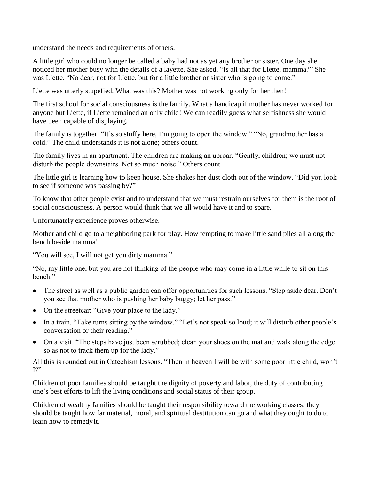understand the needs and requirements of others.

A little girl who could no longer be called a baby had not as yet any brother or sister. One day she noticed her mother busy with the details of a layette. She asked, "Is all that for Liette, mamma?" She was Liette. "No dear, not for Liette, but for a little brother or sister who is going to come."

Liette was utterly stupefied. What was this? Mother was not working only for her then!

The first school for social consciousness is the family. What a handicap if mother has never worked for anyone but Liette, if Liette remained an only child! We can readily guess what selfishness she would have been capable of displaying.

The family is together. "It's so stuffy here, I'm going to open the window." "No, grandmother has a cold." The child understands it is not alone; others count.

The family lives in an apartment. The children are making an uproar. "Gently, children; we must not disturb the people downstairs. Not so much noise." Others count.

The little girl is learning how to keep house. She shakes her dust cloth out of the window. "Did you look to see if someone was passing by?"

To know that other people exist and to understand that we must restrain ourselves for them is the root of social consciousness. A person would think that we all would have it and to spare.

Unfortunately experience proves otherwise.

Mother and child go to a neighboring park for play. How tempting to make little sand piles all along the bench beside mamma!

"You will see, I will not get you dirty mamma."

"No, my little one, but you are not thinking of the people who may come in a little while to sit on this bench."

- The street as well as a public garden can offer opportunities for such lessons. "Step aside dear. Don't you see that mother who is pushing her baby buggy; let her pass."
- On the streetcar: "Give your place to the lady."
- In a train. "Take turns sitting by the window." "Let's not speak so loud; it will disturb other people's conversation or their reading."
- On a visit. "The steps have just been scrubbed; clean your shoes on the mat and walk along the edge so as not to track them up for the lady."

All this is rounded out in Catechism lessons. "Then in heaven I will be with some poor little child, won't I?"

Children of poor families should be taught the dignity of poverty and labor, the duty of contributing one's best efforts to lift the living conditions and social status of their group.

Children of wealthy families should be taught their responsibility toward the working classes; they should be taught how far material, moral, and spiritual destitution can go and what they ought to do to learn how to remedyit.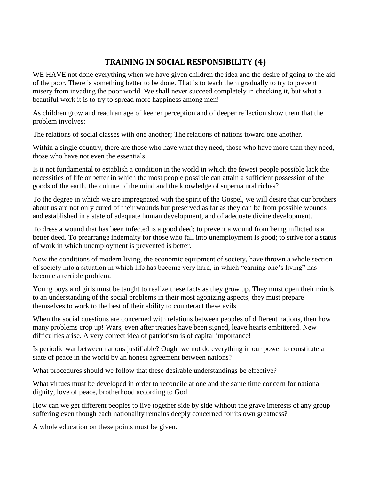## **TRAINING IN SOCIAL RESPONSIBILITY (4)**

WE HAVE not done everything when we have given children the idea and the desire of going to the aid of the poor. There is something better to be done. That is to teach them gradually to try to prevent misery from invading the poor world. We shall never succeed completely in checking it, but what a beautiful work it is to try to spread more happiness among men!

As children grow and reach an age of keener perception and of deeper reflection show them that the problem involves:

The relations of social classes with one another; The relations of nations toward one another.

Within a single country, there are those who have what they need, those who have more than they need, those who have not even the essentials.

Is it not fundamental to establish a condition in the world in which the fewest people possible lack the necessities of life or better in which the most people possible can attain a sufficient possession of the goods of the earth, the culture of the mind and the knowledge of supernatural riches?

To the degree in which we are impregnated with the spirit of the Gospel, we will desire that our brothers about us are not only cured of their wounds but preserved as far as they can be from possible wounds and established in a state of adequate human development, and of adequate divine development.

To dress a wound that has been infected is a good deed; to prevent a wound from being inflicted is a better deed. To prearrange indemnity for those who fall into unemployment is good; to strive for a status of work in which unemployment is prevented is better.

Now the conditions of modern living, the economic equipment of society, have thrown a whole section of society into a situation in which life has become very hard, in which "earning one's living" has become a terrible problem.

Young boys and girls must be taught to realize these facts as they grow up. They must open their minds to an understanding of the social problems in their most agonizing aspects; they must prepare themselves to work to the best of their ability to counteract these evils.

When the social questions are concerned with relations between peoples of different nations, then how many problems crop up! Wars, even after treaties have been signed, leave hearts embittered. New difficulties arise. A very correct idea of patriotism is of capital importance!

Is periodic war between nations justifiable? Ought we not do everything in our power to constitute a state of peace in the world by an honest agreement between nations?

What procedures should we follow that these desirable understandings be effective?

What virtues must be developed in order to reconcile at one and the same time concern for national dignity, love of peace, brotherhood according to God.

How can we get different peoples to live together side by side without the grave interests of any group suffering even though each nationality remains deeply concerned for its own greatness?

A whole education on these points must be given.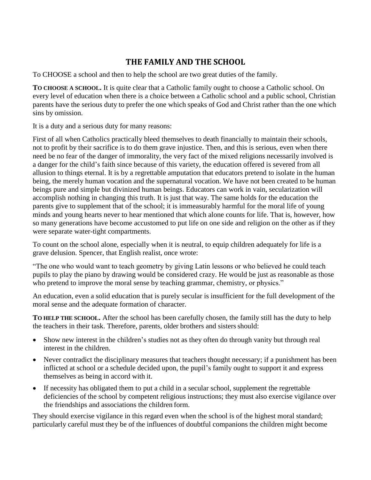## **THE FAMILY AND THE SCHOOL**

To CHOOSE a school and then to help the school are two great duties of the family.

**TO CHOOSE A SCHOOL.** It is quite clear that a Catholic family ought to choose a Catholic school. On every level of education when there is a choice between a Catholic school and a public school, Christian parents have the serious duty to prefer the one which speaks of God and Christ rather than the one which sins by omission.

It is a duty and a serious duty for many reasons:

First of all when Catholics practically bleed themselves to death financially to maintain their schools, not to profit by their sacrifice is to do them grave injustice. Then, and this is serious, even when there need be no fear of the danger of immorality, the very fact of the mixed religions necessarily involved is a danger for the child's faith since because of this variety, the education offered is severed from all allusion to things eternal. It is by a regrettable amputation that educators pretend to isolate in the human being, the merely human vocation and the supernatural vocation. We have not been created to be human beings pure and simple but divinized human beings. Educators can work in vain, secularization will accomplish nothing in changing this truth. It is just that way. The same holds for the education the parents give to supplement that of the school; it is immeasurably harmful for the moral life of young minds and young hearts never to hear mentioned that which alone counts for life. That is, however, how so many generations have become accustomed to put life on one side and religion on the other as if they were separate water-tight compartments.

To count on the school alone, especially when it is neutral, to equip children adequately for life is a grave delusion. Spencer, that English realist, once wrote:

"The one who would want to teach geometry by giving Latin lessons or who believed he could teach pupils to play the piano by drawing would be considered crazy. He would be just as reasonable as those who pretend to improve the moral sense by teaching grammar, chemistry, or physics."

An education, even a solid education that is purely secular is insufficient for the full development of the moral sense and the adequate formation of character.

**TO HELP THE SCHOOL.** After the school has been carefully chosen, the family still has the duty to help the teachers in their task. Therefore, parents, older brothers and sisters should:

- Show new interest in the children's studies not as they often do through vanity but through real interest in the children.
- Never contradict the disciplinary measures that teachers thought necessary; if a punishment has been inflicted at school or a schedule decided upon, the pupil's family ought to support it and express themselves as being in accord with it.
- If necessity has obligated them to put a child in a secular school, supplement the regrettable deficiencies of the school by competent religious instructions; they must also exercise vigilance over the friendships and associations the children form.

They should exercise vigilance in this regard even when the school is of the highest moral standard; particularly careful must they be of the influences of doubtful companions the children might become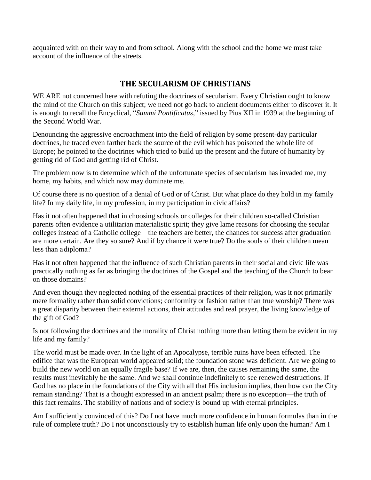acquainted with on their way to and from school. Along with the school and the home we must take account of the influence of the streets.

## **THE SECULARISM OF CHRISTIANS**

WE ARE not concerned here with refuting the doctrines of secularism. Every Christian ought to know the mind of the Church on this subject; we need not go back to ancient documents either to discover it. It is enough to recall the Encyclical, "*Summi Pontificatus,*" issued by Pius XII in 1939 at the beginning of the Second World War.

Denouncing the aggressive encroachment into the field of religion by some present-day particular doctrines, he traced even farther back the source of the evil which has poisoned the whole life of Europe; he pointed to the doctrines which tried to build up the present and the future of humanity by getting rid of God and getting rid of Christ.

The problem now is to determine which of the unfortunate species of secularism has invaded me, my home, my habits, and which now may dominate me.

Of course there is no question of a denial of God or of Christ. But what place do they hold in my family life? In my daily life, in my profession, in my participation in civic affairs?

Has it not often happened that in choosing schools or colleges for their children so-called Christian parents often evidence a utilitarian materialistic spirit; they give lame reasons for choosing the secular colleges instead of a Catholic college—the teachers are better, the chances for success after graduation are more certain. Are they so sure? And if by chance it were true? Do the souls of their children mean less than adiploma?

Has it not often happened that the influence of such Christian parents in their social and civic life was practically nothing as far as bringing the doctrines of the Gospel and the teaching of the Church to bear on those domains?

And even though they neglected nothing of the essential practices of their religion, was it not primarily mere formality rather than solid convictions; conformity or fashion rather than true worship? There was a great disparity between their external actions, their attitudes and real prayer, the living knowledge of the gift of God?

Is not following the doctrines and the morality of Christ nothing more than letting them be evident in my life and my family?

The world must be made over. In the light of an Apocalypse, terrible ruins have been effected. The edifice that was the European world appeared solid; the foundation stone was deficient. Are we going to build the new world on an equally fragile base? If we are, then, the causes remaining the same, the results must inevitably be the same. And we shall continue indefinitely to see renewed destructions. If God has no place in the foundations of the City with all that His inclusion implies, then how can the City remain standing? That is a thought expressed in an ancient psalm; there is no exception—the truth of this fact remains. The stability of nations and of society is bound up with eternal principles.

Am I sufficiently convinced of this? Do I not have much more confidence in human formulas than in the rule of complete truth? Do I not unconsciously try to establish human life only upon the human? Am I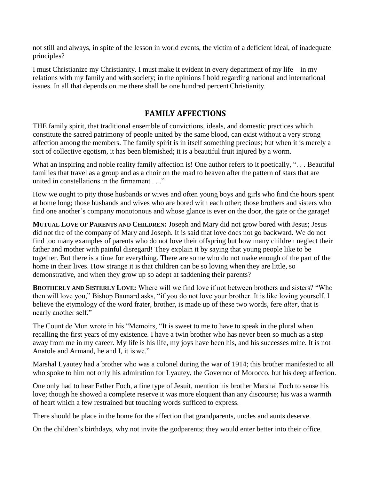not still and always, in spite of the lesson in world events, the victim of a deficient ideal, of inadequate principles?

I must Christianize my Christianity. I must make it evident in every department of my life—in my relations with my family and with society; in the opinions I hold regarding national and international issues. In all that depends on me there shall be one hundred percentChristianity.

#### **FAMILY AFFECTIONS**

THE family spirit, that traditional ensemble of convictions, ideals, and domestic practices which constitute the sacred patrimony of people united by the same blood, can exist without a very strong affection among the members. The family spirit is in itself something precious; but when it is merely a sort of collective egotism, it has been blemished; it is a beautiful fruit injured by a worm.

What an inspiring and noble reality family affection is! One author refers to it poetically, "... Beautiful families that travel as a group and as a choir on the road to heaven after the pattern of stars that are united in constellations in the firmament . . ."

How we ought to pity those husbands or wives and often young boys and girls who find the hours spent at home long; those husbands and wives who are bored with each other; those brothers and sisters who find one another's company monotonous and whose glance is ever on the door, the gate or the garage!

**MUTUAL LOVE OF PARENTS AND CHILDREN:** Joseph and Mary did not grow bored with Jesus; Jesus did not tire of the company of Mary and Joseph. It is said that love does not go backward. We do not find too many examples of parents who do not love their offspring but how many children neglect their father and mother with painful disregard! They explain it by saying that young people like to be together. But there is a time for everything. There are some who do not make enough of the part of the home in their lives. How strange it is that children can be so loving when they are little, so demonstrative, and when they grow up so adept at saddening their parents?

**BROTHERLY AND SISTERLY LOVE:** Where will we find love if not between brothers and sisters? "Who then will love you," Bishop Baunard asks, "if you do not love your brother. It is like loving yourself. I believe the etymology of the word frater, brother, is made up of these two words, fere *alter*, that is nearly another self."

The Count de Mun wrote in his "Memoirs, "It is sweet to me to have to speak in the plural when recalling the first years of my existence. I have a twin brother who has never been so much as a step away from me in my career. My life is his life, my joys have been his, and his successes mine. It is not Anatole and Armand, he and I, it is we."

Marshal Lyautey had a brother who was a colonel during the war of 1914; this brother manifested to all who spoke to him not only his admiration for Lyautey, the Governor of Morocco, but his deep affection.

One only had to hear Father Foch, a fine type of Jesuit, mention his brother Marshal Foch to sense his love; though he showed a complete reserve it was more eloquent than any discourse; his was a warmth of heart which a few restrained but touching words sufficed to express.

There should be place in the home for the affection that grandparents, uncles and aunts deserve.

On the children's birthdays, why not invite the godparents; they would enter better into their office.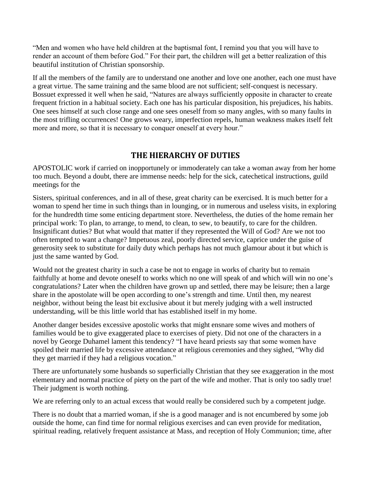"Men and women who have held children at the baptismal font, I remind you that you will have to render an account of them before God." For their part, the children will get a better realization of this beautiful institution of Christian sponsorship.

If all the members of the family are to understand one another and love one another, each one must have a great virtue. The same training and the same blood are not sufficient; self-conquest is necessary. Bossuet expressed it well when he said, "Natures are always sufficiently opposite in character to create frequent friction in a habitual society. Each one has his particular disposition, his prejudices, his habits. One sees himself at such close range and one sees oneself from so many angles, with so many faults in the most trifling occurrences! One grows weary, imperfection repels, human weakness makes itself felt more and more, so that it is necessary to conquer oneself at every hour."

## **THE HIERARCHY OF DUTIES**

APOSTOLIC work if carried on inopportunely or immoderately can take a woman away from her home too much. Beyond a doubt, there are immense needs: help for the sick, catechetical instructions, guild meetings for the

Sisters, spiritual conferences, and in all of these, great charity can be exercised. It is much better for a woman to spend her time in such things than in lounging, or in numerous and useless visits, in exploring for the hundredth time some enticing department store. Nevertheless, the duties of the home remain her principal work: To plan, to arrange, to mend, to clean, to sew, to beautify, to care for the children. Insignificant duties? But what would that matter if they represented the Will of God? Are we not too often tempted to want a change? Impetuous zeal, poorly directed service, caprice under the guise of generosity seek to substitute for daily duty which perhaps has not much glamour about it but which is just the same wanted by God.

Would not the greatest charity in such a case be not to engage in works of charity but to remain faithfully at home and devote oneself to works which no one will speak of and which will win no one's congratulations? Later when the children have grown up and settled, there may be leisure; then a large share in the apostolate will be open according to one's strength and time. Until then, my nearest neighbor, without being the least bit exclusive about it but merely judging with a well instructed understanding, will be this little world that has established itself in my home.

Another danger besides excessive apostolic works that might ensnare some wives and mothers of families would be to give exaggerated place to exercises of piety. Did not one of the characters in a novel by George Duhamel lament this tendency? "I have heard priests say that some women have spoiled their married life by excessive attendance at religious ceremonies and they sighed, "Why did they get married if they had a religious vocation."

There are unfortunately some husbands so superficially Christian that they see exaggeration in the most elementary and normal practice of piety on the part of the wife and mother. That is only too sadly true! Their judgment is worth nothing.

We are referring only to an actual excess that would really be considered such by a competent judge.

There is no doubt that a married woman, if she is a good manager and is not encumbered by some job outside the home, can find time for normal religious exercises and can even provide for meditation, spiritual reading, relatively frequent assistance at Mass, and reception of Holy Communion; time, after